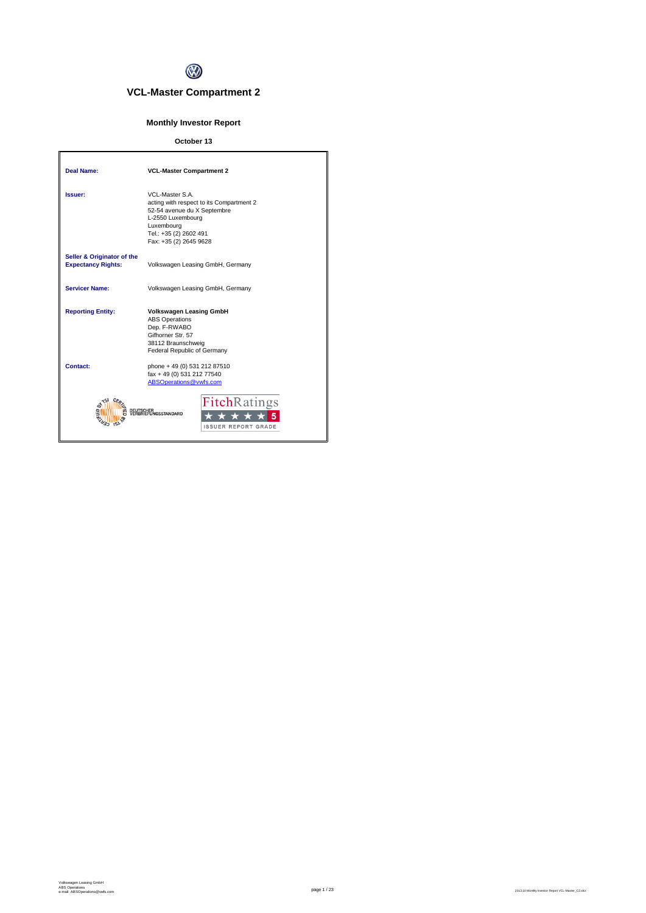

# **VCL-Master Compartment 2**

## **Monthly Investor Report**

## **October 13**

| <b>Deal Name:</b>                                       | <b>VCL-Master Compartment 2</b>                                                                                                                                                   |
|---------------------------------------------------------|-----------------------------------------------------------------------------------------------------------------------------------------------------------------------------------|
| Issuer:                                                 | VCL-Master S.A.<br>acting with respect to its Compartment 2<br>52-54 avenue du X Septembre<br>L-2550 Luxembourg<br>Luxembourg<br>Tel.: +35 (2) 2602 491<br>Fax: +35 (2) 2645 9628 |
| Seller & Originator of the<br><b>Expectancy Rights:</b> | Volkswagen Leasing GmbH, Germany                                                                                                                                                  |
| <b>Servicer Name:</b>                                   | Volkswagen Leasing GmbH, Germany                                                                                                                                                  |
| <b>Reporting Entity:</b>                                | <b>Volkswagen Leasing GmbH</b><br><b>ABS Operations</b><br>Dep. F-RWABO<br>Gifhorner Str. 57<br>38112 Braunschweig<br>Federal Republic of Germany                                 |
| Contact:                                                | phone + 49 (0) 531 212 87510<br>fax + 49 (0) 531 212 77540<br>ABSOperations@vwfs.com                                                                                              |
|                                                         | <b>FitchRatings</b><br><b>IGSSTANDARD</b><br><b>ISSUER REPORT GRADE</b>                                                                                                           |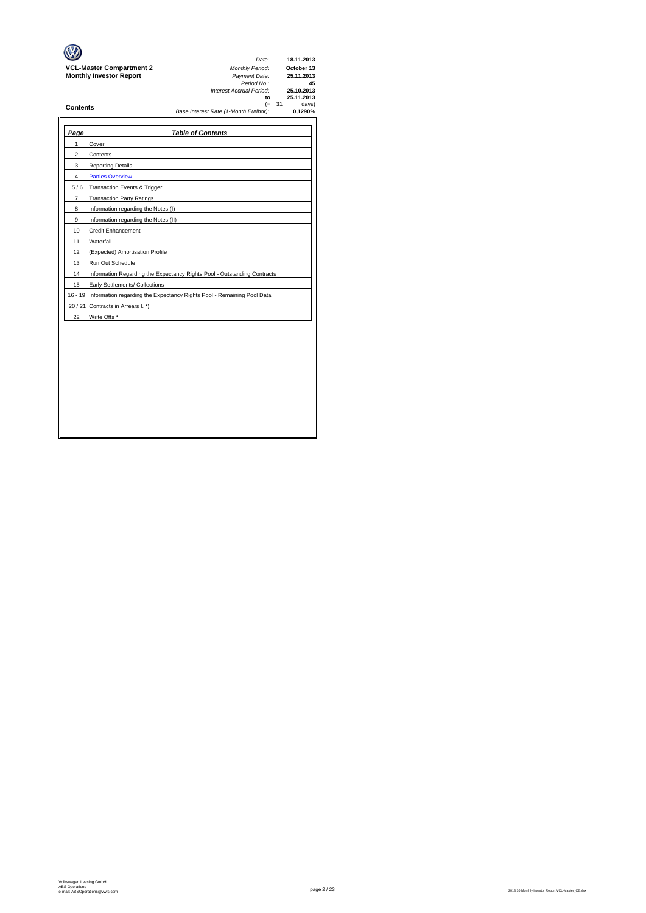|                                 | Date:                                 | 18.11.2013 |
|---------------------------------|---------------------------------------|------------|
| <b>VCL-Master Compartment 2</b> | <b>Monthly Period:</b>                | October 13 |
| <b>Monthly Investor Report</b>  | Payment Date:                         | 25.11.2013 |
|                                 | Period No.:                           | 45         |
|                                 | Interest Accrual Period:              | 25.10.2013 |
|                                 | to                                    | 25.11.2013 |
| <b>Contents</b>                 | (= 31                                 | days)      |
|                                 | Base Interest Rate (1-Month Euribor): | 0.1290%    |
|                                 |                                       |            |
|                                 |                                       |            |

| Page           | <b>Table of Contents</b>                                                       |
|----------------|--------------------------------------------------------------------------------|
| 1              | Cover                                                                          |
| 2              | Contents                                                                       |
| 3              | <b>Reporting Details</b>                                                       |
| 4              | <b>Parties Overview</b>                                                        |
| 5/6            | Transaction Events & Trigger                                                   |
| $\overline{7}$ | <b>Transaction Party Ratings</b>                                               |
| 8              | Information regarding the Notes (I)                                            |
| 9              | Information regarding the Notes (II)                                           |
| 10             | Credit Enhancement                                                             |
| 11             | Waterfall                                                                      |
| 12             | (Expected) Amortisation Profile                                                |
| 13             | Run Out Schedule                                                               |
| 14             | Information Regarding the Expectancy Rights Pool - Outstanding Contracts       |
| 15             | Early Settlements/ Collections                                                 |
|                | 16 - 19 Information regarding the Expectancy Rights Pool - Remaining Pool Data |
| 20/21          | Contracts in Arrears I. *)                                                     |
| 22             | Write Offs *                                                                   |
|                |                                                                                |
|                |                                                                                |
|                |                                                                                |
|                |                                                                                |
|                |                                                                                |
|                |                                                                                |
|                |                                                                                |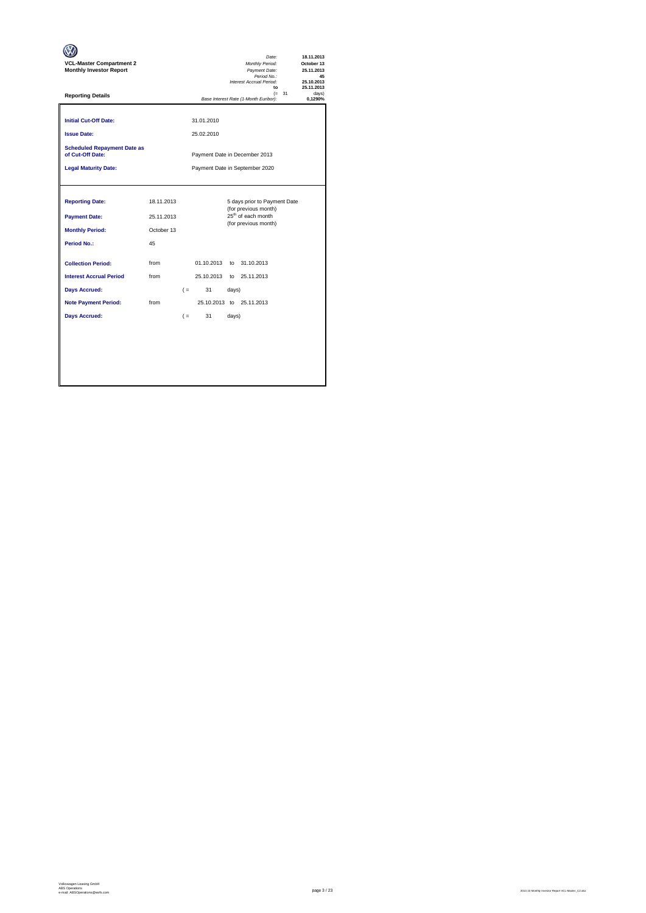| <b>VCL-Master Compartment 2</b><br><b>Monthly Investor Report</b>                       |                                              |  |                            |                | Date:<br>Monthly Period:<br>Payment Date:<br>Period No.:<br>Interest Accrual Period:<br>to                     |              | 18.11.2013<br>October 13<br>25.11.2013<br>45<br>25.10.2013<br>25.11.2013 |
|-----------------------------------------------------------------------------------------|----------------------------------------------|--|----------------------------|----------------|----------------------------------------------------------------------------------------------------------------|--------------|--------------------------------------------------------------------------|
| <b>Reporting Details</b>                                                                |                                              |  |                            |                | Base Interest Rate (1-Month Euribor):                                                                          | $(=\quad 31$ | davs)<br>0.1290%                                                         |
| <b>Initial Cut-Off Date:</b><br><b>Issue Date:</b>                                      |                                              |  | 31.01.2010<br>25.02.2010   |                |                                                                                                                |              |                                                                          |
| <b>Scheduled Repayment Date as</b><br>of Cut-Off Date:                                  | Payment Date in December 2013                |  |                            |                |                                                                                                                |              |                                                                          |
| <b>Legal Maturity Date:</b>                                                             | Payment Date in September 2020               |  |                            |                |                                                                                                                |              |                                                                          |
| <b>Reporting Date:</b><br><b>Payment Date:</b><br><b>Monthly Period:</b><br>Period No.: | 18.11.2013<br>25.11.2013<br>October 13<br>45 |  |                            |                | 5 days prior to Payment Date<br>(for previous month)<br>25 <sup>th</sup> of each month<br>(for previous month) |              |                                                                          |
| <b>Collection Period:</b>                                                               | from                                         |  | 01.10.2013                 |                | to 31.10.2013                                                                                                  |              |                                                                          |
| <b>Interest Accrual Period</b>                                                          | from                                         |  | 25.10.2013                 |                | to 25.11.2013                                                                                                  |              |                                                                          |
| <b>Days Accrued:</b><br><b>Note Payment Period:</b><br><b>Days Accrued:</b>             | from                                         |  | $($ =<br>31<br>$($ =<br>31 | days)<br>days) | 25.10.2013 to 25.11.2013                                                                                       |              |                                                                          |
|                                                                                         |                                              |  |                            |                |                                                                                                                |              |                                                                          |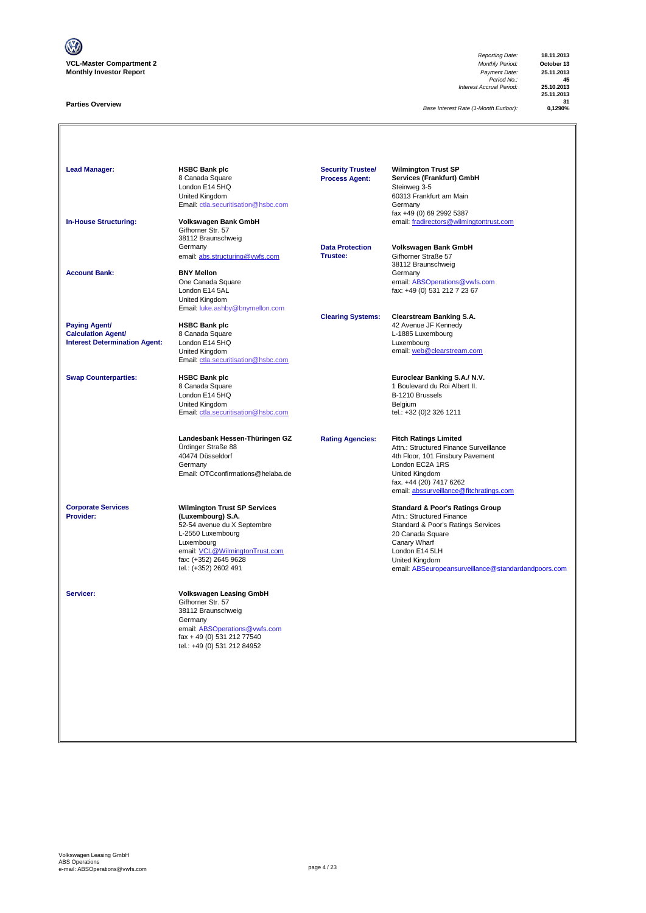

### **Parties Overview**

*Reporting Date:* **18.11.2013** *Payment Date:* **25.11.2013**<br>*Period No.:* **45**<br>*Accrual Period:* **25.10.2013** *Interest Accrual Period:* **25.10.2013**

**25.11.2013** 31<br>-1290°C D

**Base Interest Rate (1-Month Euribor):** 

**Lead Manager: HSBC Bank plc Wilmington Trust SP Services (Frankfurt) GmbH**<br>Steinweg 3-5 8 Canada Square<br>London E14 5HQ<br>United Kingdom Summay 2<br>60313 Frankfurt am Main<br>Germany [Email: ctla.securitisation@hsbc.com](mailto:ctla.securitisation@hsbc.com) fax +49 (0) 69 2992 5387 **In-House Structuring: Volkswagen Bank GmbH** email: fradirectors@wilmingtontrust.com Gifhorner Str. 57 38112 Braunschweig Germany **Data Protection Volkswagen Bank GmbH** email: abs.structuring@vwfs.com 38112 Braunschweig **Account Bank: BNY Mellon**<br>
One Canada Square One Canada Square email: ABSOperations@vwfs.com London E14 5AL fax: +49 (0) 531 212 7 23 67 United Kingdom [Email: luke.ashby@bnymellon.com](mailto:ctla.securitisation@hsbc.com) **Clearing Systems: Clearstream Banking S.A. Paying Agent/ HSBC Bank plc All and Account 1999 12 Avenue JF Kennedy Calculation Agent/** 8 Canada Square **Calculation Agent/ Business Agent/ Business Agent/ Canada Square Calculation Agent/ Canada Square Canada Square Canada Square Canada Square Canada Square Canada Squ** Interest Determination Agent: London E14 5HQ<br>United Kingdom United Kingdom email: <u>web @clearstream.com</u> [Email: ctla.securitisation@hsbc.com](mailto:ctla.securitisation@hsbc.com) **Swap Counterparties: HSBC Bank plc Euroclear Banking S.A./ N.V.** 1 Boulevard du Roi Albert II.<br>B-1210 Brussels London E14 5HQ<br>
United Kingdom<br>
Email: ctla.securitisation @hsbc.com<br>
Email: ctla.securitisation @hsbc.com<br>
Email: +32 (0)2 326 1211 United Kingdom [Email: ctla.securitisation@hsbc.com](mailto:ctla.securitisation@hsbc.com) **Landesbank Hessen-Thüringen GZ Rating Agencies: Fitch Ratings Limited** Ürdinger Straße 88 Attn.: Structured Finance Surveillance 40474 Düsseldorf 4th Floor, 101 Finsbury Pavement London EC2A 1RS Email: OTCconfirmations@helaba.de United Kingdom fax. +44 (20) 7417 6262 [email: abssurveillance@fitchratings.com](mailto:abssurveillance@fitchratings.com) **Corporate Services Wilmington Trust SP Services Corporate Services Standard & Poor's Ratings Group**<br> **Provider: Constant Corporation (Luxembourg) S.A. Constant Corporation Atthe Structured Finance** Attn.: Structured Finance Standard & Poor's Ratings Services<br>20 Canada Square 52-54 avenue du X Septembre<br>L-2550 Luxembourg<br>Luxembourg Lo Sanada Squa<br>Canary Wharf<br>London E14 5LH email: <u>VCL@WilmingtonTrust.com</u> email: <u>VCL@WilmingtonTrust.com</u> London E14 5LH<br>
fax: (+352) 2645 9628 <br>
United Kingdom fax: (+352) 2645 9628 United Kingdom nsurveillance@standardandpoors.com **Servicer: Volkswagen Leasing GmbH** Gifhorner Str. 57 38112 Braunschweig Germany email: <u>ABSOperations@vwfs.com</u><br>fax + 49 (0) 531 212 77540 tel.: +49 (0) 531 212 84952 **Security Trustee/ Process Agent:**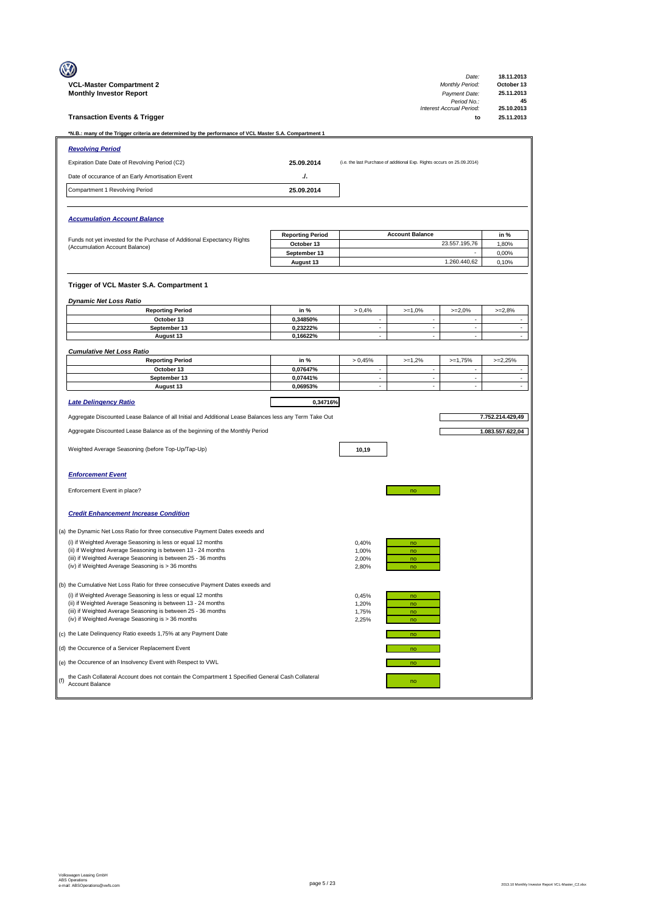|              |                                                                                                                                                                                                                                                                                                                                                                                                                                                                                                                                                                                                                                                                                                                                                                                                                                                                                                                                                                                                                                                                                                                                                                                                                                                                                                                                                                                                                                                                                                                                                                                                                                                                                                                                                  |                                                                                                                                                                                                                                                                                                                                                                                                                                                                                                                           |                                                                                        |                                                                                                    | 18.11.2013                                                                                                                                                                                   |
|--------------|--------------------------------------------------------------------------------------------------------------------------------------------------------------------------------------------------------------------------------------------------------------------------------------------------------------------------------------------------------------------------------------------------------------------------------------------------------------------------------------------------------------------------------------------------------------------------------------------------------------------------------------------------------------------------------------------------------------------------------------------------------------------------------------------------------------------------------------------------------------------------------------------------------------------------------------------------------------------------------------------------------------------------------------------------------------------------------------------------------------------------------------------------------------------------------------------------------------------------------------------------------------------------------------------------------------------------------------------------------------------------------------------------------------------------------------------------------------------------------------------------------------------------------------------------------------------------------------------------------------------------------------------------------------------------------------------------------------------------------------------------|---------------------------------------------------------------------------------------------------------------------------------------------------------------------------------------------------------------------------------------------------------------------------------------------------------------------------------------------------------------------------------------------------------------------------------------------------------------------------------------------------------------------------|----------------------------------------------------------------------------------------|----------------------------------------------------------------------------------------------------|----------------------------------------------------------------------------------------------------------------------------------------------------------------------------------------------|
|              |                                                                                                                                                                                                                                                                                                                                                                                                                                                                                                                                                                                                                                                                                                                                                                                                                                                                                                                                                                                                                                                                                                                                                                                                                                                                                                                                                                                                                                                                                                                                                                                                                                                                                                                                                  |                                                                                                                                                                                                                                                                                                                                                                                                                                                                                                                           |                                                                                        |                                                                                                    | October 13                                                                                                                                                                                   |
|              |                                                                                                                                                                                                                                                                                                                                                                                                                                                                                                                                                                                                                                                                                                                                                                                                                                                                                                                                                                                                                                                                                                                                                                                                                                                                                                                                                                                                                                                                                                                                                                                                                                                                                                                                                  |                                                                                                                                                                                                                                                                                                                                                                                                                                                                                                                           |                                                                                        | Period No.:                                                                                        | 25.11.2013<br>45                                                                                                                                                                             |
|              |                                                                                                                                                                                                                                                                                                                                                                                                                                                                                                                                                                                                                                                                                                                                                                                                                                                                                                                                                                                                                                                                                                                                                                                                                                                                                                                                                                                                                                                                                                                                                                                                                                                                                                                                                  |                                                                                                                                                                                                                                                                                                                                                                                                                                                                                                                           |                                                                                        | to                                                                                                 | 25.10.2013<br>25.11.2013                                                                                                                                                                     |
|              |                                                                                                                                                                                                                                                                                                                                                                                                                                                                                                                                                                                                                                                                                                                                                                                                                                                                                                                                                                                                                                                                                                                                                                                                                                                                                                                                                                                                                                                                                                                                                                                                                                                                                                                                                  |                                                                                                                                                                                                                                                                                                                                                                                                                                                                                                                           |                                                                                        |                                                                                                    |                                                                                                                                                                                              |
|              |                                                                                                                                                                                                                                                                                                                                                                                                                                                                                                                                                                                                                                                                                                                                                                                                                                                                                                                                                                                                                                                                                                                                                                                                                                                                                                                                                                                                                                                                                                                                                                                                                                                                                                                                                  |                                                                                                                                                                                                                                                                                                                                                                                                                                                                                                                           |                                                                                        |                                                                                                    |                                                                                                                                                                                              |
|              |                                                                                                                                                                                                                                                                                                                                                                                                                                                                                                                                                                                                                                                                                                                                                                                                                                                                                                                                                                                                                                                                                                                                                                                                                                                                                                                                                                                                                                                                                                                                                                                                                                                                                                                                                  |                                                                                                                                                                                                                                                                                                                                                                                                                                                                                                                           |                                                                                        |                                                                                                    |                                                                                                                                                                                              |
|              |                                                                                                                                                                                                                                                                                                                                                                                                                                                                                                                                                                                                                                                                                                                                                                                                                                                                                                                                                                                                                                                                                                                                                                                                                                                                                                                                                                                                                                                                                                                                                                                                                                                                                                                                                  |                                                                                                                                                                                                                                                                                                                                                                                                                                                                                                                           |                                                                                        |                                                                                                    |                                                                                                                                                                                              |
|              |                                                                                                                                                                                                                                                                                                                                                                                                                                                                                                                                                                                                                                                                                                                                                                                                                                                                                                                                                                                                                                                                                                                                                                                                                                                                                                                                                                                                                                                                                                                                                                                                                                                                                                                                                  |                                                                                                                                                                                                                                                                                                                                                                                                                                                                                                                           |                                                                                        |                                                                                                    |                                                                                                                                                                                              |
|              |                                                                                                                                                                                                                                                                                                                                                                                                                                                                                                                                                                                                                                                                                                                                                                                                                                                                                                                                                                                                                                                                                                                                                                                                                                                                                                                                                                                                                                                                                                                                                                                                                                                                                                                                                  |                                                                                                                                                                                                                                                                                                                                                                                                                                                                                                                           |                                                                                        |                                                                                                    |                                                                                                                                                                                              |
|              |                                                                                                                                                                                                                                                                                                                                                                                                                                                                                                                                                                                                                                                                                                                                                                                                                                                                                                                                                                                                                                                                                                                                                                                                                                                                                                                                                                                                                                                                                                                                                                                                                                                                                                                                                  |                                                                                                                                                                                                                                                                                                                                                                                                                                                                                                                           |                                                                                        |                                                                                                    |                                                                                                                                                                                              |
|              |                                                                                                                                                                                                                                                                                                                                                                                                                                                                                                                                                                                                                                                                                                                                                                                                                                                                                                                                                                                                                                                                                                                                                                                                                                                                                                                                                                                                                                                                                                                                                                                                                                                                                                                                                  |                                                                                                                                                                                                                                                                                                                                                                                                                                                                                                                           |                                                                                        |                                                                                                    |                                                                                                                                                                                              |
|              | October 13                                                                                                                                                                                                                                                                                                                                                                                                                                                                                                                                                                                                                                                                                                                                                                                                                                                                                                                                                                                                                                                                                                                                                                                                                                                                                                                                                                                                                                                                                                                                                                                                                                                                                                                                       |                                                                                                                                                                                                                                                                                                                                                                                                                                                                                                                           |                                                                                        | 23.557.195,76                                                                                      | in %<br>1,80%                                                                                                                                                                                |
|              | September 13                                                                                                                                                                                                                                                                                                                                                                                                                                                                                                                                                                                                                                                                                                                                                                                                                                                                                                                                                                                                                                                                                                                                                                                                                                                                                                                                                                                                                                                                                                                                                                                                                                                                                                                                     |                                                                                                                                                                                                                                                                                                                                                                                                                                                                                                                           |                                                                                        |                                                                                                    | 0,00%                                                                                                                                                                                        |
|              | August 13                                                                                                                                                                                                                                                                                                                                                                                                                                                                                                                                                                                                                                                                                                                                                                                                                                                                                                                                                                                                                                                                                                                                                                                                                                                                                                                                                                                                                                                                                                                                                                                                                                                                                                                                        |                                                                                                                                                                                                                                                                                                                                                                                                                                                                                                                           |                                                                                        | 1.260.440,62                                                                                       | 0,10%                                                                                                                                                                                        |
|              |                                                                                                                                                                                                                                                                                                                                                                                                                                                                                                                                                                                                                                                                                                                                                                                                                                                                                                                                                                                                                                                                                                                                                                                                                                                                                                                                                                                                                                                                                                                                                                                                                                                                                                                                                  |                                                                                                                                                                                                                                                                                                                                                                                                                                                                                                                           |                                                                                        |                                                                                                    |                                                                                                                                                                                              |
|              |                                                                                                                                                                                                                                                                                                                                                                                                                                                                                                                                                                                                                                                                                                                                                                                                                                                                                                                                                                                                                                                                                                                                                                                                                                                                                                                                                                                                                                                                                                                                                                                                                                                                                                                                                  |                                                                                                                                                                                                                                                                                                                                                                                                                                                                                                                           |                                                                                        |                                                                                                    |                                                                                                                                                                                              |
|              |                                                                                                                                                                                                                                                                                                                                                                                                                                                                                                                                                                                                                                                                                                                                                                                                                                                                                                                                                                                                                                                                                                                                                                                                                                                                                                                                                                                                                                                                                                                                                                                                                                                                                                                                                  |                                                                                                                                                                                                                                                                                                                                                                                                                                                                                                                           |                                                                                        |                                                                                                    | $>=2,8%$                                                                                                                                                                                     |
| October 13   | 0,34850%                                                                                                                                                                                                                                                                                                                                                                                                                                                                                                                                                                                                                                                                                                                                                                                                                                                                                                                                                                                                                                                                                                                                                                                                                                                                                                                                                                                                                                                                                                                                                                                                                                                                                                                                         | ÷,                                                                                                                                                                                                                                                                                                                                                                                                                                                                                                                        | ÷                                                                                      | ÷,                                                                                                 | J.                                                                                                                                                                                           |
| September 13 | 0,23222%                                                                                                                                                                                                                                                                                                                                                                                                                                                                                                                                                                                                                                                                                                                                                                                                                                                                                                                                                                                                                                                                                                                                                                                                                                                                                                                                                                                                                                                                                                                                                                                                                                                                                                                                         | $\overline{\phantom{a}}$                                                                                                                                                                                                                                                                                                                                                                                                                                                                                                  | $\overline{\phantom{a}}$                                                               | $\overline{\phantom{a}}$                                                                           | ٠                                                                                                                                                                                            |
|              |                                                                                                                                                                                                                                                                                                                                                                                                                                                                                                                                                                                                                                                                                                                                                                                                                                                                                                                                                                                                                                                                                                                                                                                                                                                                                                                                                                                                                                                                                                                                                                                                                                                                                                                                                  |                                                                                                                                                                                                                                                                                                                                                                                                                                                                                                                           |                                                                                        |                                                                                                    | ÷.                                                                                                                                                                                           |
|              |                                                                                                                                                                                                                                                                                                                                                                                                                                                                                                                                                                                                                                                                                                                                                                                                                                                                                                                                                                                                                                                                                                                                                                                                                                                                                                                                                                                                                                                                                                                                                                                                                                                                                                                                                  |                                                                                                                                                                                                                                                                                                                                                                                                                                                                                                                           |                                                                                        |                                                                                                    |                                                                                                                                                                                              |
|              |                                                                                                                                                                                                                                                                                                                                                                                                                                                                                                                                                                                                                                                                                                                                                                                                                                                                                                                                                                                                                                                                                                                                                                                                                                                                                                                                                                                                                                                                                                                                                                                                                                                                                                                                                  | $\overline{\phantom{a}}$                                                                                                                                                                                                                                                                                                                                                                                                                                                                                                  | $\overline{\phantom{a}}$                                                               | ×                                                                                                  | $>=2,25%$<br>$\overline{\phantom{a}}$                                                                                                                                                        |
| September 13 | 0,07441%                                                                                                                                                                                                                                                                                                                                                                                                                                                                                                                                                                                                                                                                                                                                                                                                                                                                                                                                                                                                                                                                                                                                                                                                                                                                                                                                                                                                                                                                                                                                                                                                                                                                                                                                         | ÷,                                                                                                                                                                                                                                                                                                                                                                                                                                                                                                                        | $\mathcal{L}_{\mathcal{A}}$                                                            | ÷,                                                                                                 | ÷.                                                                                                                                                                                           |
|              |                                                                                                                                                                                                                                                                                                                                                                                                                                                                                                                                                                                                                                                                                                                                                                                                                                                                                                                                                                                                                                                                                                                                                                                                                                                                                                                                                                                                                                                                                                                                                                                                                                                                                                                                                  |                                                                                                                                                                                                                                                                                                                                                                                                                                                                                                                           |                                                                                        |                                                                                                    | $\overline{\phantom{a}}$                                                                                                                                                                     |
|              |                                                                                                                                                                                                                                                                                                                                                                                                                                                                                                                                                                                                                                                                                                                                                                                                                                                                                                                                                                                                                                                                                                                                                                                                                                                                                                                                                                                                                                                                                                                                                                                                                                                                                                                                                  |                                                                                                                                                                                                                                                                                                                                                                                                                                                                                                                           |                                                                                        |                                                                                                    |                                                                                                                                                                                              |
|              |                                                                                                                                                                                                                                                                                                                                                                                                                                                                                                                                                                                                                                                                                                                                                                                                                                                                                                                                                                                                                                                                                                                                                                                                                                                                                                                                                                                                                                                                                                                                                                                                                                                                                                                                                  |                                                                                                                                                                                                                                                                                                                                                                                                                                                                                                                           |                                                                                        |                                                                                                    | 7.752.214.429,49                                                                                                                                                                             |
|              |                                                                                                                                                                                                                                                                                                                                                                                                                                                                                                                                                                                                                                                                                                                                                                                                                                                                                                                                                                                                                                                                                                                                                                                                                                                                                                                                                                                                                                                                                                                                                                                                                                                                                                                                                  |                                                                                                                                                                                                                                                                                                                                                                                                                                                                                                                           |                                                                                        |                                                                                                    | 1.083.557.622,04                                                                                                                                                                             |
|              |                                                                                                                                                                                                                                                                                                                                                                                                                                                                                                                                                                                                                                                                                                                                                                                                                                                                                                                                                                                                                                                                                                                                                                                                                                                                                                                                                                                                                                                                                                                                                                                                                                                                                                                                                  |                                                                                                                                                                                                                                                                                                                                                                                                                                                                                                                           |                                                                                        |                                                                                                    |                                                                                                                                                                                              |
|              |                                                                                                                                                                                                                                                                                                                                                                                                                                                                                                                                                                                                                                                                                                                                                                                                                                                                                                                                                                                                                                                                                                                                                                                                                                                                                                                                                                                                                                                                                                                                                                                                                                                                                                                                                  |                                                                                                                                                                                                                                                                                                                                                                                                                                                                                                                           |                                                                                        |                                                                                                    |                                                                                                                                                                                              |
|              |                                                                                                                                                                                                                                                                                                                                                                                                                                                                                                                                                                                                                                                                                                                                                                                                                                                                                                                                                                                                                                                                                                                                                                                                                                                                                                                                                                                                                                                                                                                                                                                                                                                                                                                                                  |                                                                                                                                                                                                                                                                                                                                                                                                                                                                                                                           |                                                                                        |                                                                                                    |                                                                                                                                                                                              |
|              |                                                                                                                                                                                                                                                                                                                                                                                                                                                                                                                                                                                                                                                                                                                                                                                                                                                                                                                                                                                                                                                                                                                                                                                                                                                                                                                                                                                                                                                                                                                                                                                                                                                                                                                                                  |                                                                                                                                                                                                                                                                                                                                                                                                                                                                                                                           |                                                                                        |                                                                                                    |                                                                                                                                                                                              |
|              |                                                                                                                                                                                                                                                                                                                                                                                                                                                                                                                                                                                                                                                                                                                                                                                                                                                                                                                                                                                                                                                                                                                                                                                                                                                                                                                                                                                                                                                                                                                                                                                                                                                                                                                                                  |                                                                                                                                                                                                                                                                                                                                                                                                                                                                                                                           | no                                                                                     |                                                                                                    |                                                                                                                                                                                              |
|              |                                                                                                                                                                                                                                                                                                                                                                                                                                                                                                                                                                                                                                                                                                                                                                                                                                                                                                                                                                                                                                                                                                                                                                                                                                                                                                                                                                                                                                                                                                                                                                                                                                                                                                                                                  |                                                                                                                                                                                                                                                                                                                                                                                                                                                                                                                           |                                                                                        |                                                                                                    |                                                                                                                                                                                              |
|              |                                                                                                                                                                                                                                                                                                                                                                                                                                                                                                                                                                                                                                                                                                                                                                                                                                                                                                                                                                                                                                                                                                                                                                                                                                                                                                                                                                                                                                                                                                                                                                                                                                                                                                                                                  |                                                                                                                                                                                                                                                                                                                                                                                                                                                                                                                           |                                                                                        |                                                                                                    |                                                                                                                                                                                              |
|              |                                                                                                                                                                                                                                                                                                                                                                                                                                                                                                                                                                                                                                                                                                                                                                                                                                                                                                                                                                                                                                                                                                                                                                                                                                                                                                                                                                                                                                                                                                                                                                                                                                                                                                                                                  |                                                                                                                                                                                                                                                                                                                                                                                                                                                                                                                           |                                                                                        |                                                                                                    |                                                                                                                                                                                              |
|              |                                                                                                                                                                                                                                                                                                                                                                                                                                                                                                                                                                                                                                                                                                                                                                                                                                                                                                                                                                                                                                                                                                                                                                                                                                                                                                                                                                                                                                                                                                                                                                                                                                                                                                                                                  | 1,00%                                                                                                                                                                                                                                                                                                                                                                                                                                                                                                                     | no                                                                                     |                                                                                                    |                                                                                                                                                                                              |
|              |                                                                                                                                                                                                                                                                                                                                                                                                                                                                                                                                                                                                                                                                                                                                                                                                                                                                                                                                                                                                                                                                                                                                                                                                                                                                                                                                                                                                                                                                                                                                                                                                                                                                                                                                                  | 2,00%                                                                                                                                                                                                                                                                                                                                                                                                                                                                                                                     | no                                                                                     |                                                                                                    |                                                                                                                                                                                              |
|              |                                                                                                                                                                                                                                                                                                                                                                                                                                                                                                                                                                                                                                                                                                                                                                                                                                                                                                                                                                                                                                                                                                                                                                                                                                                                                                                                                                                                                                                                                                                                                                                                                                                                                                                                                  |                                                                                                                                                                                                                                                                                                                                                                                                                                                                                                                           |                                                                                        |                                                                                                    |                                                                                                                                                                                              |
|              |                                                                                                                                                                                                                                                                                                                                                                                                                                                                                                                                                                                                                                                                                                                                                                                                                                                                                                                                                                                                                                                                                                                                                                                                                                                                                                                                                                                                                                                                                                                                                                                                                                                                                                                                                  |                                                                                                                                                                                                                                                                                                                                                                                                                                                                                                                           |                                                                                        |                                                                                                    |                                                                                                                                                                                              |
|              |                                                                                                                                                                                                                                                                                                                                                                                                                                                                                                                                                                                                                                                                                                                                                                                                                                                                                                                                                                                                                                                                                                                                                                                                                                                                                                                                                                                                                                                                                                                                                                                                                                                                                                                                                  | 0,45%                                                                                                                                                                                                                                                                                                                                                                                                                                                                                                                     | no                                                                                     |                                                                                                    |                                                                                                                                                                                              |
|              |                                                                                                                                                                                                                                                                                                                                                                                                                                                                                                                                                                                                                                                                                                                                                                                                                                                                                                                                                                                                                                                                                                                                                                                                                                                                                                                                                                                                                                                                                                                                                                                                                                                                                                                                                  |                                                                                                                                                                                                                                                                                                                                                                                                                                                                                                                           | no                                                                                     |                                                                                                    |                                                                                                                                                                                              |
|              |                                                                                                                                                                                                                                                                                                                                                                                                                                                                                                                                                                                                                                                                                                                                                                                                                                                                                                                                                                                                                                                                                                                                                                                                                                                                                                                                                                                                                                                                                                                                                                                                                                                                                                                                                  | 2,25%                                                                                                                                                                                                                                                                                                                                                                                                                                                                                                                     | no                                                                                     |                                                                                                    |                                                                                                                                                                                              |
|              |                                                                                                                                                                                                                                                                                                                                                                                                                                                                                                                                                                                                                                                                                                                                                                                                                                                                                                                                                                                                                                                                                                                                                                                                                                                                                                                                                                                                                                                                                                                                                                                                                                                                                                                                                  |                                                                                                                                                                                                                                                                                                                                                                                                                                                                                                                           | no                                                                                     |                                                                                                    |                                                                                                                                                                                              |
|              |                                                                                                                                                                                                                                                                                                                                                                                                                                                                                                                                                                                                                                                                                                                                                                                                                                                                                                                                                                                                                                                                                                                                                                                                                                                                                                                                                                                                                                                                                                                                                                                                                                                                                                                                                  |                                                                                                                                                                                                                                                                                                                                                                                                                                                                                                                           | no                                                                                     |                                                                                                    |                                                                                                                                                                                              |
|              |                                                                                                                                                                                                                                                                                                                                                                                                                                                                                                                                                                                                                                                                                                                                                                                                                                                                                                                                                                                                                                                                                                                                                                                                                                                                                                                                                                                                                                                                                                                                                                                                                                                                                                                                                  |                                                                                                                                                                                                                                                                                                                                                                                                                                                                                                                           | no                                                                                     |                                                                                                    |                                                                                                                                                                                              |
|              |                                                                                                                                                                                                                                                                                                                                                                                                                                                                                                                                                                                                                                                                                                                                                                                                                                                                                                                                                                                                                                                                                                                                                                                                                                                                                                                                                                                                                                                                                                                                                                                                                                                                                                                                                  |                                                                                                                                                                                                                                                                                                                                                                                                                                                                                                                           | no                                                                                     |                                                                                                    |                                                                                                                                                                                              |
|              | <b>VCL-Master Compartment 2</b><br><b>Monthly Investor Report</b><br><b>Transaction Events &amp; Trigger</b><br><b>Revolving Period</b><br>Expiration Date Date of Revolving Period (C2)<br>Date of occurance of an Early Amortisation Event<br>Compartment 1 Revolving Period<br><b>Accumulation Account Balance</b><br>Funds not yet invested for the Purchase of Additional Expectancy Rights<br>(Accumulation Account Balance)<br>Trigger of VCL Master S.A. Compartment 1<br><b>Dynamic Net Loss Ratio</b><br><b>Reporting Period</b><br><b>August 13</b><br><b>Cumulative Net Loss Ratio</b><br><b>Reporting Period</b><br>October 13<br>August 13<br><b>Late Delingency Ratio</b><br>Aggregate Discounted Lease Balance as of the beginning of the Monthly Period<br>Weighted Average Seasoning (before Top-Up/Tap-Up)<br><b>Enforcement Event</b><br>Enforcement Event in place?<br><b>Credit Enhancement Increase Condition</b><br>(a) the Dynamic Net Loss Ratio for three consecutive Payment Dates exeeds and<br>(i) if Weighted Average Seasoning is less or equal 12 months<br>(ii) if Weighted Average Seasoning is between 13 - 24 months<br>(iii) if Weighted Average Seasoning is between 25 - 36 months<br>(iv) if Weighted Average Seasoning is > 36 months<br>(i) if Weighted Average Seasoning is less or equal 12 months<br>(ii) if Weighted Average Seasoning is between 13 - 24 months<br>(iii) if Weighted Average Seasoning is between 25 - 36 months<br>(iv) if Weighted Average Seasoning is > 36 months<br>(c) the Late Delinquency Ratio exeeds 1,75% at any Payment Date<br>(d) the Occurence of a Servicer Replacement Event<br>(e) the Occurence of an Insolvency Event with Respect to VWL<br>Account Balance | *N.B.: many of the Trigger criteria are determined by the performance of VCL Master S.A. Compartment 1<br>25.09.2014<br>J.<br>25.09.2014<br><b>Reporting Period</b><br>in %<br>0,16622%<br>in %<br>0,07647%<br>0,06953%<br>Aggregate Discounted Lease Balance of all Initial and Additional Lease Balances less any Term Take Out<br>(b) the Cumulative Net Loss Ratio for three consecutive Payment Dates exeeds and<br>the Cash Collateral Account does not contain the Compartment 1 Specified General Cash Collateral | > 0,4%<br>÷,<br>> 0,45%<br>÷,<br>0,34716%<br>10,19<br>0,40%<br>2,80%<br>1,20%<br>1,75% | <b>Account Balance</b><br>$>=1,0%$<br>÷,<br>$>=1,2%$<br>$\overline{\phantom{a}}$<br>no<br>no<br>no | Date:<br><b>Monthly Period:</b><br>Payment Date:<br>Interest Accrual Period:<br>(i.e. the last Purchase of additional Exp. Rights occurs on 25.09.2014)<br>$>=2,0%$<br>÷.<br>$>=1,75%$<br>÷, |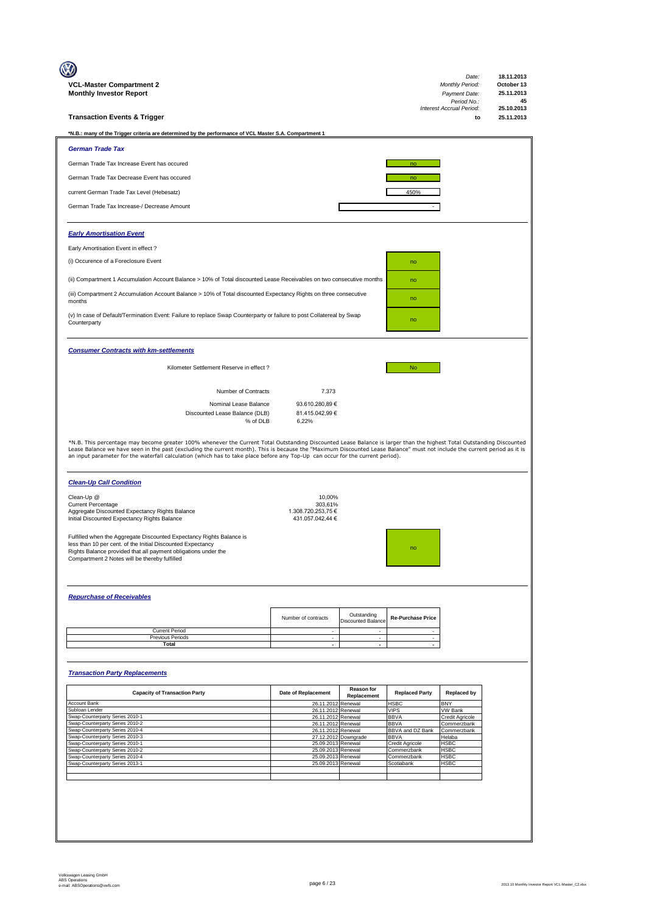| VCL-Master Compartment 2<br><b>Monthly Investor Report</b><br><b>Transaction Events &amp; Trigger</b>                                                                                                                                                                                                  |                                                                |                                              |                                              | Date:<br><b>Monthly Period:</b><br>Payment Date:<br>Period No.:<br>Interest Accrual Period:<br>to | 18.11.2013<br>October 13<br>25.11.2013<br>45<br>25.10.2013<br>25.11.2013 |
|--------------------------------------------------------------------------------------------------------------------------------------------------------------------------------------------------------------------------------------------------------------------------------------------------------|----------------------------------------------------------------|----------------------------------------------|----------------------------------------------|---------------------------------------------------------------------------------------------------|--------------------------------------------------------------------------|
| *N.B.: many of the Trigger criteria are determined by the performance of VCL Master S.A. Compartment 1                                                                                                                                                                                                 |                                                                |                                              |                                              |                                                                                                   |                                                                          |
| <b>German Trade Tax</b>                                                                                                                                                                                                                                                                                |                                                                |                                              |                                              |                                                                                                   |                                                                          |
| German Trade Tax Increase Event has occured                                                                                                                                                                                                                                                            |                                                                |                                              | no                                           |                                                                                                   |                                                                          |
| German Trade Tax Decrease Event has occured                                                                                                                                                                                                                                                            |                                                                |                                              | no                                           |                                                                                                   |                                                                          |
| current German Trade Tax Level (Hebesatz)                                                                                                                                                                                                                                                              |                                                                |                                              | 450%                                         |                                                                                                   |                                                                          |
| German Trade Tax Increase-/ Decrease Amount                                                                                                                                                                                                                                                            |                                                                |                                              |                                              |                                                                                                   |                                                                          |
| <b>Early Amortisation Event</b>                                                                                                                                                                                                                                                                        |                                                                |                                              |                                              |                                                                                                   |                                                                          |
| Early Amortisation Event in effect?                                                                                                                                                                                                                                                                    |                                                                |                                              |                                              |                                                                                                   |                                                                          |
| (i) Occurence of a Foreclosure Event                                                                                                                                                                                                                                                                   |                                                                |                                              | no                                           |                                                                                                   |                                                                          |
| (ii) Compartment 1 Accumulation Account Balance > 10% of Total discounted Lease Receivables on two consecutive months                                                                                                                                                                                  |                                                                |                                              | no                                           |                                                                                                   |                                                                          |
| (iii) Compartment 2 Accumulation Account Balance > 10% of Total discounted Expectancy Rights on three consecutive                                                                                                                                                                                      |                                                                |                                              |                                              |                                                                                                   |                                                                          |
| months                                                                                                                                                                                                                                                                                                 |                                                                |                                              | no                                           |                                                                                                   |                                                                          |
| (v) In case of Default/Termination Event: Failure to replace Swap Counterparty or failure to post Collatereal by Swap<br>Counterparty                                                                                                                                                                  |                                                                |                                              | no                                           |                                                                                                   |                                                                          |
| <b>Consumer Contracts with km-settlements</b>                                                                                                                                                                                                                                                          |                                                                |                                              |                                              |                                                                                                   |                                                                          |
| Kilometer Settlement Reserve in effect ?                                                                                                                                                                                                                                                               |                                                                |                                              | <b>No</b>                                    |                                                                                                   |                                                                          |
|                                                                                                                                                                                                                                                                                                        |                                                                |                                              |                                              |                                                                                                   |                                                                          |
| Number of Contracts                                                                                                                                                                                                                                                                                    | 7.373                                                          |                                              |                                              |                                                                                                   |                                                                          |
| Nominal Lease Balance<br>Discounted Lease Balance (DLB)<br>% of DLB                                                                                                                                                                                                                                    | 93.610.280,89 €<br>81.415.042,99 €<br>6,22%                    |                                              |                                              |                                                                                                   |                                                                          |
| an input parameter for the waterfall calculation (which has to take place before any Top-Up can occur for the current period).<br><b>Clean-Up Call Condition</b><br>Clean-Up @<br><b>Current Percentage</b><br>Aggregate Discounted Expectancy Rights Balance                                          | 10,00%<br>303,61%<br>1.308.720.253.75 €                        |                                              |                                              |                                                                                                   |                                                                          |
| Initial Discounted Expectancy Rights Balance<br>Fulfilled when the Aggregate Discounted Expectancy Rights Balance is<br>less than 10 per cent. of the Initial Discounted Expectancy<br>Rights Balance provided that all payment obligations under the<br>Compartment 2 Notes will be thereby fulfilled | 431.057.042,44 €                                               |                                              |                                              |                                                                                                   |                                                                          |
| <b>Repurchase of Receivables</b>                                                                                                                                                                                                                                                                       |                                                                |                                              |                                              |                                                                                                   |                                                                          |
| <b>Current Period</b>                                                                                                                                                                                                                                                                                  | Number of contracts                                            | Outstanding<br><b>Discounted Balance</b>     | <b>Re-Purchase Price</b>                     |                                                                                                   |                                                                          |
| Previous Periods<br><b>Total</b>                                                                                                                                                                                                                                                                       | $\overline{\phantom{a}}$<br>$\sim$<br>$\overline{\phantom{a}}$ | $\overline{\phantom{a}}$<br>$\sim$<br>$\sim$ | $\sim$<br>$\sim$<br>$\overline{\phantom{a}}$ |                                                                                                   |                                                                          |
|                                                                                                                                                                                                                                                                                                        |                                                                |                                              |                                              |                                                                                                   |                                                                          |
| <b>Transaction Party Replacements</b>                                                                                                                                                                                                                                                                  |                                                                |                                              |                                              |                                                                                                   |                                                                          |
| <b>Capacity of Transaction Party</b>                                                                                                                                                                                                                                                                   | Date of Replacement                                            | Reason for<br>Replacement                    | <b>Replaced Party</b>                        | <b>Replaced by</b>                                                                                |                                                                          |
| Account Bank<br>Subloan Lender                                                                                                                                                                                                                                                                         | 26.11.2012<br>26.11.2012                                       | Renewal<br>Renewal                           | <b>HSBC</b><br><b>VIPS</b>                   | <b>BNY</b><br><b>VW Bank</b>                                                                      |                                                                          |
| Swap-Counterparty Series 2010-1<br>Swap-Counterparty Series 2010-2                                                                                                                                                                                                                                     | 26.11.2012<br>26.11.2012                                       | Renewal<br>Renewal                           | <b>BBVA</b><br><b>BBVA</b>                   | Credit Agricole<br>Commerzbank                                                                    |                                                                          |
| Swap-Counterparty Series 2010-4                                                                                                                                                                                                                                                                        | 26.11.2012                                                     | Renewal                                      | BBVA and DZ Bank                             | Commerzbank                                                                                       |                                                                          |
| Swap-Counterparty Series 2010-3<br>Swap-Counterparty Series 2010-1                                                                                                                                                                                                                                     | 25.09.2013 Renewal                                             | 27.12.2012 Downgrade                         | <b>BBVA</b><br>Credit Agricole               | Helaba<br><b>HSBC</b>                                                                             |                                                                          |
| Swap-Counterparty Series 2010-2<br>Swap-Counterparty Series 2010-4                                                                                                                                                                                                                                     | 25.09.2013<br>25.09.2013 Renewal                               | Renewal                                      | Commerzbank<br>Commerzbank                   | <b>HSBC</b><br><b>HSBC</b>                                                                        |                                                                          |
| Swap-Counterparty Series 2013-1                                                                                                                                                                                                                                                                        | 25.09.2013                                                     | Renewal                                      | Scotiabank                                   | <b>HSBC</b>                                                                                       |                                                                          |
|                                                                                                                                                                                                                                                                                                        |                                                                |                                              |                                              |                                                                                                   |                                                                          |
|                                                                                                                                                                                                                                                                                                        |                                                                |                                              |                                              |                                                                                                   |                                                                          |
|                                                                                                                                                                                                                                                                                                        |                                                                |                                              |                                              |                                                                                                   |                                                                          |
|                                                                                                                                                                                                                                                                                                        |                                                                |                                              |                                              |                                                                                                   |                                                                          |
|                                                                                                                                                                                                                                                                                                        |                                                                |                                              |                                              |                                                                                                   |                                                                          |
|                                                                                                                                                                                                                                                                                                        |                                                                |                                              |                                              |                                                                                                   |                                                                          |
|                                                                                                                                                                                                                                                                                                        |                                                                |                                              |                                              |                                                                                                   |                                                                          |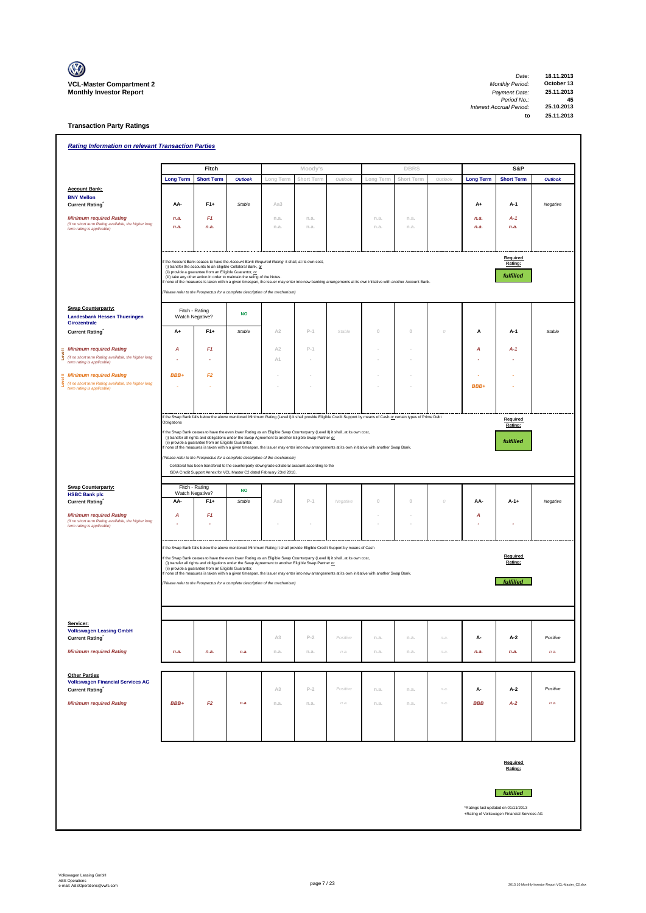

**Transaction Party Ratings**

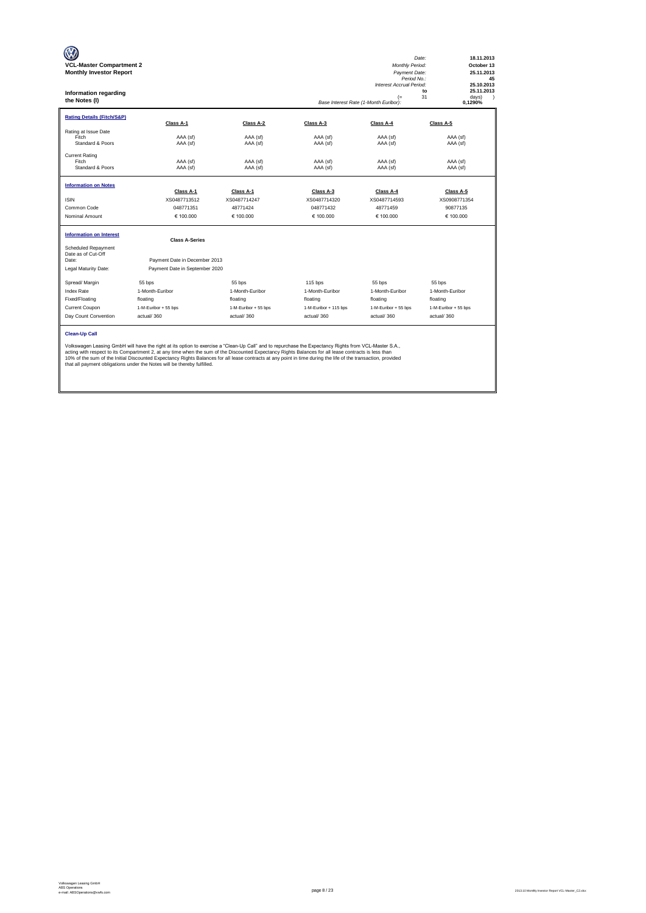| <b>VCL-Master Compartment 2</b><br><b>Monthly Investor Report</b><br><b>Information regarding</b><br>the Notes (I) |                                                                                                                                                                                                                                                                                                                                                                                                                                                                                                                                                           |                           |                           | Monthly Period:<br>Payment Date:<br>Period No.:<br><b>Interest Accrual Period:</b><br>$($ =<br>Base Interest Rate (1-Month Euribor): | Date:<br>18.11.2013<br>October 13<br>25.11.2013<br>45<br>25.10.2013<br>25.11.2013<br>to<br>31<br>days)<br>$\lambda$<br>0,1290% |
|--------------------------------------------------------------------------------------------------------------------|-----------------------------------------------------------------------------------------------------------------------------------------------------------------------------------------------------------------------------------------------------------------------------------------------------------------------------------------------------------------------------------------------------------------------------------------------------------------------------------------------------------------------------------------------------------|---------------------------|---------------------------|--------------------------------------------------------------------------------------------------------------------------------------|--------------------------------------------------------------------------------------------------------------------------------|
| <b>Rating Details (Fitch/S&amp;P)</b>                                                                              | Class A-1                                                                                                                                                                                                                                                                                                                                                                                                                                                                                                                                                 | Class A-2                 | Class A-3                 | Class A-4                                                                                                                            | Class A-5                                                                                                                      |
| Rating at Issue Date<br>Fitch<br>Standard & Poors                                                                  | AAA (sf)<br>AAA (sf)                                                                                                                                                                                                                                                                                                                                                                                                                                                                                                                                      | AAA (sf)<br>AAA (sf)      | AAA (sf)<br>AAA (sf)      | AAA (sf)<br>AAA (sf)                                                                                                                 | AAA (sf)<br>AAA (sf)                                                                                                           |
| <b>Current Rating</b><br>Fitch<br>Standard & Poors                                                                 | AAA (sf)<br>AAA (sf)                                                                                                                                                                                                                                                                                                                                                                                                                                                                                                                                      | AAA (sf)<br>AAA (sf)      | AAA (sf)<br>AAA (sf)      | AAA (sf)<br>AAA (sf)                                                                                                                 | AAA (sf)<br>AAA (sf)                                                                                                           |
| <b>Information on Notes</b>                                                                                        | Class A-1                                                                                                                                                                                                                                                                                                                                                                                                                                                                                                                                                 |                           |                           | Class A-4                                                                                                                            | Class A-5                                                                                                                      |
| <b>ISIN</b>                                                                                                        | XS0487713512                                                                                                                                                                                                                                                                                                                                                                                                                                                                                                                                              | Class A-1<br>XS0487714247 | Class A-3<br>XS0487714320 | XS0487714593                                                                                                                         | XS0908771354                                                                                                                   |
| Common Code                                                                                                        | 048771351                                                                                                                                                                                                                                                                                                                                                                                                                                                                                                                                                 | 48771424                  | 048771432                 | 48771459                                                                                                                             | 90877135                                                                                                                       |
| Nominal Amount                                                                                                     | € 100,000                                                                                                                                                                                                                                                                                                                                                                                                                                                                                                                                                 | € 100,000                 | € 100,000                 | € 100.000                                                                                                                            | € 100.000                                                                                                                      |
| <b>Information on Interest</b>                                                                                     | <b>Class A-Series</b>                                                                                                                                                                                                                                                                                                                                                                                                                                                                                                                                     |                           |                           |                                                                                                                                      |                                                                                                                                |
| Scheduled Repayment<br>Date as of Cut-Off<br>Date:                                                                 | Payment Date in December 2013                                                                                                                                                                                                                                                                                                                                                                                                                                                                                                                             |                           |                           |                                                                                                                                      |                                                                                                                                |
| Legal Maturity Date:                                                                                               | Payment Date in September 2020                                                                                                                                                                                                                                                                                                                                                                                                                                                                                                                            |                           |                           |                                                                                                                                      |                                                                                                                                |
| Spread/ Margin                                                                                                     | 55 bps                                                                                                                                                                                                                                                                                                                                                                                                                                                                                                                                                    | 55 bps                    | $115$ bps                 | 55 bps                                                                                                                               | 55 bps                                                                                                                         |
| <b>Index Rate</b>                                                                                                  | 1-Month-Euribor                                                                                                                                                                                                                                                                                                                                                                                                                                                                                                                                           | 1-Month-Euribor           | 1-Month-Euribor           | 1-Month-Euribor                                                                                                                      | 1-Month-Euribor                                                                                                                |
| Fixed/Floating                                                                                                     | floating                                                                                                                                                                                                                                                                                                                                                                                                                                                                                                                                                  | floating                  | floating                  | floating                                                                                                                             | floating                                                                                                                       |
| Current Coupon                                                                                                     | 1-M-Euribor + 55 bps                                                                                                                                                                                                                                                                                                                                                                                                                                                                                                                                      | 1-M-Euribor + 55 bps      | 1-M-Euribor + 115 bps     | 1-M-Euribor + 55 bps                                                                                                                 | 1-M-Euribor + 55 bps                                                                                                           |
| Day Count Convention                                                                                               | actual/360                                                                                                                                                                                                                                                                                                                                                                                                                                                                                                                                                | actual/360                | actual/360                | actual/360                                                                                                                           | actual/360                                                                                                                     |
| <b>Clean-Up Call</b>                                                                                               | Volkswagen Leasing GmbH will have the right at its option to exercise a "Clean-Up Call" and to repurchase the Expectancy Rights from VCL-Master S.A.,<br>acting with respect to its Compartment 2, at any time when the sum of the Discounted Expectancy Rights Balances for all lease contracts is less than<br>10% of the sum of the Initial Discounted Expectancy Rights Balances for all lease contracts at any point in time during the life of the transaction, provided<br>that all payment obligations under the Notes will be thereby fulfilled. |                           |                           |                                                                                                                                      |                                                                                                                                |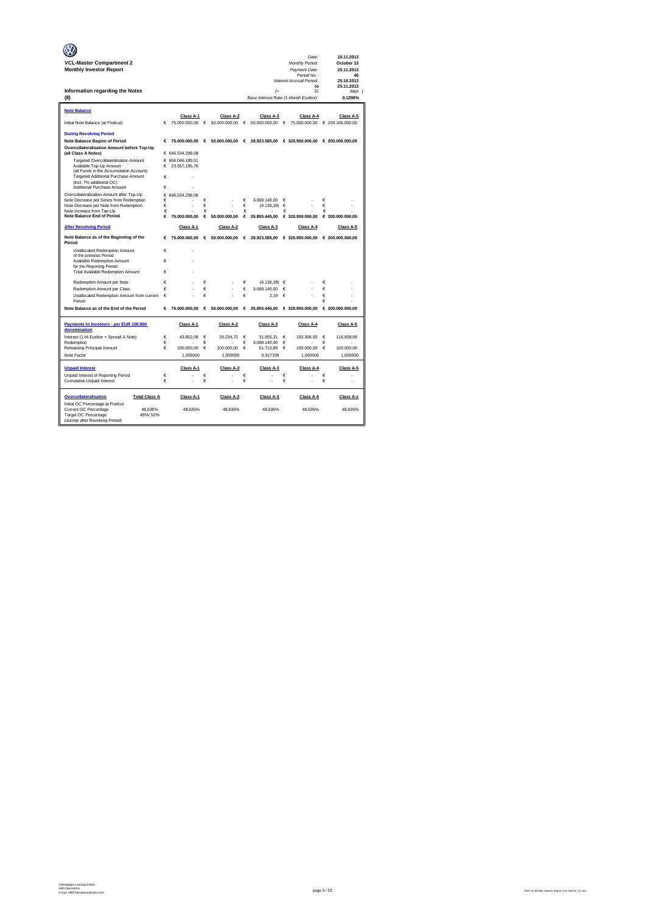|                                                                             |        |                            |            |                            |            |                                            |        | Date:                                           |        | 18.11.2013                    |
|-----------------------------------------------------------------------------|--------|----------------------------|------------|----------------------------|------------|--------------------------------------------|--------|-------------------------------------------------|--------|-------------------------------|
| <b>VCL-Master Compartment 2</b>                                             |        |                            |            |                            |            |                                            |        | Monthly Period:                                 |        | October 13                    |
| <b>Monthly Investor Report</b>                                              |        |                            |            |                            |            |                                            |        | Payment Date:<br>Period No.:                    |        | 25.11.2013<br>45              |
|                                                                             |        |                            |            |                            |            |                                            |        | Interest Accrual Period:                        |        | 25.10.2013                    |
|                                                                             |        |                            |            |                            |            |                                            |        | to<br>31                                        |        | 25.11.2013                    |
| Information regarding the Notes<br>(II)                                     |        |                            |            |                            |            | (<br>Base Interest Rate (1-Month Euribor): |        |                                                 |        | days )<br>0.1290%             |
|                                                                             |        |                            |            |                            |            |                                            |        |                                                 |        |                               |
| <b>Note Balance</b>                                                         |        |                            |            |                            |            |                                            |        |                                                 |        |                               |
| Initial Note Balance (at Poolcut)                                           | €      | Class A-1<br>75.000.000,00 | $\epsilon$ | Class A-2<br>50.000.000,00 | $\epsilon$ | Class A-3<br>50.000.000,00                 | €      | Class A-4<br>75.000.000,00                      |        | Class A-5<br>€ 159.100.000,00 |
|                                                                             |        |                            |            |                            |            |                                            |        |                                                 |        |                               |
| <b>During Revolving Period</b>                                              | €      |                            |            |                            |            |                                            |        |                                                 |        |                               |
| Note Balance Beginn of Period<br>Overcollateralisation Amount before Top-Up |        | 75,000,000.00 €            |            | 50,000,000,00 €            |            |                                            |        | 28.923.585.00 € 328.900.000.00 € 200.000.000.00 |        |                               |
| (all Class A Notes)                                                         |        | € 646.534.298,08           |            |                            |            |                                            |        |                                                 |        |                               |
| Targeted Overcollateralisation Amount                                       |        | € 656.046.189.51           |            |                            |            |                                            |        |                                                 |        |                               |
| Available Top-Up Amount<br>(all Funds in the Accumulation Account)          | €      | 23.557.195,76              |            |                            |            |                                            |        |                                                 |        |                               |
| Targeted Additional Purchase Amount                                         | €      |                            |            |                            |            |                                            |        |                                                 |        |                               |
| (incl. 7% additional OC)<br>Additional Purchase Amount                      | €      |                            |            |                            |            |                                            |        |                                                 |        |                               |
| Overcollateralisation Amount after Top-Up                                   | €      | 646,534,298.08             |            |                            |            |                                            |        |                                                 |        |                               |
| Note Decrease per Series from Redemption                                    | €      |                            | €          |                            | $\epsilon$ | 3.068.140,00                               | €      |                                                 | €      |                               |
| Note Decrease per Note from Redemption                                      | €      | ä,                         | €          |                            | $\in$      | (6.136, 28)                                | €      |                                                 | €      |                               |
| Note Increase from Tap-Up<br><b>Note Balance End of Period</b>              | €<br>€ | 75.000.000.00              | €<br>€     | 50,000,000.00              | €<br>€     | 25.855.445.00                              | €      | € 328,900,000.00                                | €      | € 200.000.000.00              |
|                                                                             |        |                            |            |                            |            |                                            |        |                                                 |        |                               |
| <b>After Revolving Period</b>                                               |        | Class A-1                  |            | Class A-2                  |            | Class A-3                                  |        | Class A-4                                       |        | Class A-5                     |
| Note Balance as of the Beginning of the<br>Period                           |        | 75.000.000.00<br>€         | €          | 50,000,000,00              |            | $E$ 28.923.585,00                          |        | € 328.900.000,00                                |        | € 200.000.000.00              |
| Unallocated Redemption Amount                                               | €      | ×.                         |            |                            |            |                                            |        |                                                 |        |                               |
| of the previous Period<br>Available Redemption Amount                       | €      |                            |            |                            |            |                                            |        |                                                 |        |                               |
| for the Reporting Period                                                    |        |                            |            |                            |            |                                            |        |                                                 |        |                               |
| Total Available Redemption Amount                                           | €      |                            |            |                            |            |                                            |        |                                                 |        |                               |
| Redemption Amount per Note                                                  | €      |                            | €          |                            | €          | (6.136.28)                                 | €      |                                                 | €      |                               |
| Redemption Amount per Class                                                 | €      | ł.                         | €          |                            | €          | 3.068.140.00                               | €      |                                                 | €      |                               |
| Unallocated Redemption Amount from current<br>Period                        | €      |                            | €          |                            | €          | 2,19                                       | €      |                                                 | €<br>€ |                               |
| Note Balance as of the End of the Period                                    | €      | 75,000,000,00              | $\epsilon$ | 50,000,000,00              |            | € 25.855.445.00 $€$ 328.900.000.00         |        |                                                 |        | € 200.000.000.00              |
|                                                                             |        |                            |            |                            |            |                                            |        |                                                 |        |                               |
| Payments to Investors - per EUR 100.000<br>denomination                     |        | Class A-1                  |            | Class A-2                  |            | Class A-3                                  |        | Class A-4                                       |        | Class A-5                     |
| Interest (1-M-Euribor + Spread A Note)                                      | €      | 43.852.08                  | €          | 29.234.72                  | €          | 31.855.31                                  | €      | 192.306.00                                      | €      | 116.938,89                    |
| Redemption                                                                  | €      |                            | €          |                            | €          | 3.068.140,00                               | €      |                                                 | €      |                               |
| Remaining Principal Amount                                                  | €      | 100.000,00                 | €          | 100.000,00                 | €          | 51.710,89                                  | €      | 100.000,00                                      | €      | 100.000,00                    |
| Note Factor                                                                 |        | 1,000000                   |            | 1,000000                   |            | 0,517109                                   |        | 1,000000                                        |        | 1,000000                      |
| <b>Unpaid Interest</b>                                                      |        | Class A-1                  |            | Class A-2                  |            | Class A-3                                  |        | Class A-4                                       |        | Class A-5                     |
| Unpaid Interest of Reporting Period                                         | €<br>€ |                            | €<br>€     |                            | €<br>€     |                                            | €<br>€ |                                                 | €<br>€ |                               |
| Cumulative Unpaid Interest                                                  |        |                            |            |                            |            |                                            |        |                                                 |        |                               |
| Overcollateralisation<br><b>Total Class A</b>                               |        | Class A-1                  |            | Class A-2                  |            | Class A-3                                  |        | Class A-4                                       |        | Class A-x                     |
| Initial OC Percentage at Poolcut<br>Current OC Percentage<br>48,635%        |        | 48,635%                    |            | 48,635%                    |            | 48,635%                                    |        | 48,635%                                         |        | 48,635%                       |
| Target OC Percentage<br>49%/52%                                             |        |                            |            |                            |            |                                            |        |                                                 |        |                               |
|                                                                             |        |                            |            |                            |            |                                            |        |                                                 |        |                               |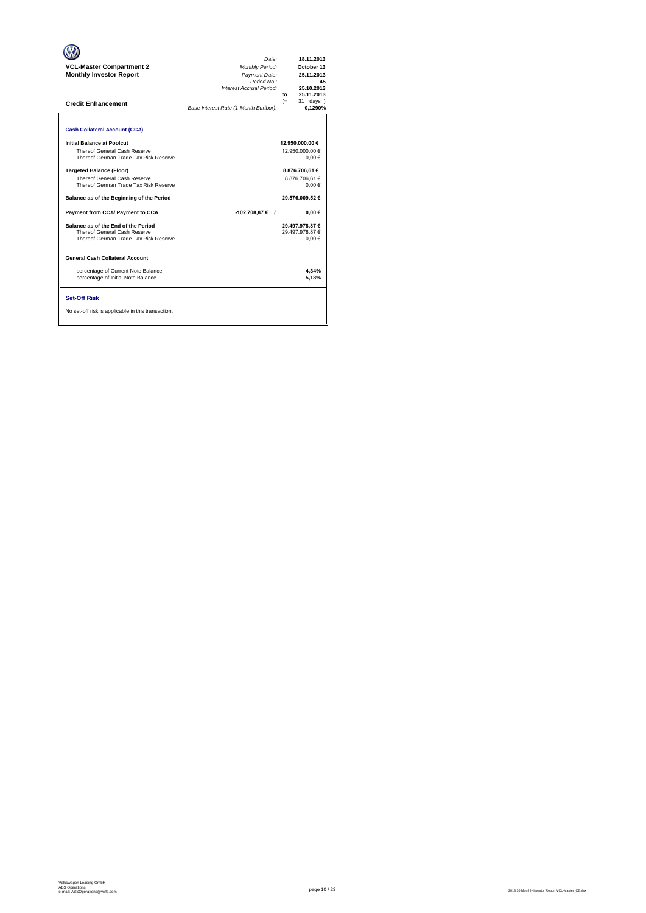| <b>VCL-Master Compartment 2</b><br><b>Monthly Investor Report</b><br><b>Credit Enhancement</b>               | Date:<br>Monthly Period:<br>Payment Date:<br>Period No.:<br>Interest Accrual Period:<br>Base Interest Rate (1-Month Euribor): | 18.11.2013<br>October 13<br>25.11.2013<br>45<br>25.10.2013<br>25.11.2013<br>to<br>$(=$<br>31 days<br>0,1290% |
|--------------------------------------------------------------------------------------------------------------|-------------------------------------------------------------------------------------------------------------------------------|--------------------------------------------------------------------------------------------------------------|
| <b>Cash Collateral Account (CCA)</b>                                                                         |                                                                                                                               |                                                                                                              |
| Initial Balance at Poolcut<br>Thereof General Cash Reserve<br>Thereof German Trade Tax Risk Reserve          |                                                                                                                               | 12.950.000,00 €<br>12.950.000.00 €<br>0.00€                                                                  |
| <b>Targeted Balance (Floor)</b><br>Thereof General Cash Reserve<br>Thereof German Trade Tax Risk Reserve     |                                                                                                                               | 8.876.706,61 €<br>8.876.706.61€<br>0.00€                                                                     |
| Balance as of the Beginning of the Period                                                                    |                                                                                                                               | 29.576.009.52 €                                                                                              |
| Payment from CCA/ Payment to CCA                                                                             | $-102.708.87 \in$ /                                                                                                           | $0.00 \in$                                                                                                   |
| Balance as of the End of the Period<br>Thereof General Cash Reserve<br>Thereof German Trade Tax Risk Reserve |                                                                                                                               | 29.497.978,87 €<br>29.497.978.87 €<br>0.00€                                                                  |
| <b>General Cash Collateral Account</b>                                                                       |                                                                                                                               |                                                                                                              |
| percentage of Current Note Balance<br>percentage of Initial Note Balance                                     |                                                                                                                               | 4.34%<br>5.18%                                                                                               |
| <b>Set-Off Risk</b><br>No set-off risk is applicable in this transaction.                                    |                                                                                                                               |                                                                                                              |

**. . . .** Trigger Level 1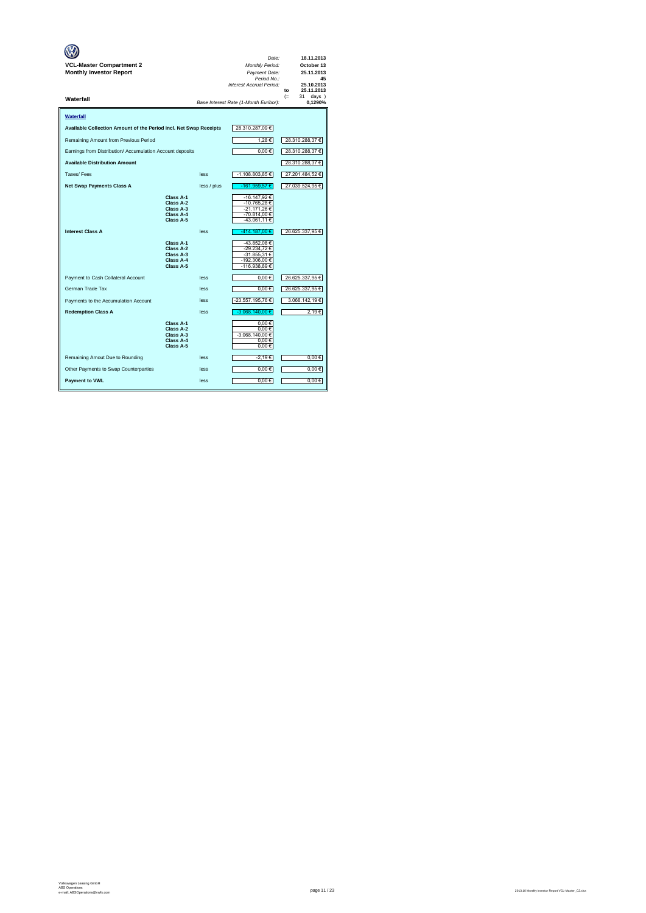| VCL-Master Compartment 2<br><b>Monthly Investor Report</b>        |                                                               |             | Date:<br>Monthly Period:<br>Payment Date:<br>Period No.:<br>Interest Accrual Period: | 18.11.2013<br>October 13<br>25.11.2013<br>45<br>25.10.2013<br>25.11.2013<br>to |
|-------------------------------------------------------------------|---------------------------------------------------------------|-------------|--------------------------------------------------------------------------------------|--------------------------------------------------------------------------------|
| Waterfall                                                         |                                                               |             | Base Interest Rate (1-Month Euribor):                                                | $(=$<br>31<br>$days$ )<br>0,1290%                                              |
| Waterfall                                                         |                                                               |             |                                                                                      |                                                                                |
| Available Collection Amount of the Period incl. Net Swap Receipts |                                                               |             | 28.310.287,09€                                                                       |                                                                                |
| Remaining Amount from Previous Period                             |                                                               |             | 1,28€                                                                                | 28.310.288,37 €                                                                |
| Earnings from Distribution/ Accumulation Account deposits         |                                                               |             | $0,00 \in$                                                                           | 28.310.288,37 €                                                                |
| <b>Available Distribution Amount</b>                              |                                                               |             |                                                                                      | 28.310.288,37 €                                                                |
| Taxes/Fees                                                        |                                                               | less        | -1.108.803,85 €                                                                      | 27.201.484,52 €                                                                |
| <b>Net Swap Payments Class A</b>                                  |                                                               | less / plus | -161.959,57€                                                                         | 27.039.524,95 €                                                                |
|                                                                   | Class A-1<br>Class A-2<br>Class A-3<br>Class A-4<br>Class A-5 |             | -16.147,92 €<br>-10.765,28 €<br>-21.171.26€<br>-70.814,00 €<br>-43.061,11 €          |                                                                                |
| <b>Interest Class A</b>                                           |                                                               | less        | -414.187,00 €                                                                        | 26.625.337,95 €                                                                |
|                                                                   | Class A-1<br>Class A-2<br>Class A-3<br>Class A-4<br>Class A-5 |             | -43.852,08 €<br>-29.234,72 €<br>-31.855,31 €<br>-192.306,00 €<br>-116.938,89 €       |                                                                                |
| Payment to Cash Collateral Account                                |                                                               | less        | $0.00 \in$                                                                           | 26.625.337,95 €                                                                |
| German Trade Tax                                                  |                                                               | less        | $0,00 \in$                                                                           | 26.625.337,95 €                                                                |
| Payments to the Accumulation Account                              |                                                               | less        | -23.557.195,76 €                                                                     | 3.068.142,19€                                                                  |
| <b>Redemption Class A</b>                                         |                                                               | less        | -3.068.140.00 €                                                                      | 2.19€                                                                          |
|                                                                   | Class A-1<br>Class A-2<br>Class A-3<br>Class A-4<br>Class A-5 |             | 0.00€<br>0.00€<br>-3.068.140,00 €<br>0,00€<br>$0,00 \in$                             |                                                                                |
| Remaining Amout Due to Rounding                                   |                                                               | less        | -2,19€                                                                               | $0,00 \in$                                                                     |
| Other Payments to Swap Counterparties                             |                                                               | less        | $0,00 \in$                                                                           | $0,00 \in$                                                                     |
| <b>Payment to VWL</b>                                             |                                                               | less        | 0,00€                                                                                | 0.00€                                                                          |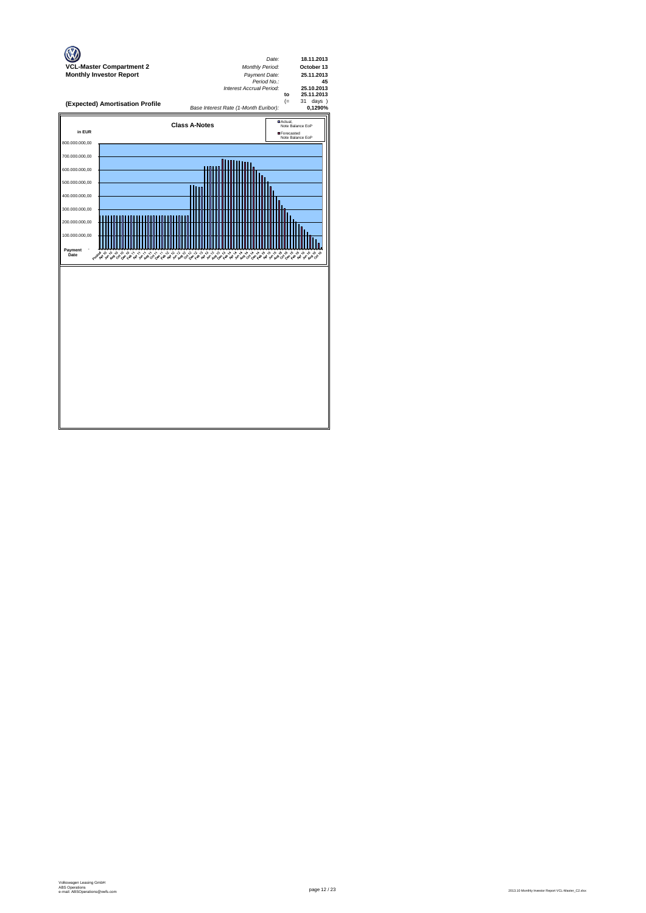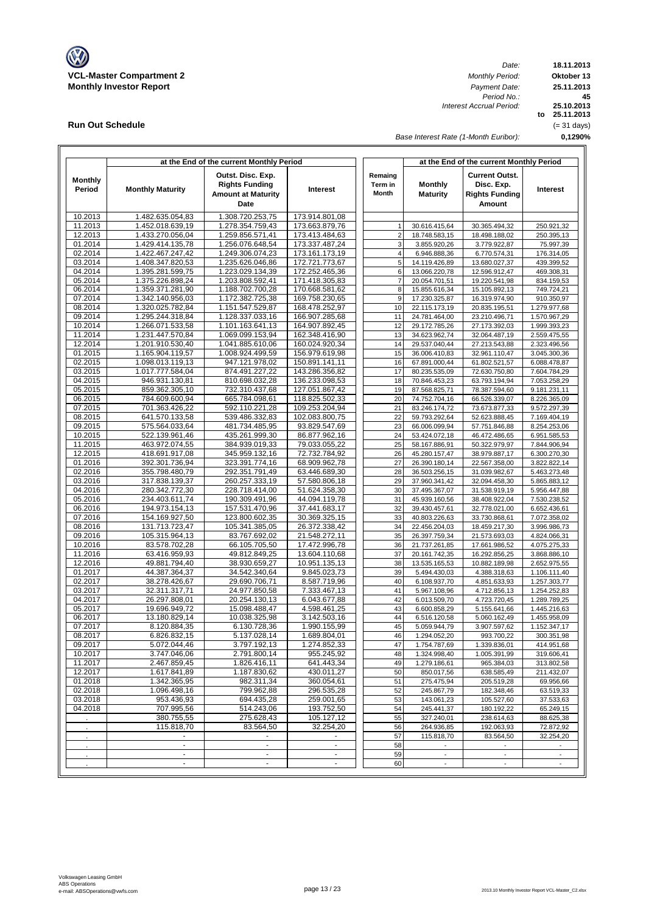

**Run Out Schedule**

*Date: Period No.: Interest Accrual Period:*

**18.11.2013 Oktober 13 to 25.11.2013 25.10.2013 0,1290% 45 25.11.2013** (= 31 days)

*Base Interest Rate (1-Month Euribor):*

|                    |                                      | at the End of the current Monthly Period                                        |                                  |                                    | at the End of the current Monthly Period |                                                                        |                              |
|--------------------|--------------------------------------|---------------------------------------------------------------------------------|----------------------------------|------------------------------------|------------------------------------------|------------------------------------------------------------------------|------------------------------|
| Monthly<br>Period  | <b>Monthly Maturity</b>              | Outst. Disc. Exp.<br><b>Rights Funding</b><br><b>Amount at Maturity</b><br>Date | Interest                         | Remaing<br>Term in<br><b>Month</b> | <b>Monthly</b><br><b>Maturity</b>        | <b>Current Outst.</b><br>Disc. Exp.<br><b>Rights Funding</b><br>Amount | <b>Interest</b>              |
| 10.2013            | 1.482.635.054,83                     | 1.308.720.253,75                                                                | 173.914.801,08                   |                                    |                                          |                                                                        |                              |
| 11.2013            | 1.452.018.639,19                     | 1.278.354.759,43                                                                | 173.663.879,76                   | $\mathbf{1}$                       | 30.616.415,64                            | 30.365.494,32                                                          | 250.921,32                   |
| 12.2013            | 1.433.270.056,04                     | 1.259.856.571,41                                                                | 173.413.484,63                   | $\boldsymbol{2}$                   | 18.748.583,15                            | 18.498.188,02                                                          | 250.395,13                   |
| 01.2014<br>02.2014 | 1.429.414.135,78<br>1.422.467.247,42 | 1.256.076.648,54<br>1.249.306.074,23                                            | 173.337.487,24<br>173.161.173,19 | 3<br>$\overline{4}$                | 3.855.920,26<br>6.946.888,36             | 3.779.922,87<br>6.770.574,31                                           | 75.997,39<br>176.314,05      |
| 03.2014            | 1.408.347.820,53                     | 1.235.626.046,86                                                                | 172.721.773,67                   | 5                                  | 14.119.426,89                            | 13.680.027,37                                                          | 439.399,52                   |
| 04.2014            | 1.395.281.599,75                     | 1.223.029.134,39                                                                | 172.252.465,36                   | 6                                  | 13.066.220,78                            | 12.596.912,47                                                          | 469.308,31                   |
| 05.2014            | 1.375.226.898,24                     | 1.203.808.592,41                                                                | 171.418.305,83                   | $\overline{7}$                     | 20.054.701,51                            | 19.220.541,98                                                          | 834.159,53                   |
| 06.2014            | 1.359.371.281,90                     | 1.188.702.700,28                                                                | 170.668.581,62                   | 8                                  | 15.855.616,34                            | 15.105.892,13                                                          | 749.724,21                   |
| 07.2014            | 1.342.140.956.03                     | 1.172.382.725,38                                                                | 169.758.230,65                   | 9                                  | 17.230.325,87                            | 16.319.974,90                                                          | 910.350,97                   |
| 08.2014            | 1.320.025.782,84                     | 1.151.547.529,87                                                                | 168.478.252,97                   | 10                                 | 22.115.173,19                            | 20.835.195,51                                                          | 1.279.977,68                 |
| 09.2014<br>10.2014 | 1.295.244.318,84<br>1.266.071.533,58 | 1.128.337.033,16<br>1.101.163.641,13                                            | 166.907.285,68<br>164.907.892,45 | 11<br>12                           | 24.781.464,00<br>29.172.785,26           | 23.210.496,71<br>27.173.392,03                                         | 1.570.967,29<br>1.999.393,23 |
| 11.2014            | 1.231.447.570,84                     | 1.069.099.153,94                                                                | 162.348.416,90                   | 13                                 | 34.623.962,74                            | 32.064.487,19                                                          | 2.559.475,55                 |
| 12.2014            | 1.201.910.530,40                     | 1.041.885.610,06                                                                | 160.024.920,34                   | 14                                 | 29.537.040,44                            | 27.213.543,88                                                          | 2.323.496,56                 |
| 01.2015            | 1.165.904.119,57                     | 1.008.924.499,59                                                                | 156.979.619,98                   | 15                                 | 36.006.410,83                            | 32.961.110,47                                                          | 3.045.300,36                 |
| 02.2015            | 1.098.013.119,13                     | 947.121.978,02                                                                  | 150.891.141,11                   | 16                                 | 67.891.000,44                            | 61.802.521,57                                                          | 6.088.478,87                 |
| 03.2015            | 1.017.777.584,04                     | 874.491.227,22                                                                  | 143.286.356,82                   | 17                                 | 80.235.535,09                            | 72.630.750,80                                                          | 7.604.784,29                 |
| 04.2015            | 946.931.130,81                       | 810.698.032,28                                                                  | 136.233.098,53                   | 18                                 | 70.846.453,23                            | 63.793.194,94                                                          | 7.053.258,29                 |
| 05.2015            | 859.362.305,10<br>784.609.600,94     | 732.310.437,68                                                                  | 127.051.867,42                   | 19<br>20                           | 87.568.825,71                            | 78.387.594,60                                                          | 9.181.231,11                 |
| 06.2015<br>07.2015 | 701.363.426,22                       | 665.784.098,61<br>592.110.221,28                                                | 118.825.502,33<br>109.253.204,94 | 21                                 | 74.752.704,16<br>83.246.174,72           | 66.526.339,07<br>73.673.877,33                                         | 8.226.365,09<br>9.572.297,39 |
| 08.2015            | 641.570.133,58                       | 539.486.332,83                                                                  | 102.083.800,75                   | 22                                 | 59.793.292,64                            | 52.623.888,45                                                          | 7.169.404,19                 |
| 09.2015            | 575.564.033,64                       | 481.734.485,95                                                                  | 93.829.547,69                    | 23                                 | 66.006.099,94                            | 57.751.846,88                                                          | 8.254.253,06                 |
| 10.2015            | 522.139.961,46                       | 435.261.999,30                                                                  | 86.877.962,16                    | 24                                 | 53.424.072,18                            | 46.472.486,65                                                          | 6.951.585,53                 |
| 11.2015            | 463.972.074,55                       | 384.939.019,33                                                                  | 79.033.055,22                    | 25                                 | 58.167.886,91                            | 50.322.979,97                                                          | 7.844.906,94                 |
| 12.2015            | 418.691.917,08                       | 345.959.132,16                                                                  | 72.732.784,92                    | 26                                 | 45.280.157,47                            | 38.979.887,17                                                          | 6.300.270,30                 |
| 01.2016            | 392.301.736,94                       | 323.391.774,16                                                                  | 68.909.962,78                    | 27                                 | 26.390.180,14                            | 22.567.358,00                                                          | 3.822.822,14                 |
| 02.2016<br>03.2016 | 355.798.480,79<br>317.838.139,37     | 292.351.791,49<br>260.257.333,19                                                | 63.446.689,30<br>57.580.806,18   | 28<br>29                           | 36.503.256,15<br>37.960.341,42           | 31.039.982,67                                                          | 5.463.273,48<br>5.865.883,12 |
| 04.2016            | 280.342.772,30                       | 228.718.414,00                                                                  | 51.624.358,30                    | 30                                 | 37.495.367,07                            | 32.094.458,30<br>31.538.919,19                                         | 5.956.447,88                 |
| 05.2016            | 234.403.611,74                       | 190.309.491,96                                                                  | 44.094.119,78                    | 31                                 | 45.939.160,56                            | 38.408.922,04                                                          | 7.530.238,52                 |
| 06.2016            | 194.973.154,13                       | 157.531.470,96                                                                  | 37.441.683,17                    | 32                                 | 39.430.457,61                            | 32.778.021,00                                                          | 6.652.436,61                 |
| 07.2016            | 154.169.927,50                       | 123.800.602,35                                                                  | 30.369.325,15                    | 33                                 | 40.803.226,63                            | 33.730.868,61                                                          | 7.072.358,02                 |
| 08.2016            | 131.713.723,47                       | 105.341.385,05                                                                  | 26.372.338,42                    | 34                                 | 22.456.204,03                            | 18.459.217,30                                                          | 3.996.986,73                 |
| 09.2016            | 105.315.964,13                       | 83.767.692,02                                                                   | 21.548.272,11                    | 35                                 | 26.397.759,34                            | 21.573.693,03                                                          | 4.824.066,31                 |
| 10.2016            | 83.578.702,28                        | 66.105.705,50                                                                   | 17.472.996,78                    | 36                                 | 21.737.261,85                            | 17.661.986,52                                                          | 4.075.275,33                 |
| 11.2016<br>12.2016 | 63.416.959,93<br>49.881.794,40       | 49.812.849,25<br>38.930.659,27                                                  | 13.604.110,68<br>10.951.135,13   | 37<br>38                           | 20.161.742,35<br>13.535.165,53           | 16.292.856,25<br>10.882.189,98                                         | 3.868.886,10<br>2.652.975,55 |
| 01.2017            | 44.387.364,37                        | 34.542.340,64                                                                   | 9.845.023,73                     | 39                                 | 5.494.430,03                             | 4.388.318,63                                                           | 1.106.111,40                 |
| 02.2017            | 38.278.426,67                        | 29.690.706,71                                                                   | 8.587.719,96                     | 40                                 | 6.108.937,70                             | 4.851.633,93                                                           | 1.257.303,77                 |
| 03.2017            | 32.311.317,71                        | 24.977.850,58                                                                   | 7.333.467,13                     | 41                                 | 5.967.108,96                             | 4.712.856,13                                                           | 1.254.252,83                 |
| 04.2017            | 26.297.808,01                        | 20.254.130,13                                                                   | 6.043.677,88                     | 42                                 | 6.013.509,70                             | 4.723.720,45                                                           | 1.289.789,25                 |
| 05.2017            | 19.696.949,72                        | 15.098.488,47                                                                   | 4.598.461,25                     | 43                                 | 6.600.858,29                             | 5.155.641,66                                                           | 1.445.216,63                 |
| 06.2017            | 13.180.829,14                        | 10.038.325,98                                                                   | 3.142.503,16                     | 44                                 | 6.516.120,58                             | 5.060.162,49                                                           | 1.455.958,09                 |
| 07.2017<br>08.2017 | 8.120.884.35<br>6.826.832,15         | 6.130.728,36<br>5.137.028,14                                                    | 1.990.155,99<br>1.689.804,01     | 45<br>46                           | 5.059.944,79<br>1.294.052,20             | 3.907.597,62<br>993.700,22                                             | 1.152.347,17<br>300.351,98   |
| 09.2017            | 5.072.044,46                         | 3.797.192,13                                                                    | 1.274.852,33                     | 47                                 | 1.754.787,69                             | 1.339.836,01                                                           | 414.951,68                   |
| 10.2017            | 3.747.046,06                         | 2.791.800,14                                                                    | 955.245,92                       | 48                                 | 1.324.998,40                             | 1.005.391,99                                                           | 319.606,41                   |
| 11.2017            | 2.467.859,45                         | 1.826.416,11                                                                    | 641.443,34                       | 49                                 | 1.279.186,61                             | 965.384,03                                                             | 313.802,58                   |
| 12.2017            | 1.617.841.89                         | 1.187.830,62                                                                    | 430.011,27                       | 50                                 | 850.017,56                               | 638.585,49                                                             | 211.432,07                   |
| 01.2018            | 1.342.365,95                         | 982.311,34                                                                      | 360.054,61                       | 51                                 | 275.475,94                               | 205.519,28                                                             | 69.956,66                    |
| 02.2018            | 1.096.498,16                         | 799.962,88                                                                      | 296.535,28                       | 52                                 | 245.867,79                               | 182.348,46                                                             | 63.519,33                    |
| 03.2018<br>04.2018 | 953.436,93<br>707.995,56             | 694.435,28<br>514.243,06                                                        | 259.001,65<br>193.752,50         | 53<br>54                           | 143.061,23<br>245.441,37                 | 105.527,60<br>180.192,22                                               | 37.533,63<br>65.249,15       |
|                    | 380.755,55                           | 275.628,43                                                                      | 105.127,12                       | 55                                 | 327.240,01                               | 238.614.63                                                             | 88.625,38                    |
|                    | 115.818,70                           | 83.564,50                                                                       | 32.254,20                        | 56                                 | 264.936,85                               | 192.063,93                                                             | 72.872,92                    |
|                    | $\blacksquare$                       | $\blacksquare$                                                                  | $\blacksquare$                   | 57                                 | 115.818,70                               | 83.564,50                                                              | 32.254,20                    |
|                    | $\blacksquare$                       | $\blacksquare$                                                                  | $\blacksquare$                   | 58                                 | $\overline{\phantom{a}}$                 |                                                                        |                              |
|                    | $\blacksquare$                       | $\blacksquare$                                                                  | $\overline{\phantom{a}}$         | 59                                 | $\overline{\phantom{a}}$                 | $\overline{\phantom{a}}$                                               | $\overline{\phantom{a}}$     |
|                    |                                      | $\sim$                                                                          |                                  | 60                                 |                                          |                                                                        |                              |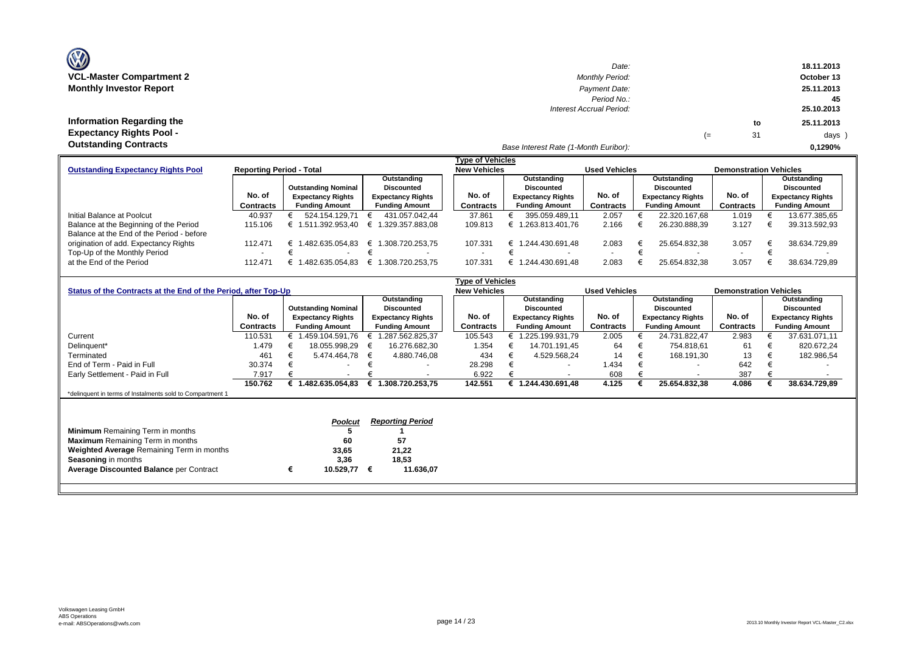| <b>OZ</b>                       |
|---------------------------------|
| <b>VCL-Master Compartment 2</b> |
| <b>Monthly Investor Report</b>  |

| $\mathbf{w}$                    | Date:                                 |    |    | 18.11.2013 |
|---------------------------------|---------------------------------------|----|----|------------|
| VCL-Master Compartment 2        | <b>Monthly Period:</b>                |    |    | October 13 |
| <b>Monthly Investor Report</b>  | Payment Date:                         |    |    | 25.11.2013 |
|                                 | Period No.:                           |    |    | 45         |
|                                 | Interest Accrual Period:              |    |    | 25.10.2013 |
| Information Regarding the       |                                       |    | to | 25.11.2013 |
| <b>Expectancy Rights Pool -</b> |                                       | (≕ | 31 | days )     |
| <b>Outstanding Contracts</b>    | Base Interest Rate (1-Month Euribor): |    |    | 0.1290%    |

|                                           |                                 |                            |                          | <b>Type of Vehicles</b> |                          |                      |                          |                               |                          |
|-------------------------------------------|---------------------------------|----------------------------|--------------------------|-------------------------|--------------------------|----------------------|--------------------------|-------------------------------|--------------------------|
| <b>Outstanding Expectancy Rights Pool</b> | <b>Reporting Period - Total</b> |                            |                          | <b>New Vehicles</b>     |                          | <b>Used Vehicles</b> |                          | <b>Demonstration Vehicles</b> |                          |
|                                           |                                 |                            | Outstanding              |                         | Outstanding              |                      | Outstanding              |                               | Outstanding              |
|                                           |                                 | <b>Outstanding Nominal</b> | <b>Discounted</b>        |                         | Discounted               |                      | Discounted               |                               | Discounted               |
|                                           | No. of                          | <b>Expectancy Rights</b>   | <b>Expectancy Rights</b> | No. of                  | <b>Expectancy Rights</b> | No. of               | <b>Expectancy Rights</b> | No. of                        | <b>Expectancy Rights</b> |
|                                           | Contracts                       | <b>Funding Amount</b>      | <b>Funding Amount</b>    | Contracts               | <b>Funding Amount</b>    | <b>Contracts</b>     | <b>Funding Amount</b>    | Contracts                     | <b>Funding Amount</b>    |
| Initial Balance at Poolcut                | 40.937                          | 524.154.129.71             | 431.057.042.44           | 37.861                  | 395.059.489.11           | 2.057                | 22.320.167.68            | 1.019                         | 13.677.385,65            |
| Balance at the Beginning of the Period    | 115.106                         | 1.511.392.953.40           | .329.357.883.08          | 109.813                 | € 1.263.813.401.76       | 2.166                | 26.230.888.39            | 3.127                         | 39.313.592,93            |
| Balance at the End of the Period - before |                                 |                            |                          |                         |                          |                      |                          |                               |                          |
| origination of add. Expectancy Rights     | 112.471                         | .482.635.054.83            | € 1.308.720.253.75       | 107.331                 | € 1.244.430.691.48       | 2.083                | 25.654.832.38            | 3.057                         | 38.634.729.89            |
| Top-Up of the Monthly Period              |                                 |                            |                          |                         |                          |                      |                          |                               |                          |
| at the End of the Period                  | 112.471                         | 482.635.054.83             | € 1.308.720.253.75       | 107.331                 | € 1.244.430.691.48       | 2.083                | 25.654.832.38            | 3.057                         | 38.634.729.89            |

|                                                                |                  |   |                            |   |                          | <b>Type of Vehicles</b> |                          |                      |                          |                               |                          |
|----------------------------------------------------------------|------------------|---|----------------------------|---|--------------------------|-------------------------|--------------------------|----------------------|--------------------------|-------------------------------|--------------------------|
| Status of the Contracts at the End of the Period, after Top-Up |                  |   |                            |   |                          | <b>New Vehicles</b>     |                          | <b>Used Vehicles</b> |                          | <b>Demonstration Vehicles</b> |                          |
|                                                                |                  |   |                            |   | Outstanding              |                         | Outstanding              |                      | Outstanding              |                               | Outstanding              |
|                                                                |                  |   | <b>Outstanding Nominal</b> |   | <b>Discounted</b>        |                         | <b>Discounted</b>        |                      | <b>Discounted</b>        |                               | <b>Discounted</b>        |
|                                                                | No. of           |   | <b>Expectancy Rights</b>   |   | <b>Expectancy Rights</b> | No. of                  | <b>Expectancy Rights</b> | No. of               | <b>Expectancy Rights</b> | No. of                        | <b>Expectancy Rights</b> |
|                                                                | <b>Contracts</b> |   | <b>Funding Amount</b>      |   | <b>Funding Amount</b>    | Contracts               | <b>Funding Amount</b>    | <b>Contracts</b>     | <b>Funding Amount</b>    | <b>Contracts</b>              | <b>Funding Amount</b>    |
| Current                                                        | 110.531          |   | € 1.459.104.591,76         | € | 1.287.562.825,37         | 105.543                 | 1.225.199.931.79         | 2.005                | 24.731.822,47            | 2.983                         | 37.631.071,11            |
| Delinguent*                                                    | 1.479            |   | 18.055.998.29              |   | 16.276.682,30            | 1.354                   | 14.701.191.45            | 64                   | 754.818.61               | 61                            | 820.672,24               |
| Terminated                                                     | 461              |   | 5.474.464.78               | € | 4.880.746,08             | 434                     | 4.529.568,24             | 14                   | 168.191,30               | 13                            | 182.986,54               |
| End of Term - Paid in Full                                     | 30.374           |   | $\overline{\phantom{0}}$   |   | $\overline{\phantom{0}}$ | 28.298                  | $\overline{\phantom{a}}$ | 1.434                | $\overline{\phantom{a}}$ | 642                           |                          |
| Early Settlement - Paid in Full                                | 7.917            |   |                            |   |                          | 6.922                   |                          | 608                  |                          | 387                           |                          |
|                                                                | 150.762          |   | 1.482.635.054,83           | € | 1.308.720.253,75         | 142.551                 | 1.244.430.691,48         | 4.125                | 25.654.832,38            | 4.086                         | 38.634.729,89            |
| *delinquent in terms of Instalments sold to Compartment 1      |                  |   |                            |   |                          |                         |                          |                      |                          |                               |                          |
|                                                                |                  |   |                            |   |                          |                         |                          |                      |                          |                               |                          |
|                                                                |                  |   |                            |   |                          |                         |                          |                      |                          |                               |                          |
|                                                                |                  |   | <b>Poolcut</b>             |   | <b>Reporting Period</b>  |                         |                          |                      |                          |                               |                          |
| <b>Minimum</b> Remaining Term in months                        |                  |   |                            |   |                          |                         |                          |                      |                          |                               |                          |
| <b>Maximum</b> Remaining Term in months                        |                  |   | 60                         |   | 57                       |                         |                          |                      |                          |                               |                          |
| Weighted Average Remaining Term in months                      |                  |   | 33,65                      |   | 21,22                    |                         |                          |                      |                          |                               |                          |
| <b>Seasoning in months</b>                                     |                  |   | 3,36                       |   | 18,53                    |                         |                          |                      |                          |                               |                          |
| <b>Average Discounted Balance per Contract</b>                 |                  | € | 10.529,77                  | € | 11.636,07                |                         |                          |                      |                          |                               |                          |
|                                                                |                  |   |                            |   |                          |                         |                          |                      |                          |                               |                          |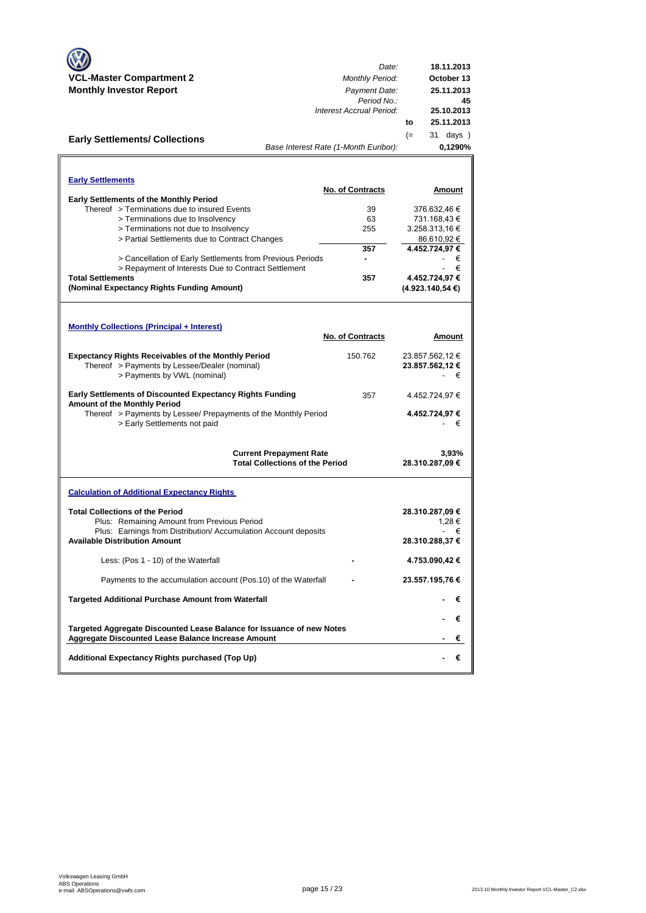|                                                                                                                                            | Date:                                                                    |      | 18.11.2013                              |
|--------------------------------------------------------------------------------------------------------------------------------------------|--------------------------------------------------------------------------|------|-----------------------------------------|
| <b>VCL-Master Compartment 2</b>                                                                                                            | <b>Monthly Period:</b>                                                   |      | October 13                              |
| <b>Monthly Investor Report</b>                                                                                                             | Payment Date:                                                            |      | 25.11.2013                              |
|                                                                                                                                            | Period No.:<br>Interest Accrual Period:                                  |      | 45<br>25.10.2013                        |
|                                                                                                                                            |                                                                          | to   | 25.11.2013                              |
|                                                                                                                                            |                                                                          | $(=$ | $31$ days $)$                           |
| <b>Early Settlements/ Collections</b>                                                                                                      | Base Interest Rate (1-Month Euribor):                                    |      | 0,1290%                                 |
|                                                                                                                                            |                                                                          |      |                                         |
|                                                                                                                                            |                                                                          |      |                                         |
| <b>Early Settlements</b>                                                                                                                   | <b>No. of Contracts</b>                                                  |      | Amount                                  |
| <b>Early Settlements of the Monthly Period</b>                                                                                             |                                                                          |      |                                         |
| Thereof > Terminations due to insured Events                                                                                               | 39                                                                       |      | 376.632,46 €                            |
| > Terminations due to Insolvency                                                                                                           | 63                                                                       |      | 731.168,43 €                            |
| > Terminations not due to Insolvency                                                                                                       | 255                                                                      |      | 3.258.313,16 €                          |
| > Partial Settlements due to Contract Changes                                                                                              |                                                                          |      | 86.610,92 €                             |
|                                                                                                                                            | 357                                                                      |      | 4.452.724,97 €                          |
| > Cancellation of Early Settlements from Previous Periods                                                                                  | ٠                                                                        |      | €                                       |
| > Repayment of Interests Due to Contract Settlement                                                                                        |                                                                          |      | €                                       |
| Total Settlements                                                                                                                          | 357                                                                      |      | 4.452.724,97 €                          |
| (Nominal Expectancy Rights Funding Amount)                                                                                                 |                                                                          |      | (4.923.140, 54€)                        |
| <b>Monthly Collections (Principal + Interest)</b>                                                                                          | <b>No. of Contracts</b>                                                  |      | Amount                                  |
|                                                                                                                                            |                                                                          |      |                                         |
| <b>Expectancy Rights Receivables of the Monthly Period</b><br>Thereof > Payments by Lessee/Dealer (nominal)<br>> Payments by VWL (nominal) | 150.762                                                                  |      | 23.857.562,12 €<br>23.857.562,12 €<br>€ |
| <b>Early Settlements of Discounted Expectancy Rights Funding</b><br><b>Amount of the Monthly Period</b>                                    | 357                                                                      |      | 4.452.724,97 €                          |
| Thereof > Payments by Lessee/ Prepayments of the Monthly Period<br>> Early Settlements not paid                                            |                                                                          |      | 4.452.724,97 €<br>€                     |
|                                                                                                                                            | <b>Current Prepayment Rate</b><br><b>Total Collections of the Period</b> |      | 3,93%<br>28.310.287,09 €                |
| <b>Calculation of Additional Expectancy Rights</b>                                                                                         |                                                                          |      |                                         |
| <b>Total Collections of the Period</b>                                                                                                     |                                                                          |      | 28.310.287,09 €                         |
| Plus: Remaining Amount from Previous Period                                                                                                |                                                                          |      | 1,28 €                                  |
| Plus: Earnings from Distribution/Accumulation Account deposits                                                                             |                                                                          |      | €                                       |
| <b>Available Distribution Amount</b>                                                                                                       |                                                                          |      | 28.310.288,37 €                         |
|                                                                                                                                            |                                                                          |      |                                         |
| Less: (Pos 1 - 10) of the Waterfall                                                                                                        |                                                                          |      | 4.753.090,42 €                          |
| Payments to the accumulation account (Pos.10) of the Waterfall                                                                             |                                                                          |      | 23.557.195,76 €                         |
| Targeted Additional Purchase Amount from Waterfall                                                                                         |                                                                          |      | €                                       |
|                                                                                                                                            |                                                                          |      | €                                       |
| Targeted Aggregate Discounted Lease Balance for Issuance of new Notes<br>Aggregate Discounted Lease Balance Increase Amount                |                                                                          |      | €                                       |
| Additional Expectancy Rights purchased (Top Up)                                                                                            |                                                                          |      | €                                       |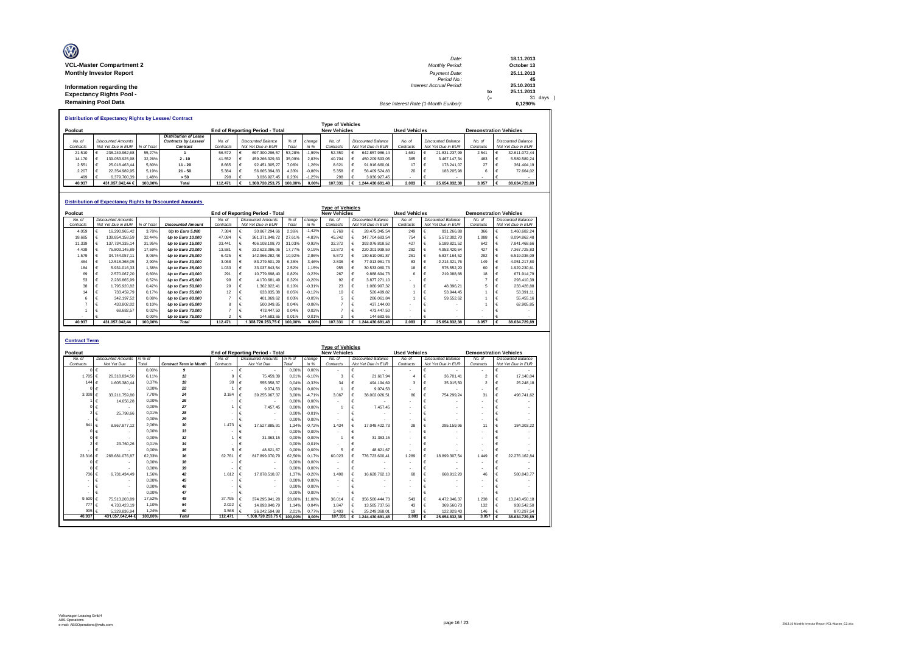| Ø                               | Date:                                 |    | 18.11.2013 |
|---------------------------------|---------------------------------------|----|------------|
| <b>VCL-Master Compartment 2</b> | <b>Monthly Period:</b>                |    | October 13 |
| <b>Monthly Investor Report</b>  | Payment Date:                         |    | 25.11.2013 |
|                                 | Period No.:                           |    | 45         |
| Information regarding the       | <b>Interest Accrual Period:</b>       |    | 25.10.2013 |
| <b>Expectancy Rights Pool -</b> |                                       | to | 25.11.2013 |
|                                 |                                       | =  | 31 days )  |
| <b>Remaining Pool Data</b>      | Base Interest Rate (1-Month Euribor): |    | 0.1290%    |

**Distribution of Expectancy Rights by Lessee/ Contract**

|           | <b>Type of Vehicles</b> |                               |         |                       |           |                    |                                        |         |                                         |                              |              |                |                      |                           |                    |                               |                           |               |                    |
|-----------|-------------------------|-------------------------------|---------|-----------------------|-----------|--------------------|----------------------------------------|---------|-----------------------------------------|------------------------------|--------------|----------------|----------------------|---------------------------|--------------------|-------------------------------|---------------------------|---------------|--------------------|
| Poolcut   |                         |                               |         |                       |           |                    | <b>End of Reporting Period - Total</b> |         |                                         | <b>New Vehicles</b>          |              |                | <b>Used Vehicles</b> |                           |                    | <b>Demonstration Vehicles</b> |                           |               |                    |
|           |                         |                               |         | Distribution of Lease |           |                    |                                        |         |                                         |                              |              |                |                      |                           |                    |                               |                           |               |                    |
| No. of    |                         | <b>Discounted Amounts</b>     |         | Contracts by Lessee/  | No. of    | Discounted Balance |                                        | $%$ of  | change                                  | No. of<br>Discounted Balance |              | No. of         |                      | <b>Discounted Balance</b> | No. of             |                               | <b>Discounted Balance</b> |               |                    |
| Contracts |                         | Not Yet Due in EUR % of Total |         | Contract              | Contracts |                    | Not Yet Due in EUR                     | Total   | Not Yet Due in EUR<br>in %<br>Contracts |                              |              | Contracts      |                      |                           | Not Yet Due in EUR |                               | Contracts                 |               | Not Yet Due in EUR |
| 21.510    |                         | 238.249.962.68                | 55.27%  |                       | 56.572    |                    | 697.300.296.57                         | 53.28%  | $-1.99%$                                | 52,350                       |              | 642.857.986.14 | 1.681                |                           | 21.831.237.99      | 2.541                         |                           | 32.611.072.44 |                    |
| 14.170    |                         | 139.053.925.98                | 32.26%  | $2 - 10$              | 41.552    |                    | 459.266.329.63                         | 35.09%  | 2.83%                                   | 40.704                       |              | 450.209.593.05 | 365                  |                           | 3.467.147.34       | 483                           |                           | 5.589.589.24  |                    |
| 2.551     |                         | 25.018.463.44                 | 5.80%   | $11 - 20$             | 8.665     |                    | 92.451.305.27                          | 7.06%   | 1.26%                                   | 8.621                        |              | 91.916.660.01  | 17                   |                           | 173,241.07         | 27                            |                           | 361.404.19    |                    |
| 2.207     |                         | 22.354.989.95                 | 5.19%   | $21 - 50$             | 5.384     |                    | 56.665.394.83                          | 4.33%   | $-0.86%$                                | 5.358                        |              | 56.409.524.83  | 20                   |                           | 183,205.98         |                               |                           | 72.664.02     |                    |
| 499       |                         | 6.379.700.39                  | .48%    | > 50                  | 298       |                    | 3.036.927.45                           | 0.23%   | $-1.25%$<br>298                         |                              | 3.036.927.45 |                |                      |                           |                    |                               |                           |               |                    |
| 40.937    |                         | 431.057.042.44 €              | 100.00% | Total                 | 112.471   |                    | 1.308.720.253.75                       | 100.00% | 0.00%                                   | 107.331                      |              | 244.430.691.48 | 2.083                |                           | 25.654.832.38      | 3.057                         |                           | 38.634.729.89 |                    |

|           | Distribution of Expectancy Rights by Discounted Amounts |                           |            |                          |           |  |                                        |        |          |                         |  |                           |                      |                           |                    |                               |   |                           |
|-----------|---------------------------------------------------------|---------------------------|------------|--------------------------|-----------|--|----------------------------------------|--------|----------|-------------------------|--|---------------------------|----------------------|---------------------------|--------------------|-------------------------------|---|---------------------------|
|           |                                                         |                           |            |                          |           |  |                                        |        |          | <b>Type of Vehicles</b> |  |                           |                      |                           |                    |                               |   |                           |
| Poolcut   |                                                         |                           |            |                          |           |  | <b>End of Reporting Period - Total</b> |        |          | <b>New Vehicles</b>     |  |                           | <b>Used Vehicles</b> |                           |                    | <b>Demonstration Vehicles</b> |   |                           |
| No. of    |                                                         | <b>Discounted Amounts</b> |            |                          | No. of    |  | Discounted Amounts                     | $%$ of | change   | No. of                  |  | <b>Discounted Balance</b> | No. of               | <b>Discounted Balance</b> |                    | No. of                        |   | <b>Discounted Balance</b> |
| Contracts |                                                         | Not Yet Due in EUR        | % of Total | <b>Discounted Amount</b> | Contracts |  | Not Yet Due in EUR                     | Total  | in %     | Contracts               |  | Not Yet Due in EUR        | Contracts            |                           | Not Yet Due in EUR | Contracts                     |   | Not Yet Due in EUR        |
| 4.059     |                                                         | 16.290.965.42             | 3.78%      | Up to Euro 5,000         | 7.384     |  | 30.867.294.66                          | 2.36%  | $-1.42%$ | 6.769                   |  | 28.475.345.54             | 249                  |                           | 931.266.88         | 366                           |   | 1.460.682.24              |
| 18,685    |                                                         | 139.854.158.59            | 32.44%     | Up to Euro 10,000        | 47.084    |  | 361.371.848.72                         | 27.61% | $-4.83%$ | 45.242                  |  | 347.704.683,54            | 754                  |                           | 5.572.302.70       | 1.088                         |   | 8.094.862.48              |
| 11.339    |                                                         | 137.734.335.14            | 31,95%     | Up to Euro 15,000        | 33,441    |  | 406.108.108.70                         | 31,03% | $-0.92%$ | 32.372                  |  | 393.076.818.52            | 427                  |                           | 5.189.821.52       | 642                           |   | 7.841.468,66              |
| 4.439     |                                                         | 75,803,145.89             | 17.59%     | Up to Euro 20,000        | 13,581    |  | 232.623.086.06                         | 17.77% | 0.19%    | 12.872                  |  | 220.301.939.59            | 282                  |                           | 4.953.420.64       | 427                           |   | 7.367.725.83              |
| 1.579     |                                                         | 34.744.057.11             | 8.06%      | Up to Euro 25,000        | 6.425     |  | 142.966.282.48                         | 10.92% | 2.86%    | 5.872                   |  | 130.610.081.87            | 261                  |                           | 5.837.164.52       | 292                           |   | 6.519.036.09              |
| 464       |                                                         | 12.518.368.05             | 2.90%      | Up to Euro 30,000        | 3.068     |  | 83.279.501.29                          | 6.36%  | 3.46%    | 2.836                   |  | 77.013.961.73             | 83                   |                           | 2.214.321.76       | 149                           |   | 4.051.217,80              |
| 184       |                                                         | 5.931.016.33              | 1.38%      | Up to Euro 35,000        | 1.033     |  | 33.037.843,54                          | 2.52%  | 1.15%    | 955                     |  | 30.533.060.73             | 18                   |                           | 575.552.20         | 60                            |   | 1.929.230.61              |
| 69        |                                                         | 2.570.067.20              | 0.60%      | Up to Euro 40,000        | 291       |  | 10.779.698.40                          | 0.82%  | 0.23%    | 267                     |  | 9.888.694.73              |                      |                           | 219,088.88         | 18                            |   | 671.914.79                |
| 53        |                                                         | 2.236.865.99              | 0,52%      | Up to Euro 45,000        | 99        |  | 4.170.681.49                           | 0,32%  | $-0.20%$ | 92                      |  | 3.877.271.10              |                      |                           |                    |                               |   | 293.410,39                |
| 38        |                                                         | 1.795.920.82              | 0.42%      | Up to Euro 50,000        | 29        |  | 1.362.822.4                            | 0.10%  | $-0.31%$ | 23                      |  | 1.080.997.32              |                      |                           | 48.396.21          |                               |   | 233.428.88                |
| 14        |                                                         | 733.459.79                | 0.17%      | Up to Euro 55,000        | 12        |  | 633.835,38                             | 0,05%  | $-0.12%$ | 10                      |  | 526.499.82                |                      |                           | 53.944.45          |                               |   | 53.391,11                 |
|           |                                                         | 342.197.52                | 0.08%      | Up to Euro 60,000        |           |  | 401.069,62                             | 0.03%  | $-0.05%$ | ħ                       |  | 286.061.84                |                      |                           | 59.552.62          |                               |   | 55.455,16                 |
|           |                                                         | 433.802.02                | 0.10%      | Up to Euro 65,000        | 8         |  | 500.049.85                             | 0.04%  | $-0.06%$ |                         |  | 437.144.00                |                      |                           |                    |                               |   | 62.905.85                 |
|           |                                                         | 68.682.57                 | 0.02%      | Up to Euro 70,000        |           |  | 473.447.50                             | 0.04%  | 0.02%    |                         |  | 473,447.50                |                      |                           |                    |                               |   |                           |
|           |                                                         |                           | 0.00%      | Up to Euro 75,000        |           |  | 144,683,65                             | 0.01%  | 0.01%    |                         |  | 144,683.65                |                      |                           |                    |                               |   |                           |
| 40.937    |                                                         | 431.057.042.44            | 100.00%    | <b>Total</b>             | 112,471   |  | 1.308.720.253.75 € 100.00%             |        | 0.00%    | 107.331                 |  | 1.244.430.691.48          | 2.083                |                           | 25.654.832.38      | 3.057                         | € | 38.634.729.89             |

| <b>Contract Term</b><br><b>Type of Vehicles</b> |                           |         |                               |           |                                        |         |          |                          |            |                    |                          |  |                           |                               |   |                           |
|-------------------------------------------------|---------------------------|---------|-------------------------------|-----------|----------------------------------------|---------|----------|--------------------------|------------|--------------------|--------------------------|--|---------------------------|-------------------------------|---|---------------------------|
| Poolcut                                         |                           |         |                               |           | <b>End of Reporting Period - Total</b> |         |          | <b>New Vehicles</b>      |            |                    | <b>Used Vehicles</b>     |  |                           | <b>Demonstration Vehicles</b> |   |                           |
| No. of                                          | <b>Discounted Amounts</b> | in % of |                               | No. of    | <b>Discounted Amounts</b>              | in % of | change   | No. of                   |            | Discounted Balance | No. of                   |  | <b>Discounted Balance</b> | No. of                        |   | <b>Discounted Balance</b> |
| Contracts                                       | Not Yet Due               | Total   | <b>Contract Term in Month</b> | Contracts | Not Yet Due                            | Total   | in %     | Contracts                |            | Not Yet Due in EUR | Contracts                |  | Not Yet Due in EUR        | Contracts                     |   | Not Yet Due in EUR        |
|                                                 | €                         | 0.00%   | 9                             |           | €<br>$\blacksquare$                    | 0.00%   | 0.00%    | $\sim$                   | €          |                    | $\sim$                   |  | . .                       | $\overline{\phantom{a}}$      | € |                           |
| 1.705                                           | 26.318.834.50<br>∣€       | 6.11%   | 12                            | 9         | €<br>75.459.39                         | 0.01%   | $-6.10%$ | 3                        | €          | 21.617.94          | 4                        |  | 36,701.41                 | $\overline{2}$                | € | 17.140.04                 |
| 144 $f$                                         | 1.605.380.44              | 0.37%   | 18                            | 39        | €<br>555, 358, 37                      | 0.049   | $-0.33%$ | 34                       | €          | 494.194.69         | 3                        |  | 35,915.50                 | $\overline{2}$                | € | 25.248.18                 |
|                                                 | €                         | 0.00%   | 22                            |           | €<br>9.074.53                          | 0.00%   | 0.00%    |                          | $\epsilon$ | 9.074.53           |                          |  |                           |                               | € |                           |
| 3.008 $\epsilon$                                | 33.211.759.80             | 7.70%   | 24                            | 3.184     | €<br>39.255.067.37                     | 3.00%   | $-4.71%$ | 3.067                    | $\epsilon$ | 38.002.026.51      | 86                       |  | 754.299.24                | 31                            | € | 498.741.62                |
|                                                 | 14.656.28<br>€            | 0.00%   | 26                            |           | €<br>$\blacksquare$                    | 0.00%   | 0.00%    |                          | €          |                    |                          |  |                           |                               | € |                           |
|                                                 | €                         | 0.00%   | 27                            |           | €<br>7.457.45                          | 0.00%   | 0.00%    |                          | €          | 7.457.45           |                          |  |                           |                               |   |                           |
|                                                 | 25.798.66                 | 0.01%   | 28                            |           | €<br>$\overline{\phantom{a}}$          | 0.00%   | $-0.01%$ | $\sim$                   | $\epsilon$ |                    |                          |  |                           |                               | € |                           |
| ٠                                               | €                         | 0.00%   | 29                            |           | €<br>$\overline{\phantom{a}}$          | 0.00%   | 0,00%    | $\sim$                   | €          |                    |                          |  |                           |                               | € |                           |
| 841                                             | 8.867.877.12<br>€         | 2.06%   | 30                            | 1.473     | $\epsilon$<br>17.527.885.91            | 1.349   | $-0.72%$ | 1.434                    | €          | 17.048.422.73      | 28                       |  | 295.159.96                | 11                            | € | 184.303.22                |
|                                                 | 01 €                      | 0.00%   | 33                            |           | €<br>$\overline{\phantom{a}}$          | 0.00%   | 0.00%    |                          | €          |                    |                          |  |                           |                               |   |                           |
|                                                 |                           | 0.00%   | 32                            |           | €<br>31.363.15                         | 0.00%   | 0.00%    |                          | €          | 31.363.15          |                          |  |                           |                               |   |                           |
|                                                 | 23,760.26                 | 0.01%   | 34                            |           | €<br>$\overline{\phantom{a}}$          | 0.00%   | $-0.01%$ |                          | €          |                    |                          |  |                           |                               |   |                           |
|                                                 |                           | 0.00%   | 35                            | 5.        | €<br>48.621.67                         | 0.00%   | 0.00%    | 5                        | €          | 48.621.67          |                          |  |                           |                               | € |                           |
| 23.316                                          | 268.681.076.87            | 62.33%  | 36                            | 62.761    | €<br>817.899.070.79                    | 62.50%  | 0.17%    | 60.023                   | €          | 776.723.600.41     | 1.289                    |  | 18.899.307.54             | 1.449                         | € | 22.276.162.84             |
|                                                 | €                         | 0.00%   | 38                            |           | €<br>$\overline{\phantom{a}}$          | 0.00%   | 0.00%    | $\overline{\phantom{a}}$ | €          |                    |                          |  |                           |                               |   |                           |
|                                                 | €                         | 0.00%   | 39                            |           | €<br>$\overline{\phantom{a}}$          | 0.00%   | 0.00%    |                          | €          |                    |                          |  |                           |                               | € |                           |
| 736 €                                           | 6.731.434,49              | 1.56%   | 42                            | 1.612     | €<br>17.878.518.07                     | 1.379   | $-0.20%$ | 1.498                    | $\epsilon$ | 16.628.762.10      | 68                       |  | 668.912.20                | 46                            | € | 580.843.77                |
|                                                 |                           | 0.00%   | 45                            |           | €<br>$\blacksquare$                    | 0.00%   | 0.00%    | $\overline{\phantom{a}}$ | €          |                    |                          |  |                           |                               |   |                           |
|                                                 |                           | 0.00%   | 46                            |           | €<br>$\overline{\phantom{a}}$          | 0.00%   | 0.00%    |                          | €          |                    | $\overline{\phantom{a}}$ |  |                           |                               |   |                           |
|                                                 |                           | 0.00%   | 47                            |           | €                                      | 0.00%   | 0.00%    |                          | $\epsilon$ |                    |                          |  |                           |                               | € |                           |
| 9,500                                           | 75.513.203.89<br>€        | 17.52%  | 48                            | 37.795    | €<br>374.295.941.28                    | 28.60%  | 11.08%   | 36.014                   | €          | 356.580.444.73     | 543                      |  | 4.472.046.37              | 1.238                         | € | 13.243.450.18             |
| 777 €                                           | 4.733.423.19              | 1.10%   | 54                            | 2.022     | €<br>14.893.840.79                     | 1.14%   | 0.04%    | 1.847                    | €          | 13.585.737.56      | 43                       |  | 369.560.73                | 132                           | € | 938.542.50                |
| 905 $\epsilon$                                  | 5.329.836.94              | 1.24%   | 60                            | 3.568     | €<br>26.242.594.98                     | 2.019   | 0.77%    | 3.403                    | €          | 25.249.368.01      | 19                       |  | 122.929.43                | 146                           |   | 870.297.54                |
| 40,937                                          | 431.057.042.44 €          | 100.00% | Total                         | 112.471   | 1.308.720.253.75                       | 100,009 | 0.00%    | 107.331                  | €          | 1.244.430.691.48   | 2.083                    |  | 25.654.832.38             | 3.057                         |   | 38.634.729.89             |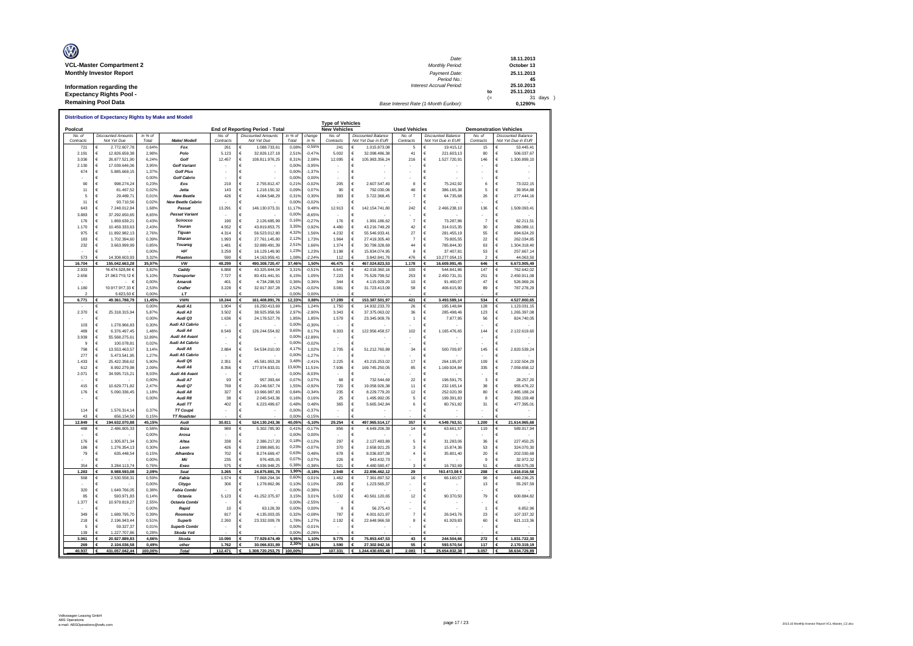| Ø                               | Date:                                 |      | 18.11.2013 |
|---------------------------------|---------------------------------------|------|------------|
| <b>VCL-Master Compartment 2</b> | Monthly Period:                       |      | October 13 |
| <b>Monthly Investor Report</b>  | Payment Date:                         |      | 25.11.2013 |
|                                 | Period No.:                           |      | 45         |
| Information regarding the       | <b>Interest Accrual Period:</b>       |      | 25.10.2013 |
| <b>Expectancy Rights Pool -</b> |                                       | to   | 25.11.2013 |
|                                 |                                       | $(=$ | 31 days )  |
| <b>Remaining Pool Data</b>      | Base Interest Rate (1-Month Euribor): |      | 0.1290%    |

| Distribution of Expectancy Rights by Make and Modell<br><b>Type of Vehicles</b> |        |                                          |                  |                                   |                                        |                                          |                                 |                  |                      |                          |        |                                                 |                      |            |                                                 |                               |        |                                                 |
|---------------------------------------------------------------------------------|--------|------------------------------------------|------------------|-----------------------------------|----------------------------------------|------------------------------------------|---------------------------------|------------------|----------------------|--------------------------|--------|-------------------------------------------------|----------------------|------------|-------------------------------------------------|-------------------------------|--------|-------------------------------------------------|
| Poolcut                                                                         |        |                                          |                  |                                   | <b>End of Reporting Period - Total</b> |                                          |                                 |                  |                      | <b>New Vehicles</b>      |        |                                                 | <b>Used Vehicles</b> |            |                                                 | <b>Demonstration Vehicles</b> |        |                                                 |
| No. of<br>Contracts                                                             |        | <b>Discounted Amounts</b><br>Not Yet Due | in % of<br>Total | Make/ Modell                      | No. of<br>Contracts                    | <b>Discounted Amounts</b><br>Not Yet Due |                                 | in % of<br>Total | change<br>in %       | No. of<br>Contracts      |        | <b>Discounted Balance</b><br>Not Yet Due in EUR | No at<br>Contracts   |            | <b>Discounted Balance</b><br>Not Yet Due in EUR | No. of<br>Contracts           |        | <b>Discounted Balance</b><br>Not Yet Due in EUR |
| 721                                                                             | €      | 2 772 607 78                             | 0.64%            | Fox                               | 261                                    | €                                        | 1 088 733 61                    | 0,08%            | $-0,569$             | 241                      | €      | 1 015 873 08                                    | 5                    | €          | 19 415 12                                       | 15                            |        | 53 445 41                                       |
| 2.191<br>3.036                                                                  | €<br>€ | 12.826.659.38<br>26.877.521,90           | 2.98%<br>6.249   | Polo<br>Golf                      | 5.123<br>12.457                        | €<br>€                                   | 32.826.127.18<br>108.811.976,25 | 2.51%<br>8.319   | $-0,479$<br>2.08%    | 5.002<br>12.095          | €<br>€ | 32.098.486.38<br>105.983.356,24                 | 41<br>216            | €<br>€     | 221,603.13<br>1.527.720,91                      | 80<br>146                     | €<br>€ | 506.037.67<br>1.300.899,10                      |
| 2.130                                                                           | €      | 17.039.646,06                            | 3.95%            | <b>Golf Variant</b>               |                                        | €                                        |                                 | 0,00%            | $-3.95%$             |                          | €      |                                                 |                      | €          |                                                 |                               | €      |                                                 |
| 674                                                                             | €      | 5.885.669,15                             | 1,37%            | <b>Golf Plus</b>                  |                                        | €                                        |                                 | 0,00%            | $-1,379$             |                          | €      |                                                 |                      | €          |                                                 |                               | €      |                                                 |
|                                                                                 | €      |                                          | 0,00%            | <b>Golf Cabrio</b>                |                                        | €                                        |                                 | 0,00%            | 0,00%                |                          | €      |                                                 |                      | €          |                                                 |                               |        |                                                 |
| 90                                                                              | €      | 998.274.24                               | 0.23%            | Eos                               | 219                                    | €                                        | 2.755.812.47                    | 0.21%            | $-0.029$             | 205                      | €      | 2.607.547.40                                    | 8                    | €          | 75,242.92                                       | 6                             |        | 73.022.15                                       |
| 11<br>5                                                                         | €<br>€ | 81.467,52<br>29.489,71                   | 0.029<br>0,01%   | <b>Jetta</b><br><b>New Beetle</b> | 143<br>426                             | €<br>€                                   | 1.218.150,32<br>4.064.548,29    | 0,09%<br>0,31%   | 0,079<br>0,30%       | 90<br>393                | €<br>€ | 792.030,06<br>3.722.368,45                      | 48<br>$\overline{7}$ | €<br>€     | 386.165,38<br>64.735,68                         | 5<br>26                       | €<br>€ | 39 954 88<br>277.444,16                         |
| 11                                                                              | €      | 93 710 56                                | 0.02%            | New Beetle Cabrio                 |                                        | €                                        |                                 | 0.00%            | $-0.029$             |                          | €      |                                                 |                      | $\epsilon$ |                                                 |                               | €      |                                                 |
| 643                                                                             | €      | 7.248.012.84                             | 1,68%            | Passat                            | 13 291                                 | €                                        | 146.130.073,31                  | 11,17%           | 9,48%                | 12.913                   | €      | 142.154.741.80                                  | 242                  | €          | 2.466.238,10                                    | 136                           | €      | 1.509.093.41                                    |
| 3.883                                                                           | €      | 37.292.650,65                            | 8,65%            | <b>Passat Variant</b>             |                                        | €                                        |                                 | 0,00%            | $-8,65%$             | $\overline{\phantom{a}}$ | €      |                                                 |                      | €          |                                                 |                               | €      |                                                 |
| 176                                                                             | €      | 1.869.639.21                             | 0.43%            | Scirocco                          | 190                                    | €                                        | 2.126.685,99                    | 0,16%            | $-0.279$             | 176                      | €      | 1.991.186.62                                    | 7                    | €          | 73.287.86                                       | $\overline{7}$                | €      | 62.211.51                                       |
| 1.170                                                                           | €      | 10.459.333,63                            | 2.43%            | Touran<br>Tiguan                  | 4.552                                  | €                                        | 43.819.853.75                   | 3,35%<br>4,32%   | 0.92%                | 4.480                    | €<br>€ | 43.216.749.29                                   | 42                   | €          | 314.015,35                                      | 30                            | €      | 289,089.11                                      |
| 975<br>183                                                                      | €<br>€ | 11.892.982,13<br>1.702.394,60            | 2,76%<br>0.39%   | Sharan                            | 4.314<br>1.993                         | €<br>€                                   | 56.523.012,80<br>27.761.145.80  | 2,12%            | 1,56%<br>1,73%       | 4.232<br>1.964           | €      | 55.546.933,41<br>27.419.305.40                  | 27<br>$\overline{7}$ | €<br>€     | 281.455,19<br>79.805,55                         | 55<br>22                      | €<br>€ | 694.624,20<br>262.034.85                        |
| 232                                                                             | €      | 3.663.999,99                             | 0.85%            | Touared                           | 1 481                                  | €                                        | 32 889 491 39                   | 2,51%            | 1.66%                | 1.374                    | €      | 30 799 328 69                                   | 44                   | €          | 785 844 30                                      | 63                            | €      | 1.304.318,40                                    |
|                                                                                 | €      |                                          | 0.00%            | up!                               | 3.259                                  | €                                        | 16.129.149.90                   | 1,23%            | 1.239                | 3.198                    | €      | 15.834.074,95                                   | 8                    | €          | 37.407.81                                       | 53                            | €      | 257.667.14                                      |
| 573                                                                             | €      | 14.308.603,93                            | 3.32%            | Phaeton                           | 590                                    | €                                        | 14 163 959 41                   | 1.08%            | .2.249               | 112                      | Ë      | 3.842.841,76                                    | 476                  | €          | 10.277.054,15                                   | 2                             | €      | 44.063.50                                       |
| 16.704<br>2.933                                                                 | €      | 155.042.663,28<br>16.474.528.84 €        | 35,97%<br>3,82%  | <b>VW</b><br>Caddy                | 48.299<br>6.888                        | €<br>€                                   | 490.308.720,47<br>43.325.844,04 | 37,46%<br>3.319  | 1,50%<br>$-0,51%$    | 46.475<br>6.641          | €<br>€ | 467.024.823,53<br>42.018.360,16                 | 1.178<br>100         | €<br>€     | 16.609.991,45<br>544.841,86                     | 646<br>147                    | €<br>€ | 6.673.905,49<br>762.642,02                      |
| 2.656                                                                           |        | 21.963.719,12 €                          | 5.109            | <b>Transporter</b>                | 7.727                                  | €                                        | 80.431.441,91                   | 6,15%            | 1.059                | 7.223                    | €      | 75.529.799,52                                   | 253                  | €          | 2.450.731,31                                    | 251                           | €      | 2.450.911.08                                    |
|                                                                                 |        | $\epsilon$                               | 0.00%            | Amarok                            | 401                                    | €                                        | 4.734.298.53                    | 0,36%            | 0.36%                | 344                      | €      | 4.115.929.20                                    | 10                   | €          | 91.400.07                                       | 47                            | €      | 526,969.26                                      |
| 1.180                                                                           |        | 10.917.917,33 €                          | 2.53%            | Crafter                           | 3.228                                  | €                                        | 32.917.307,28                   | 2,52%            | $-0,029$             | 3.081                    | €      | 31.723.413,09                                   | 58                   | €          | 406.615,90                                      | 89                            | €      | 787.278,29                                      |
| $\mathfrak{p}$                                                                  |        | 5.623,50 €                               | 0,00%            | LT                                |                                        | €                                        |                                 | 0,00%            | 0,00%                |                          | €      |                                                 |                      | €          |                                                 |                               |        |                                                 |
| 6.771                                                                           | €      | 49.361.788,79                            | 11.45%<br>0.00%  | <b>VWN</b><br>Audi A1             | 18.244<br>1.904                        | €<br>€                                   | 161.408.891.76<br>16.250.413.69 | 12,33%<br>1,24%  | 0.88%<br>1.24%       | 17.289<br>1.750          | €<br>€ | 153.387.501.97<br>14 932 233 70                 | 421<br>26            | €          | 3.493.589.14<br>195.148.84                      | 534<br>128                    | €      | 4.527.800.65<br>1.123.031.15                    |
| 2.370                                                                           | €      | 25.318.315.94                            | 5.87%            | Audi A3                           | 3.502                                  | €                                        | 38.925.958.56                   | 2,97%            | $-2.909$             | 3.343                    | €      | 37 375 063 02                                   | 36                   | €          | 285.498.46                                      | 123                           | €      | 1.265.397.08                                    |
|                                                                                 | €      |                                          | 0.00%            | Audi Q3                           | 1.636                                  | €                                        | 24.178.527,76                   | 1,85%            | 1,85%                | 1.579                    | €      | 23.345.909.76                                   | $\overline{1}$       | €          | 7.877,95                                        | 56                            | €      | 824.740,05                                      |
| 103                                                                             | €      | 1.278.966,83                             | 0,30%            | Audi A3 Cabrio                    |                                        | €                                        |                                 | 0,00%            | $-0,30%$             |                          | €      |                                                 |                      | €          |                                                 |                               | €      |                                                 |
| 489<br>3.939                                                                    | €      | 6.376.497.45                             | 1,48%<br>12.89%  | Audi A4<br>Audi A4 Avant          | 8.549                                  | €                                        | 126.244.554,82                  | 9.65%<br>0,00%   | 8,17%<br>12.89%      | 8.303                    | €<br>€ | 122.956.458,57                                  | 102                  | €          | 1.165.476,65                                    | 144                           | €<br>€ | 2.122.619,60                                    |
| $\mathbf{Q}$                                                                    | €<br>€ | 55.568.275.61<br>100.078.81              | 0.029            | Audi A4 Cabrio                    |                                        | €<br>€                                   |                                 | 0,00%            | $-0.029$             |                          | €      |                                                 |                      | €<br>€     |                                                 |                               | €      |                                                 |
| 798                                                                             | €      | 13.553.463.57                            | 3.149            | Audi A5                           | 2884                                   | $\epsilon$                               | 54.534.010,00                   | 4.179            | 1,029                | 2.705                    | €      | 51.212.760,89                                   | 34                   | €          | 500.709,87                                      | 145                           | €      | 2.820.539,24                                    |
| 277                                                                             | €      | 5.473.541.95                             | 1,27%            | Audi A5 Cabrio                    |                                        | €                                        |                                 | 0,00%            | $-1.279$             |                          | €      |                                                 |                      | €          |                                                 |                               | €      |                                                 |
| 1.433                                                                           | €      | 25.422.358,62                            | 5.90%            | Audi Q5                           | 2.351                                  | €                                        | 45.581.953,28                   | 3,48%            | $-2,419$             | 2.225                    | €      | 43.215.253,02                                   | 17                   | €          | 264.195,97                                      | 109                           | €      | 2.102.504,29                                    |
| 612<br>2.071                                                                    | €<br>€ | 8.992.279,98                             | 2,09%<br>8,03%   | Audi A6<br>Audi A6 Avant          | 8.356                                  | €<br>€                                   | 177.974.833,01                  | 13.60%<br>0,00%  | 11,519<br>$-8.039$   | 7.936                    | €<br>€ | 169.745.250,05                                  | 85                   | €<br>€     | 1.169.924,84                                    | 335                           | €      | 7.059.658,12                                    |
|                                                                                 | €      | 34.595.715,21                            | 0.00%            | Audi A7                           | 93                                     | €                                        | 957 393 64                      | 0,07%            | 0.07%                | 68                       | €      | 732 544 69                                      | 22                   | €          | 196 591 75                                      | $\mathbf{3}$                  | €      | 28 257 20                                       |
| 415                                                                             | €      | 10.629.771,82                            | 2,47%            | Audi Q7                           | 769                                    | €                                        | 20.246.567,74                   | 1,559            | $-0,929$             | 720                      | €      | 19.058.926,38                                   | 11                   | €          | 232.165,14                                      | 38                            | €      | 955.476,22                                      |
| 176                                                                             | €      | 5.090.336.45                             | 1.18%            | Audi A8                           | 327                                    | €                                        | 10.966.987.83                   | 0,84%            | $-0.349$             | 235                      | €      | 8.229.779.20                                    | 12                   | €          | 252.020.39                                      | 80                            | €      | 2.485.188.24                                    |
|                                                                                 | €      |                                          | 0.00%            | <b>Audi R8</b>                    | 38                                     | €                                        | 2 045 543 36                    | 0,16%            | 0.16%                | 25                       | €      | 1 495 992 05                                    | 5                    | €          | 199 391 83                                      | $\mathbf{a}$                  | €      | 350 159 48                                      |
| 114                                                                             | €      | 1.576.314.14                             | 0.37%            | Audi TT<br><b>TT Coupé</b>        | 402                                    | €<br>$\epsilon$                          | 6.223.499,67                    | 0,48%<br>0,00%   | 0,48%                | 365                      | €<br>€ | 5.665.342,84                                    | 6                    | $\in$<br>€ | 80.761,82                                       | 31                            | €<br>€ | 477.395,01                                      |
| 43                                                                              | €      | 656.154,50                               | 0,15%            | <b>TT Roadster</b>                |                                        | €                                        |                                 | 0,00%            | $-0,37%$<br>$-0,15%$ |                          |        |                                                 |                      | €          |                                                 |                               |        |                                                 |
| 12.849                                                                          | €      | 194.632.070,88                           | 45,15%           | Audi                              | 30.811                                 | €                                        | 524.130.243,36                  | 40,05%           | $-5,10%$             | 29.254                   | €      | 497.965.514,17                                  | 357                  | €          | 4.549.763,51                                    | 1.200                         |        | 21.614.965,68                                   |
| 488                                                                             | €      | 2.486.805.33                             | 0.58%            | Ibiza                             | 989                                    | €                                        | 5.302.785.90                    | 0,41%            | $-0.179$             | 856                      | €      | 4.649.206.39                                    | 14                   | €          | 63.661,57                                       | 119                           |        | 589.917,94                                      |
| 176                                                                             | €<br>€ | 1.305.871,34                             | 0,00%<br>0,30%   | Arosa<br>Altea                    | 338                                    | €<br>€                                   | 2.386.217,20                    | 0,00%<br>0,18%   | 0,00%<br>$-0,12%$    | 297                      | €<br>€ | 2.127.483,89                                    | 5                    | €<br>€     | 31.283,06                                       | 36                            | €<br>€ | 227.450,25                                      |
| 186                                                                             | €      | 1.276.354,13                             | 0.30%            | Leon                              | 426                                    | €                                        | 2.998.865.91                    | 0.23%            | $-0.07%$             | 370                      | €      | 2.658.921.25                                    | $\overline{3}$       | €          | 15.874,36                                       | 53                            | €      | 324.070,30                                      |
| 79                                                                              | €      | 635.448,54                               | 0.15%            | Alhambra                          | 702                                    | €                                        | 8.274.669.47                    | 0,63%            | 0,48%                | 678                      | €      | 8.036.837,39                                    | 4                    | $\in$      | 35.801,40                                       | 20                            | €      | 202.030.68                                      |
|                                                                                 | €      |                                          | 0,00%            | Mii                               | 235                                    | €                                        | 976.405,05                      | 0,07%            | 0,079                | 226                      | €      | 943.432,73                                      |                      | €          |                                                 | 9                             | €      | 32.972,32                                       |
| 354                                                                             | €      | 3.284.113,74                             | 0,76%            | Exeo                              | 575                                    | €                                        | 4.936.948,25                    | 0,38%            | $-0,389$             | 521                      |        | 4.480.580,47                                    | 3                    |            | 16.792,69                                       | 51                            |        | 439.575,09                                      |
| 1.283<br>568                                                                    | €<br>€ | 8.988.593,08<br>2 530 558 31             | 2.09%<br>0.59%   | Seat<br>Fabia                     | 3.265<br>1.574                         | €<br>€                                   | 24.875.891,78<br>786829434      | 1,90%<br>0.609   | $-0.18%$<br>0,01%    | 2.948<br>1462            | €<br>€ | 22.896.462.12<br>7.361.897,52                   | 29<br>16             | €          | 163.413,08 €<br>66.160,57                       | 288<br>96                     | €      | 1.816.016.58<br>440 236 25                      |
|                                                                                 | €      |                                          | 0.00%            | Citvao                            | 306                                    | €                                        | 1.278.862,96                    | 0.10%            | 0.10%                | 293                      | €      | 1.223.565,37                                    |                      | €          |                                                 | 13                            | €      | 55.297,59                                       |
| 320                                                                             | €      | 1 649 766 05                             | 0.38%            | Fabia Combi                       |                                        | €                                        |                                 | 0,00%            | $-0.389$             |                          | €      |                                                 |                      | €          |                                                 |                               | €      |                                                 |
| 85                                                                              | €      | 593 971 83                               | 0.14%            | Octavia                           | 5 1 2 3                                | €                                        | 41.252.375,97                   | 3,15%            | 3.01%                | 5.032                    | €      | 40 561 120 65                                   | 12                   | €          | 90.370.50                                       | 79                            | €      | 600 884 82                                      |
| 1.377                                                                           | €<br>€ | 10.979.819.27                            | 2.55%<br>0.00%   | Octavia Combi<br>Rapid            | 10                                     | €<br>$\epsilon$                          | 63.128.39                       | 0,00%<br>0.00%   | $-2.55%$<br>0.00%    | 9                        | €<br>€ | 56.275.43                                       |                      | €<br>€     |                                                 | $\overline{1}$                | €<br>€ | 6.852.96                                        |
| 349                                                                             | €      | 1.689.795,70                             | 0,39%            | Roomster                          | 817                                    | €                                        | 4.135.003,05                    | 0,32%            | $-0,08%$             | 787                      | €      | 4.001.621,97                                    | $\overline{7}$       | $\in$      | 26.043,76                                       | 23                            | €      | 107.337,32                                      |
| 218                                                                             | €      | 2.196.943,44                             | 0,51%            | <b>Superb</b>                     | 2.260                                  | €                                        | 23.332.009,78                   | 1,78%            | 1.27%                | 2.192                    | €      | 22.648.966,59                                   | 8                    | €          | 61.929,83                                       | 60                            | €      | 621.113,36                                      |
| 5                                                                               | €      | 59.327.37                                | 0.01%            | <b>Superb Combi</b>               |                                        | €                                        |                                 | 0,00%            | $-0.019$             |                          | €      |                                                 |                      | €          |                                                 |                               | €      |                                                 |
| 139<br>3.061                                                                    | €      | 1 227 707 86<br>20.927.889,83            | 0.28%<br>4,86%   | Skoda Yeti<br>Skoda               | 10.090                                 | €                                        | 77.929.674,49                   | 0,00%<br>5,95%   | $-0.289$<br>1,10%    | 9.775                    | €      | 75.853.447,53                                   | 43                   | €          | 244.504,66                                      | 272                           | €      | 1.831.722,30                                    |
| 269                                                                             | €      | 2.104.036.58                             | 0.49%            | other                             | 1.762                                  | €                                        | 30.066.831.89                   | 2.30%            | 1.81%                | 1.590                    | €      | 27.302.942.16                                   | 55                   | €          | 593.570.54                                      | 117                           |        | 2.170.319.19                                    |
| 40.937                                                                          |        | 431.057.042,44                           | 100,00%          | <b>Total</b>                      | 112.471                                | €                                        | 1.308.720.253,75                | 100,00%          |                      | 107.331                  |        | 1.244.430.691,48                                | 2.083                |            | 25.654.832,38                                   | 3.057                         |        | 38.634.729,89                                   |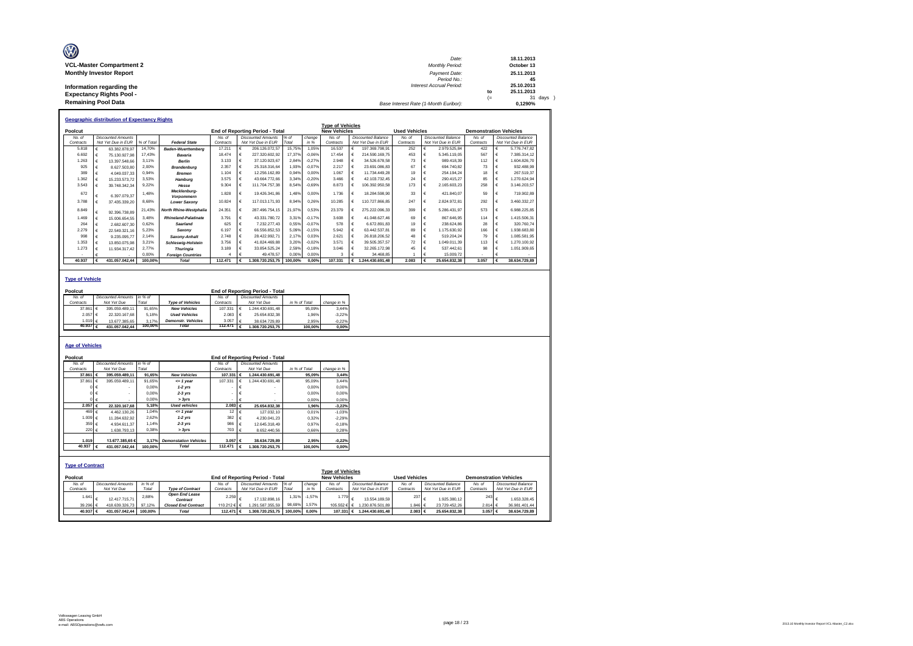| Ø                               | Date:                                 |     | 18.11.2013 |
|---------------------------------|---------------------------------------|-----|------------|
| <b>VCL-Master Compartment 2</b> | <b>Monthly Period:</b>                |     | October 13 |
| <b>Monthly Investor Report</b>  | Payment Date:                         |     | 25.11.2013 |
|                                 | Period No.:                           |     | 45         |
| Information regarding the       | <b>Interest Accrual Period:</b>       |     | 25.10.2013 |
| <b>Expectancy Rights Pool -</b> |                                       | to  | 25.11.2013 |
|                                 |                                       | $=$ | 31 days    |
| <b>Remaining Pool Data</b>      | Base Interest Rate (1-Month Euribor): |     | 0.1290%    |

| <b>Geographic distribution of Expectancy Rights</b><br><b>Type of Vehicles</b> |   |                           |            |                                   |           |   |                                        |         |          |                     |            |                           |                      |                    |                           |                               |   |                    |
|--------------------------------------------------------------------------------|---|---------------------------|------------|-----------------------------------|-----------|---|----------------------------------------|---------|----------|---------------------|------------|---------------------------|----------------------|--------------------|---------------------------|-------------------------------|---|--------------------|
|                                                                                |   |                           |            |                                   |           |   |                                        |         |          |                     |            |                           |                      |                    |                           |                               |   |                    |
| Poolcut                                                                        |   |                           |            |                                   |           |   | <b>End of Reporting Period - Total</b> |         |          | <b>New Vehicles</b> |            |                           | <b>Used Vehicles</b> |                    |                           | <b>Demonstration Vehicles</b> |   |                    |
| No. of                                                                         |   | <b>Discounted Amounts</b> |            |                                   | No. of    |   | <b>Discounted Amounts</b>              | $%$ $o$ | change   | No of               |            | <b>Discounted Balance</b> | No of                |                    | <b>Discounted Balance</b> | No of                         |   | Discounted Balance |
| Contracts                                                                      |   | Not Yet Due in EUR        | % of Total | <b>Federal State</b>              | Contracts |   | Not Yet Due in EUR                     | Total   | in %     | Contracts           |            | Not Yet Due in EUR        | Contracts            | Not Yet Due in EUR |                           | Contracts                     |   | Not Yet Due in EUR |
| 5.818                                                                          |   | 63.382.878.97             | 14,70%     | <b>Baden-Wuerttemberg</b>         | 17.211    | € | 206.126.072.57                         | 15.75%  | 1.05%    | 16.537              | €          | 197.369.798.91            | 252                  |                    | 2.979.525.84              | 422                           | € | 5.776.747.82       |
| 6.692                                                                          |   | 75.130.927.98             | 17.43%     | Bavaria                           | 18,474    | € | 227.320.602.92                         | 17,37%  | $-0.06%$ | 17.454              | €          | 214.590.169.75            | 453                  |                    | 5.345.119.05              | 567                           | € | 7.385.314.12       |
| 1.263                                                                          |   | 13.397.548.66             | 3.11%      | <b>Berlin</b>                     | 3.133     | € | 37.120.923.67                          | 2.84%   | $-0.27%$ | 2.948               | $\epsilon$ | 34.526.678.58             | 73                   |                    | 989.418.39                | 112                           | € | 1.604.826.70       |
| 925                                                                            |   | 8.627.503.80              | 2.00%      | <b>Brandenburg</b>                | 2.357     | € | 25.318.316.64                          | 1.93%   | $-0.07%$ | 2.217               | $\epsilon$ | 23.691.086.83             | 67                   |                    | 694,740.82                | 73                            |   | 932.488.99         |
| 389                                                                            |   | 4.049.037.33              | 0.94%      | <b>Bremen</b>                     | 1.104     | € | 12.256.162.89                          | 0.94%   | 0.00%    | 1.067               | $\epsilon$ | 11.734.449.28             | 19                   |                    | 254.194.24                | 18                            |   | 267.519.37         |
| 1.362                                                                          |   | 15.233.573.72             | 3.53%      | Hamburg                           | 3.575     | € | 43.664.772.66                          | 3.34%   | $-0.20%$ | 3.466               | $\epsilon$ | 42.103.732.45             | 24                   |                    | 290.415.27                | 85                            | € | .270.624.94        |
| 3.543                                                                          |   | 39.748.342.34             | 9.22%      | Hesse                             | 9.304     | € | 111.704.757.38                         | 8,54%   | $-0.69%$ | 8.873               | €          | 106.392.950.58            | 173                  |                    | 2.165.603.23              | 258                           | € | 3.146.203.57       |
| 672                                                                            |   | 6.397.079.37              | 1.48%      | Mecklenburg-<br><b>Vorpommern</b> | 1.828     | € | 19.426.341.86                          | 1.48%   | 0.00%    | 1.736               | €          | 18.284.598.90             | 33                   |                    | 421.840.07                | 59                            | € | 719.902.89         |
| 3.788                                                                          |   | 37.435.339.20             | 8.68%      | <b>Lower Saxony</b>               | 10.824    | € | 117.013.171.93                         | 8.94%   | 0.26%    | 10.285              | €          | 110.727.866.85            | 247                  |                    | 2.824.972.81              | 292                           | € | 3.460.332.27       |
| 8.849                                                                          |   | 92.396.738.89             | 21.43%     | North Rhine-Westphalia            | 24.351    | € | 287.496.754.15                         | 21,97%  | 0.53%    | 23.379              | €          | 275.222.096.33            | 399                  |                    | 5.286.431.97              | 573                           | € | 6.988.225.85       |
| 1.469                                                                          |   | 15.006.654.55             | 3.48%      | <b>Rhineland-Palatinate</b>       | 3 7 9 1   | € | 43.331.780.72                          | 3.31%   | $-0.17%$ | 3.608               | $\epsilon$ | 41.048.627.46             | 69                   |                    | 867.646.95                | 114                           | € | .415.506.31        |
| 264                                                                            | € | 2.682.607.30              | 0.62%      | Saarland                          | 625       | € | 7.232.277.43                           | 0.55%   | $-0.07%$ | 578                 | $\epsilon$ | 6.672.891.83              | 19                   |                    | 238.624.86                | 28                            | € | 320.760.74         |
| 2.279                                                                          |   | 22.549.321.16             | 5.23%      | Saxony                            | 6 197     | € | 66.556.852.53                          | 5.09%   | $-0.15%$ | 5.942               | $\epsilon$ | 63.442.537.81             | 89                   |                    | 1.175.630.92              | 166                           | € | .938.683.80        |
| 998                                                                            | € | 9.235.095.77              | 2.14%      | Saxony-Anhalt                     | 2.748     | € | 28.422.992.71                          | 2.17%   | 0.03%    | 2.621               | $\epsilon$ | 26.818.206.52             | 48                   |                    | 519,204.24                | 79                            | € | 1.085.581.95       |
| 1.353                                                                          |   | 13.850.075.98             | 3.21%      | <b>Schleswig-Holstein</b>         | 3.756     | € | 41.824.469.88                          | 3.20%   | $-0.02%$ | 3.571               | $\epsilon$ | 39.505.357.57             | 72                   |                    | 1.049.011.39              | 113                           | € | 1.270.100.92       |
| 1.273                                                                          |   | 11.934.317.42             | 2.77%      | <b>Thuringia</b>                  | 3.189     | € | 33.854.525.24                          | 2.59%   | $-0.18%$ | 3.046               | €          | 32.265.172.98             | 45                   |                    | 537.442.61                | 98                            |   | 1.051.909.65       |
|                                                                                |   |                           | 0.00%      | <b>Foreian Countries</b>          |           | € | 49.478.57                              | 0.00%   | 0,00%    | 3                   | €          | 34.468.85                 |                      |                    | 15,009.72                 |                               |   |                    |
| 40.937                                                                         |   | 431.057.042.44            | 100.00%    | <b>Total</b>                      | 112.471   |   | .308.720.253.75                        | 100.00% | 0.00%    | 107.331             | €          | 1.244.430.691.48          | 2.083                |                    | 25.654.832.38             | 3.057                         |   | 38.634.729.89      |

#### **Type of Vehicle**

| Poolcut           |                           |         |                           |                    | <b>End of Reporting Period - Total</b> |               |             |
|-------------------|---------------------------|---------|---------------------------|--------------------|----------------------------------------|---------------|-------------|
| No. of            | <b>Discounted Amounts</b> | in % of |                           | No. of             | <b>Discounted Amounts</b>              |               |             |
| Contracts         | Not Yet Due               | Total   | <b>Type of Vehicles</b>   | Contracts          | Not Yet Due                            | in % of Total | change in % |
| 37,861 €          | 395.059.489.11            | 91.65%  | <b>New Vehicles</b>       | 107.331            | 1.244.430.691.48                       | 95.09%        | 3.44%       |
| 2.057 €           | 22.320.167.68             | 5.18%   | <b>Used Vehicles</b>      | 2.083 $\in$        | 25.654.832.38                          | .96%          | $-3.22%$    |
| 1.019 €           | 13.677.385.65             | 3.17%   | <b>Demonstr. Vehicles</b> | 3.057              | 38.634.729.89                          | 2.95%         | $-0.22%$    |
| 40.937 $\epsilon$ | 431.057.042.44            | 100.00% | <b>Total</b>              | 112.471 $\epsilon$ | 1.308.720.253.75                       | 100.00%       | 0.00%       |
|                   |                           |         |                           |                    |                                        |               |             |

#### **Age of Vehicles**

| Poolcut                 |                              |         |                              |                  |   | <b>End of Reporting Period - Total</b> |               |          |                         |                           |                      |                           |                               |                           |
|-------------------------|------------------------------|---------|------------------------------|------------------|---|----------------------------------------|---------------|----------|-------------------------|---------------------------|----------------------|---------------------------|-------------------------------|---------------------------|
| No. of                  | <b>Discounted Amounts</b>    | in % of |                              | No. of           |   | <b>Discounted Amounts</b>              |               |          |                         |                           |                      |                           |                               |                           |
| Contracts               | Not Yet Due                  | Total   |                              | Contracts        |   | Not Yet Due                            | in % of Total |          | change in %             |                           |                      |                           |                               |                           |
| 37,861                  | 395.059.489.11               | 91.65%  | <b>New Vehicles</b>          | 107.331          |   | 1.244.430.691.48                       |               | 95.09%   | 3,44%                   |                           |                      |                           |                               |                           |
| 37,861                  | 395.059.489.11<br>$\epsilon$ | 91.65%  | $= 1$ year                   | 107.331          |   | 1.244.430.691.48                       |               | 95.09%   | 3.44%                   |                           |                      |                           |                               |                           |
|                         | €                            | 0.00%   | $1-2$ yrs                    |                  |   |                                        |               | 0.00%    | 0.00%                   |                           |                      |                           |                               |                           |
|                         | €                            | 0.00%   | $2-3$ yrs                    |                  |   |                                        |               | 0.00%    | 0.00%                   |                           |                      |                           |                               |                           |
|                         | $\epsilon$                   | 0.00%   | > 3yrs                       |                  | € |                                        |               | 0.00%    | 0.00%                   |                           |                      |                           |                               |                           |
| 2.057 €                 | 22.320.167.68                | 5.18%   | <b>Used vehicles</b>         | 2.083 ∈          |   | 25.654.832.38                          |               | 1.96%    | $-3,22%$                |                           |                      |                           |                               |                           |
| 469 €                   | 4.462.130.26                 | 1.04%   | $= 1$ year                   | 12               | € | 127.032.10                             |               | 0.01%    | $-1.03%$                |                           |                      |                           |                               |                           |
| 1.009 €                 | 11.284.632.92                | 2,62%   | $1-2$ yrs                    | 382              | € | 4.230.041.23                           |               | 0.32%    | $-2.29%$                |                           |                      |                           |                               |                           |
| 359 €                   | 4.934.611.37                 | 1.14%   | $2-3$ yrs                    | 986              | € | 12.645.318.49                          |               | 0.97%    | $-0.18%$                |                           |                      |                           |                               |                           |
| 220 €                   | 1.638.793.13                 | 0,38%   | > 3yrs                       | 703              | € | 8.652.440.56                           |               | 0.66%    | 0,28%                   |                           |                      |                           |                               |                           |
|                         |                              |         |                              |                  |   |                                        |               |          |                         |                           |                      |                           |                               |                           |
| 1.019                   | 13.677.385.65 €              | 3.17%   | <b>Demonstation Vehicles</b> | 3.057 $\epsilon$ |   | 38.634.729.89                          |               | 2,95%    | $-0,22%$                |                           |                      |                           |                               |                           |
| 40.937 $\epsilon$       | 431.057.042.44               | 100.00% | <b>Total</b>                 | 112,471          | € | 1.308.720.253,75                       |               | 100.00%  | 0,00%                   |                           |                      |                           |                               |                           |
|                         |                              |         |                              |                  |   |                                        |               |          |                         |                           |                      |                           |                               |                           |
|                         |                              |         |                              |                  |   |                                        |               |          |                         |                           |                      |                           |                               |                           |
| <b>Type of Contract</b> |                              |         |                              |                  |   |                                        |               |          |                         |                           |                      |                           |                               |                           |
|                         |                              |         |                              |                  |   |                                        |               |          | <b>Type of Vehicles</b> |                           |                      |                           |                               |                           |
| Poolcut                 |                              |         |                              |                  |   | <b>End of Reporting Period - Total</b> |               |          | <b>New Vehicles</b>     |                           | <b>Used Vehicles</b> |                           | <b>Demonstration Vehicles</b> |                           |
| No. of                  | <b>Discounted Amounts</b>    | in % of |                              | No. of           |   | <b>Discounted Amounts</b>              | $%$ of        | change   | No. of                  | <b>Discounted Balance</b> | No. of               | <b>Discounted Balance</b> | No. of                        | <b>Discounted Balance</b> |
| Contracts               | Not Yet Due                  | Total   | <b>Type of Contract</b>      | Contracts        |   | Not Yet Due in EUR                     | Total         | in %     | Contracts               | Not Yet Due in EUR        | Contracts            | Not Yet Due in EUR        | Contracts                     | Not Yet Due in EUR        |
| 1.641                   |                              | 2,88%   | <b>Open End Lease</b>        | 2.259            |   |                                        | 1.31%         | $-1,57%$ | 1.779                   |                           | 237                  |                           | 243                           |                           |
|                         | 12.417.715.71                |         | Contract                     |                  |   | 17.132.898.16                          |               |          |                         | 13.554.189,59             |                      | 1.925.380.12              |                               | 1.653.328.45              |
| 39.296 €                | 418.639.326.73               | 97,12%  | <b>Closed End Contract</b>   | 110.212€         |   | 1.291.587.355.59                       | 98,69%        | 1,57%    | 105.552 € €             | 1.230.876.501.89          | 1.846 €              | 23,729,452.26             | 2.814 ∈                       | 36.981.401,44             |
| 40.937 €                | 431.057.042,44               | 100.00% | <b>Total</b>                 | 112.471 €        |   | 1.308.720.253,75                       | 100,00%       | 0.00%    | 107.331 €               | 1.244.430.691.48          | 2.083 €              | 25.654.832.38             | 3.057 €                       | 38.634.729,89             |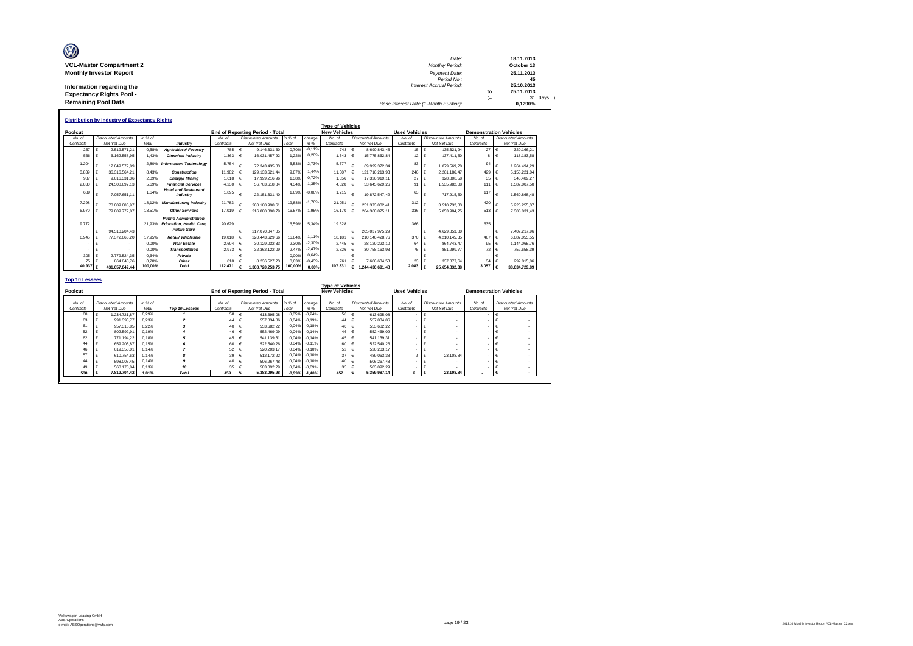| Ø                               | Date:                                 |      | 18.11.2013 |
|---------------------------------|---------------------------------------|------|------------|
| <b>VCL-Master Compartment 2</b> | Monthly Period:                       |      | October 13 |
| <b>Monthly Investor Report</b>  | Payment Date:                         |      | 25.11.2013 |
|                                 | Period No.:                           |      | 45         |
| Information regarding the       | <b>Interest Accrual Period:</b>       |      | 25.10.2013 |
| <b>Expectancy Rights Pool -</b> |                                       | to   | 25.11.2013 |
|                                 |                                       | $(=$ | 31 days )  |
| <b>Remaining Pool Data</b>      | Base Interest Rate (1-Month Euribor): |      | 0.1290%    |

|                   |            |                           |           |                                                                                        |                  |            |                                        |         |          | <b>Type of Vehicles</b> |            |                           |                      |            |                           |                               |            |                           |
|-------------------|------------|---------------------------|-----------|----------------------------------------------------------------------------------------|------------------|------------|----------------------------------------|---------|----------|-------------------------|------------|---------------------------|----------------------|------------|---------------------------|-------------------------------|------------|---------------------------|
| Poolcut           |            |                           |           |                                                                                        |                  |            | <b>End of Reporting Period - Total</b> |         |          | <b>New Vehicles</b>     |            |                           | <b>Used Vehicles</b> |            |                           | <b>Demonstration Vehicles</b> |            |                           |
| No. of            |            | <b>Discounted Amounts</b> | in $%$ of |                                                                                        | No. of           |            | <b>Discounted Amounts</b>              | in % of | change   | No. of                  |            | <b>Discounted Amounts</b> | No. of               |            | <b>Discounted Amounts</b> | No. of                        |            | <b>Discounted Amounts</b> |
| Contracts         |            | Not Yet Due               | Total     | Industry                                                                               | Contracts        |            | Not Yet Due                            | Total   | in %     | Contracts               |            | Not Yet Due               | Contracts            |            | Not Yet Due               | Contracts                     |            | Not Yet Due               |
| 257               | $\epsilon$ | 2.519.571.21              | 0.58%     | <b>Agriculture/Forestry</b>                                                            | 785              | $\epsilon$ | 9.146.331.60                           | 0.70%   | $-0.11%$ | 743                     | $\epsilon$ | 8.690.843.45              | 15                   | $\epsilon$ | 135.321.94                | 27                            | $\epsilon$ | 320.166.21                |
| 566               | €          | 6.162.558.95              | 1.43%     | <b>Chemical Industry</b>                                                               | 1.363            | ∣€         | 16.031.457,92                          | 1.22%   | 0,20%    | 1.343                   | €          | 15,775,862.84             | 12                   | €          | 137.411.50                | <b>R</b>                      |            | 118, 183, 58              |
| 1.204             | $\epsilon$ | 12.049.572.89             | 2.80%     | <b>Information Technology</b>                                                          | 5.754            |            | 72.343.435.83                          | 5.53%   | $-2.73%$ | 5.577                   |            | 69.999.372.34             | 83                   | €          | 1.079.569.20              | 94                            |            | 1.264.494.29              |
| 3.839             | €          | 36.316.564.21             | 8.43%     | Construction                                                                           | 11.982           | $\epsilon$ | 129.133.621.44                         | 9.87%   | $-1.44%$ | 11.307                  |            | 121.716.213.93            | 246                  | €          | 2.261.186.47              | 429                           |            | 5.156.221.04              |
| 987               | $\epsilon$ | 9.016.331.36              | 2.09%     | Eneray/Minina                                                                          | 1.618 $\epsilon$ |            | 17.999.216.96                          | 1.38%   | 0.72%    | 1.556                   | €          | 17.326.919.11             | 27                   |            | 328,808.58                | 35                            |            | 343.489.27                |
| 2.030             |            | 24.508.697.13             | 5.69%     | <b>Financial Services</b>                                                              | 4.230            | $\epsilon$ | 56.763.618.84                          | 4.34%   | 1.35%    | 4.028                   | €          | 53.645.629.26             | 91                   | 6          | 1.535.982.08              | 111                           | ∎ ∉        | 1.582.007.50              |
| 689               | €          | 7.057.651.11              | 1.64%     | <b>Hotel and Restaurant</b><br>Industry                                                | 1.895            |            | 22.151.331.40                          | 1.69%   | $-0.06%$ | 1.715                   |            | 19.872.547.42             | 63                   |            | 717.915.50                | 117                           |            | 1.560.868.48              |
| 7.298             | $\epsilon$ | 78.089.686.97             | 18.12%    | <b>Manufacturing Industry</b>                                                          | 21.783           | $\epsilon$ | 260.108.990.61                         | 19.88%  | $-1.76%$ | 21.051                  |            | 251.373.002.41            | 312                  | $\epsilon$ | 3.510.732.83              | 420                           | $\epsilon$ | 5.225.255.37              |
| 6.970             | $\epsilon$ | 79.809.772.87             | 18.51%    | <b>Other Services</b>                                                                  | 17.019           | $\epsilon$ | 216.800.890.79                         | 16.57%  | 1.95%    | 16.170                  | €          | 204.360.875.11            | 336                  | $\epsilon$ | 5.053.984.25              | 513 $\epsilon$                |            | 7.386.031.43              |
| 9.772             | €          | 94.510.204.43             | 21.93%    | <b>Public Administration.</b><br><b>Education, Health Care,</b><br><b>Public Serv.</b> | 20.629           | $\epsilon$ | 217.070.047.05                         | 16.59%  | 5.34%    | 19,628                  | €          | 205.037.975.29            | 366                  | €          | 4.629.853.80              | 635                           | $\epsilon$ | 7.402.217.96              |
| 6.945             | €          | 77.372.066.20             | 17.95%    | Retail/ Wholesale                                                                      | 19,018           | I€         | 220.443.629.66                         | 16.84%  | 1.11%    | 18.181                  | $\epsilon$ | 210.146.428.76            | 370                  | €          | 4.210.145.35              | 467                           | $\epsilon$ | 6.087.055.55              |
|                   | €          |                           | 0.00%     | <b>Real Estate</b>                                                                     | 2.604            | $\epsilon$ | 30.129.032.33                          | 2.30%   | $-2.30%$ | 2.445                   | $\epsilon$ | 28.120.223.10             | 64                   |            | 864.743.47                | 95                            |            | 1.144.065.76              |
|                   | €          |                           | 0.00%     | <b>Transportation</b>                                                                  | 2.973            | $\epsilon$ | 32.362.122.09                          | 2.47%   | $-2,47%$ | 2.826                   | €          | 30.758.163.93             | 75                   | €          | 851.299.77                | 72                            |            | 752.658.39                |
| 305               | €          | 2.779.524.35              | 0.64%     | Private                                                                                |                  | €          |                                        | 0.00%   | 0.64%    |                         | €          |                           |                      |            |                           |                               |            |                           |
| 75                |            | 864.840.76                | 0.20%     | Other                                                                                  | 818              | c          | 8.236.527.23                           | 0.63%   | $-0.43%$ | 761                     |            | 7 606 634 53              | 23                   |            | 337 877 64                | 34                            |            | 292.015.06                |
| 40.937 $\epsilon$ |            | 431.057.042.44            | 100,00%   | <b>Total</b>                                                                           | 112,471          | €          | 1.308.720.253.75                       | 100,00% | 0.00%    | 107.331                 | €          | 1.244.430.691.48          | 2.083                | €          | 25.654.832.38             | 3.057                         | $\epsilon$ | 38.634.729.89             |

| Poolcut             |                                          |               |                |                     |     | <b>End of Reporting Period - Total</b>   |                  |                   | <b>Type of Vehicles</b><br><b>New Vehicles</b> |                                          | <b>Used Vehicles</b> |    |                                          | <b>Demonstration Vehicles</b> |                                          |
|---------------------|------------------------------------------|---------------|----------------|---------------------|-----|------------------------------------------|------------------|-------------------|------------------------------------------------|------------------------------------------|----------------------|----|------------------------------------------|-------------------------------|------------------------------------------|
| No. of<br>Contracts | <b>Discounted Amounts</b><br>Not Yet Due | in %<br>Total | Top 10 Lessees | No. of<br>Contracts |     | <b>Discounted Amounts</b><br>Not Yet Due | in % of<br>Total | change<br>in %    | No. of<br>Contracts                            | <b>Discounted Amounts</b><br>Not Yet Due | No. of<br>Contracts  |    | <b>Discounted Amounts</b><br>Not Yet Due | No. of<br>Contracts           | <b>Discounted Amounts</b><br>Not Yet Due |
| 60                  | 1.234.721.87                             | 0.29%         |                | 58                  |     | 613.695.08                               | 0.05%            | $-0.24%$          | 58 6                                           | 613,695.08                               |                      |    |                                          | -                             |                                          |
| 63                  | 991.393.77                               | 0.23%         |                | 44                  |     | 557,834.86                               | 0.04%            | $-0.19%$          | 44                                             | 557.834.86                               |                      |    | ٠                                        |                               |                                          |
| 61                  | 957,316.85                               | 0.22%         |                | 40 €                |     | 553.682.22                               |                  | 0.04% -0.18%      | 40 €                                           | 553,682.22                               |                      |    |                                          |                               |                                          |
| 52                  | 802.592.91                               | 0.19%         |                | 46 €                |     | 552.469.09                               |                  | $0.04\% - 0.14\%$ | 46 €                                           | 552.469.09                               |                      |    |                                          |                               |                                          |
| 62                  | 771.194.22                               | 0.18%         |                | 45                  |     | 541.139.31                               |                  | 0.04% -0.14%      | 45                                             | 541.139.31                               |                      |    |                                          |                               |                                          |
| 44                  | 659.203.87                               | 0.15%         |                | 60                  |     | 522.540.26                               |                  | 0.04% -0.11%      | 60                                             | 522.540.26                               |                      |    |                                          |                               |                                          |
| 46                  | 619,350.01                               | 0.14%         |                | 52                  |     | 520.203.17                               |                  | $0.04\% - 0.10\%$ | 52                                             | 520.203.17                               |                      |    |                                          |                               |                                          |
| 57                  | 610.754.63                               | 0.14%         |                | 39                  | . . | 512.172.22                               |                  | 0.04% -0.10%      | $37 \in$                                       | 489.063.38                               | ×,                   |    | 23.108.84                                |                               |                                          |
| 44                  | 598,005.45                               | 0.14%         |                | 40 €                |     | 506.267.48                               |                  | $0.04\% - 0.10\%$ | 40 <sup>6</sup>                                | 506.267.48                               |                      |    | ۰                                        |                               |                                          |
| 49                  | 568,170.84                               | 0.13%         | 10             | 35 €                |     | 503.092.29                               |                  | $0.04\% - 0.09\%$ | $35 \in$                                       | 503.092.29                               |                      |    |                                          |                               |                                          |
| 538                 | 7.812.704.42                             | 1.81%         | <b>Total</b>   | 459                 |     | 5.383.095.98                             |                  | $-0.99\% -1.40\%$ | 457                                            | 5.359.987.14                             | $\overline{2}$       | 1€ | 23,108.84                                |                               |                                          |

г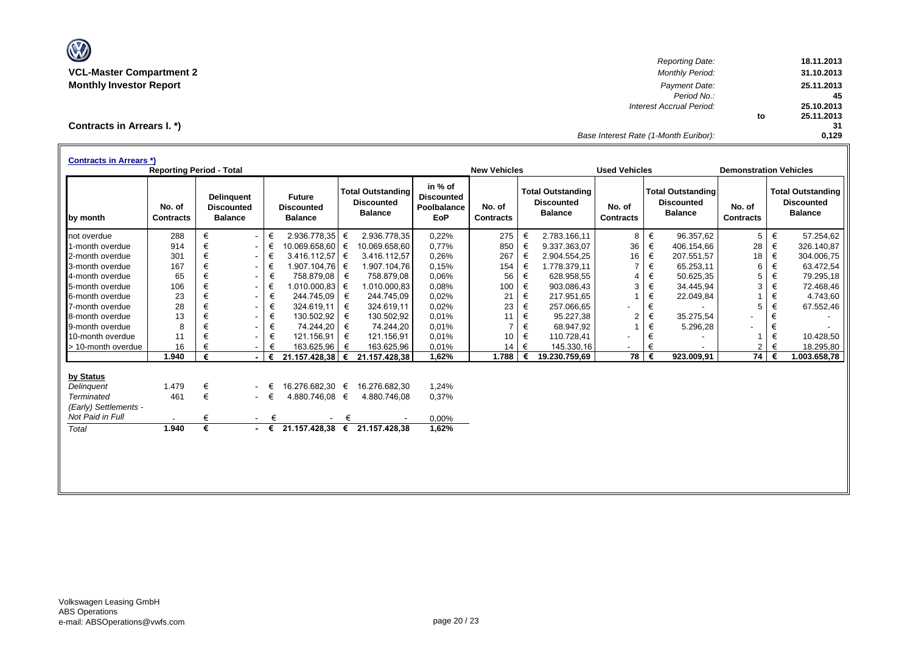

*Reporting Date:* **18.11.2013 VCL-Master Compartment 2** *Monthly Period:* **31.10.2013 Monthly Investor Report** *Payment Date:* **25.11.2013** *Period No.:* **45** *Interest Accrual Period:* **25.10.2013 to 25.11.2013 31** *Base Interest Rate (1-Month Euribor):* **0,129**

## **Contracts in Arrears I. \*)**

| <b>Contracts in Arrears *)</b> | <b>Reporting Period - Total</b> |   |                                                          |     |                                                      |            |                                                                 |                                                           | <b>New Vehicles</b>        |   |                                                                 | <b>Used Vehicles</b>       |   |                                                                 | <b>Demonstration Vehicles</b> |   |                                                                 |
|--------------------------------|---------------------------------|---|----------------------------------------------------------|-----|------------------------------------------------------|------------|-----------------------------------------------------------------|-----------------------------------------------------------|----------------------------|---|-----------------------------------------------------------------|----------------------------|---|-----------------------------------------------------------------|-------------------------------|---|-----------------------------------------------------------------|
| by month                       | No. of<br><b>Contracts</b>      |   | <b>Delinquent</b><br><b>Discounted</b><br><b>Balance</b> |     | <b>Future</b><br><b>Discounted</b><br><b>Balance</b> |            | <b>Total Outstanding</b><br><b>Discounted</b><br><b>Balance</b> | in % of<br><b>Discounted</b><br>Poolbalance<br><b>EoP</b> | No. of<br><b>Contracts</b> |   | <b>Total Outstanding</b><br><b>Discounted</b><br><b>Balance</b> | No. of<br><b>Contracts</b> |   | <b>Total Outstanding</b><br><b>Discounted</b><br><b>Balance</b> | No. of<br><b>Contracts</b>    |   | <b>Total Outstanding</b><br><b>Discounted</b><br><b>Balance</b> |
| not overdue                    | 288                             | € | $\sim$                                                   | €   | 2.936.778.35                                         | €          | 2.936.778,35                                                    | 0,22%                                                     | 275                        | € | 2.783.166,11                                                    | 8                          | € | 96.357,62                                                       | 5 <sup>5</sup>                | € | 57.254,62                                                       |
| 1-month overdue                | 914                             | € | $\sim$                                                   | €   | 10.069.658,60                                        | €          | 10.069.658,60                                                   | 0,77%                                                     | 850                        | € | 9.337.363,07                                                    | 36                         | € | 406.154.66                                                      | 28                            | € | 326.140,87                                                      |
| 2-month overdue                | 301                             | € | $\sim$                                                   | €   | 3.416.112,57                                         | $\epsilon$ | 3.416.112,57                                                    | 0,26%                                                     | 267                        | € | 2.904.554,25                                                    | 16                         | € | 207.551,57                                                      | 18                            | € | 304.006,75                                                      |
| 3-month overdue                | 167                             | € | $\sim$                                                   | €   | 1.907.104,76                                         | €          | 1.907.104,76                                                    | 0.15%                                                     | 154                        | € | 1.778.379,11                                                    | 7                          | € | 65.253,11                                                       | 6                             | € | 63.472,54                                                       |
| 4-month overdue                | 65                              | € | $\sim$                                                   | €   | 758.879.08                                           | €          | 758.879.08                                                      | 0.06%                                                     | 56                         | € | 628.958,55                                                      | 4                          | € | 50.625,35                                                       | 5                             | € | 79.295,18                                                       |
| 5-month overdue                | 106                             | € | $\sim$                                                   | €   | 1.010.000,83                                         | €          | 1.010.000,83                                                    | 0.08%                                                     | 100                        | € | 903.086,43                                                      | 3                          | € | 34.445,94                                                       | 3                             | € | 72.468,46                                                       |
| 6-month overdue                | 23                              | € | $\sim$                                                   | €   | 244.745,09                                           | €          | 244.745,09                                                      | 0,02%                                                     | 21                         | € | 217.951,65                                                      |                            | € | 22.049,84                                                       |                               | € | 4.743,60                                                        |
| 7-month overdue                | 28                              | € | $\sim$                                                   | €   | 324.619,11                                           | €          | 324.619,11                                                      | 0,02%                                                     | 23                         | € | 257.066,65                                                      |                            | € |                                                                 | 5                             | € | 67.552,46                                                       |
| 8-month overdue                | 13                              | € | $\sim$                                                   | €   | 130.502,92                                           | €          | 130.502,92                                                      | 0.01%                                                     | 11                         | € | 95.227,38                                                       | $\overline{2}$             | € | 35.275,54                                                       |                               | € |                                                                 |
| 9-month overdue                | 8                               |   | $\sim$                                                   | €   | 74.244,20                                            | €          | 74.244,20                                                       | 0.01%                                                     |                            | € | 68.947,92                                                       |                            | € | 5.296,28                                                        |                               |   |                                                                 |
| 10-month overdue               | 11                              | € |                                                          | €   | 121.156,91                                           | €          | 121.156,91                                                      | 0.01%                                                     | 10                         | € | 110.728,41                                                      |                            | € |                                                                 |                               | € | 10.428,50                                                       |
| > 10-month overdue             | 16                              |   |                                                          | €   | 163.625,96                                           | €          | 163.625,96                                                      | 0.01%                                                     | 14                         | € | 145.330,16                                                      |                            | € |                                                                 | $\overline{2}$                | € | 18.295,80                                                       |
|                                | 1.940                           | € |                                                          | €   | 21.157.428,38                                        | €          | 21.157.428,38                                                   | 1,62%                                                     | 1.788                      | € | 19.230.759,69                                                   | 78 I                       | € | 923.009,91                                                      | 74 €                          |   | 1.003.658.78                                                    |
| by Status                      |                                 |   |                                                          |     |                                                      |            |                                                                 |                                                           |                            |   |                                                                 |                            |   |                                                                 |                               |   |                                                                 |
| Delinguent                     | 1.479                           | € | $\sim$                                                   |     | 16.276.682,30 €                                      |            | 16.276.682,30                                                   | 1,24%                                                     |                            |   |                                                                 |                            |   |                                                                 |                               |   |                                                                 |
| Terminated                     | 461                             | € | $\sim$                                                   | €   | 4.880.746,08 €                                       |            | 4.880.746.08                                                    | 0,37%                                                     |                            |   |                                                                 |                            |   |                                                                 |                               |   |                                                                 |
| (Early) Settlements -          |                                 |   |                                                          |     |                                                      |            |                                                                 |                                                           |                            |   |                                                                 |                            |   |                                                                 |                               |   |                                                                 |
| Not Paid in Full               | $\blacksquare$                  | € | $\sim$                                                   | €   | $\blacksquare$                                       | €          |                                                                 | 0,00%                                                     |                            |   |                                                                 |                            |   |                                                                 |                               |   |                                                                 |
| Total                          | 1.940                           | € |                                                          | - € | 21.157.428,38 €                                      |            | 21.157.428,38                                                   | 1,62%                                                     |                            |   |                                                                 |                            |   |                                                                 |                               |   |                                                                 |
|                                |                                 |   |                                                          |     |                                                      |            |                                                                 |                                                           |                            |   |                                                                 |                            |   |                                                                 |                               |   |                                                                 |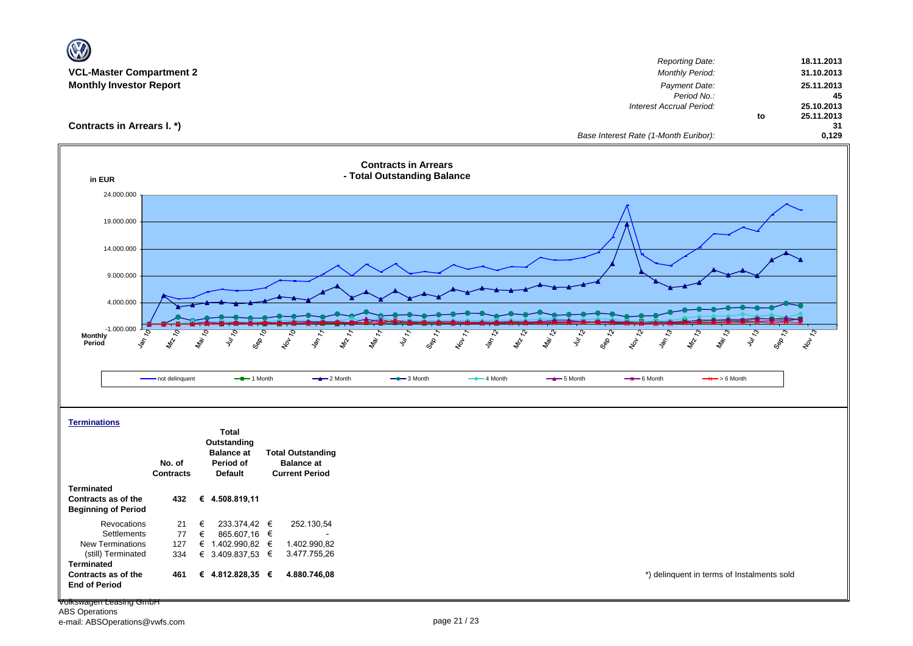| <b>VCL-Master Compartment 2</b><br><b>Monthly Investor Report</b>      |                                                                                                                                                                                                                        | <b>Reporting Date:</b><br>18.11.2013<br>31.10.2013<br><b>Monthly Period:</b><br>Payment Date:<br>25.11.2013<br>Period No.:                        | 45          |
|------------------------------------------------------------------------|------------------------------------------------------------------------------------------------------------------------------------------------------------------------------------------------------------------------|---------------------------------------------------------------------------------------------------------------------------------------------------|-------------|
| Contracts in Arrears I. *)                                             |                                                                                                                                                                                                                        | Interest Accrual Period:<br>25.10.2013<br>25.11.2013<br>to<br>Base Interest Rate (1-Month Euribor):                                               | 31<br>0,129 |
|                                                                        |                                                                                                                                                                                                                        |                                                                                                                                                   |             |
| in EUR                                                                 | <b>Contracts in Arrears</b><br>- Total Outstanding Balance                                                                                                                                                             |                                                                                                                                                   |             |
| 24.000.000                                                             |                                                                                                                                                                                                                        |                                                                                                                                                   |             |
| 19.000.000                                                             |                                                                                                                                                                                                                        |                                                                                                                                                   |             |
| 14.000.000                                                             |                                                                                                                                                                                                                        |                                                                                                                                                   |             |
| 9.000.000                                                              |                                                                                                                                                                                                                        |                                                                                                                                                   |             |
|                                                                        |                                                                                                                                                                                                                        |                                                                                                                                                   |             |
| 4.000.000                                                              |                                                                                                                                                                                                                        |                                                                                                                                                   |             |
| $-1.000.000$<br><b>Monthly</b>                                         | z<br>ゃ                                                                                                                                                                                                                 |                                                                                                                                                   |             |
| \$,<br>Period                                                          | Ja.<br>N<br>Nov 10<br><b>La Lep</b><br>Mar 12<br>$\frac{1}{2}$<br>$v_{\nu_{\mathcal{F}_j}}$<br>$\delta_{\!\phi_{\rho}}$<br>$\frac{1}{\sqrt{2}}$<br>MAN 11<br>Mar 1<br>ka.<br>K<br>GRE<br>$\mathcal{L}$<br>$z^{\prime}$ | Sep 13<br><b>MAR</b><br>160124<br>Van 13<br><b>MR-73</b><br>Sep 721<br>$\frac{d_{\hat{q}_i}}{d_{\hat{q}_i}}$<br>$\frac{1}{\sqrt{2}}\delta$<br>ήų, |             |
|                                                                        | $-2$ Month<br>- not delinquent<br>$-$ -1 Month<br>$-$ 3 Month<br>$-$ 4 Month<br>$-$ 5 Month                                                                                                                            | $\rightarrow$ 6 Month<br>$\rightarrow$ > 6 Month                                                                                                  |             |
| <b>Terminations</b>                                                    |                                                                                                                                                                                                                        |                                                                                                                                                   |             |
|                                                                        | <b>Total</b>                                                                                                                                                                                                           |                                                                                                                                                   |             |
|                                                                        | Outstanding<br><b>Balance at</b><br><b>Total Outstanding</b>                                                                                                                                                           |                                                                                                                                                   |             |
|                                                                        | No. of<br>Period of<br><b>Balance at</b><br><b>Contracts</b><br><b>Default</b><br><b>Current Period</b>                                                                                                                |                                                                                                                                                   |             |
| <b>Terminated</b><br>Contracts as of the<br><b>Beginning of Period</b> | € 4.508.819,11<br>432                                                                                                                                                                                                  |                                                                                                                                                   |             |
| Revocations                                                            | 252.130,54<br>21<br>€<br>233.374,42 €                                                                                                                                                                                  |                                                                                                                                                   |             |
| Settlements<br>New Terminations                                        | 77<br>€<br>865.607,16 €<br>€ 1.402.990,82 €<br>1.402.990,82<br>127                                                                                                                                                     |                                                                                                                                                   |             |
| (still) Terminated                                                     | 3.477.755,26<br>€ 3.409.837,53 €<br>334                                                                                                                                                                                |                                                                                                                                                   |             |
| <b>Terminated</b><br>Contracts as of the<br><b>End of Period</b>       | € 4.812.828,35 €<br>4.880.746,08<br>461                                                                                                                                                                                | *) delinquent in terms of Instalments sold                                                                                                        |             |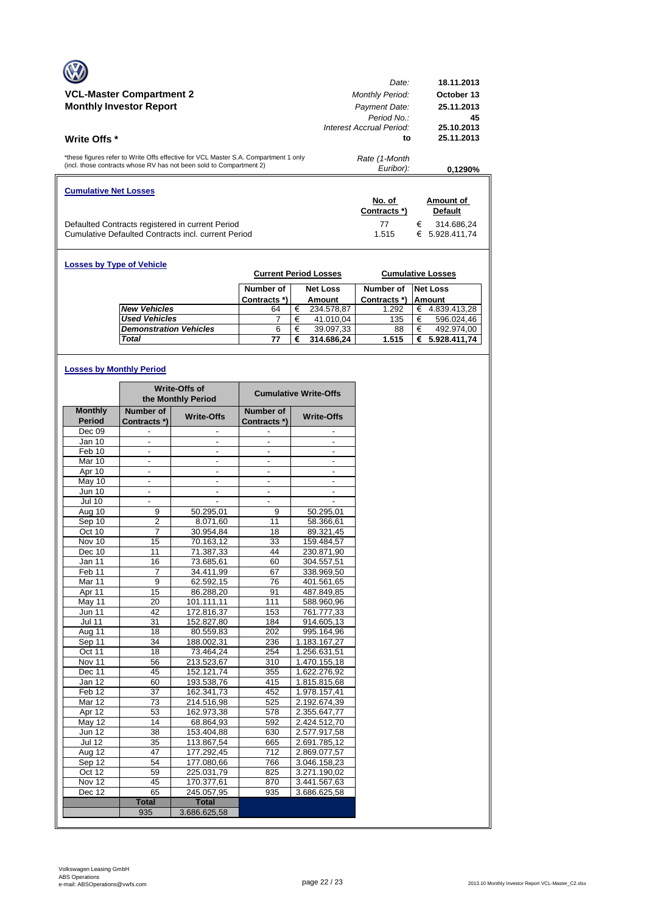|                                                                                                                                                            | Date:                      | 18.11.2013                           |
|------------------------------------------------------------------------------------------------------------------------------------------------------------|----------------------------|--------------------------------------|
| <b>VCL-Master Compartment 2</b>                                                                                                                            | <b>Monthly Period:</b>     | October 13                           |
| <b>Monthly Investor Report</b>                                                                                                                             | Payment Date:              | 25.11.2013                           |
|                                                                                                                                                            | Period No.                 | 45                                   |
|                                                                                                                                                            | Interest Accrual Period:   | 25.10.2013                           |
| <b>Write Offs</b> *                                                                                                                                        | to                         | 25.11.2013                           |
| *these figures refer to Write Offs effective for VCL Master S.A. Compartment 1 only<br>(incl. those contracts whose RV has not been sold to Compartment 2) | Rate (1-Month<br>Euribor): | 0.1290%                              |
| <b>Cumulative Net Losses</b>                                                                                                                               | No. of                     | Amount of                            |
|                                                                                                                                                            | Contracts *)               | <b>Default</b>                       |
| Defaulted Contracts registered in current Period<br>Cumulative Defaulted Contracts incl. current Period                                                    | 77<br>1.515                | €<br>314.686.24<br>5.928.411.74<br>€ |

| <b>Losses by Type of Vehicle</b> |              |   | <b>Current Period Losses</b> |              |   | <b>Cumulative Losses</b> |
|----------------------------------|--------------|---|------------------------------|--------------|---|--------------------------|
|                                  | Number of    |   | <b>Net Loss</b>              | Number of    |   | <b>Net Loss</b>          |
|                                  | Contracts *) |   | Amount                       | Contracts *) |   | <b>Amount</b>            |
| <b>New Vehicles</b>              | 64           | € | 234.578,87                   | 1.292        | € | 4.839.413,28             |
| <b>Used Vehicles</b>             |              | € | 41.010,04                    | 135          | € | 596.024.46               |
| <b>Demonstration Vehicles</b>    | 6            |   | 39.097,33                    | 88           | € | 492.974,00               |
| <b>Total</b>                     | 77           |   | 314.686,24                   | 1.515        | € | 5.928.411,74             |

## **Losses by Monthly Period**

|                      |                          | <b>Write-Offs of</b><br>the Monthly Period |                          | <b>Cumulative Write-Offs</b> |
|----------------------|--------------------------|--------------------------------------------|--------------------------|------------------------------|
| <b>Monthly</b>       | Number of                | <b>Write-Offs</b>                          | Number of                | <b>Write-Offs</b>            |
| <b>Period</b>        | Contracts *)             |                                            | Contracts*)              |                              |
| Dec 09               |                          |                                            |                          |                              |
| Jan 10               |                          |                                            |                          |                              |
| Feb 10               | $\overline{\phantom{a}}$ | $\overline{\phantom{a}}$                   | $\frac{1}{2}$            | $\overline{\phantom{a}}$     |
| Mar 10               | $\overline{\phantom{a}}$ | $\frac{1}{2}$                              | $\overline{\phantom{a}}$ | $\overline{a}$               |
| Apr 10               |                          |                                            |                          |                              |
| May 10               | $\overline{\phantom{a}}$ | $\blacksquare$                             | $\overline{\phantom{a}}$ | $\blacksquare$               |
| <b>Jun 10</b>        |                          |                                            |                          |                              |
| <b>Jul 10</b>        |                          |                                            |                          |                              |
| Aug 10               | 9                        | 50.295,01                                  | 9                        | 50.295,01                    |
| Sep 10               | 2                        | 8.071,60                                   | 11                       | 58.366,61                    |
| Oct 10               | 7                        | 30.954,84                                  | 18                       | 89.321,45                    |
| Nov 10               | 15                       | 70.163,12                                  | 33                       | 159.484,57                   |
| Dec 10               | 11                       | 71.387,33                                  | 44                       | 230.871,90                   |
| Jan 11               | 16                       | 73.685,61                                  | 60                       | 304.557,51                   |
| Feb <sub>11</sub>    | $\overline{7}$           | 34.411.99                                  | 67                       | 338.969.50                   |
| Mar 11               | 9                        | 62.592,15                                  | 76                       | 401.561,65                   |
| Apr 11               | 15                       | 86.288,20                                  | 91                       | 487.849,85                   |
| May 11               | 20                       | 101.111,11                                 | 111                      | 588.960,96                   |
| <b>Jun 11</b>        | 42                       | 172.816,37                                 | 153                      | 761.777,33                   |
| $\overline{J}$ ul 11 | 31                       | 152.827,80                                 | 184                      | 914.605,13                   |
| Aug 11               | 18                       | 80.559,83                                  | 202                      | 995.164,96                   |
| Sep 11               | 34                       | 188.002,31                                 | 236                      | 1.183.167,27                 |
| Oct 11               | 18                       | 73.464,24                                  | 254                      | 1.256.631,51                 |
| Nov 11               | 56                       | 213.523,67                                 | 310                      | 1.470.155,18                 |
| Dec 11               | 45                       | 152.121,74                                 | 355                      | 1.622.276,92                 |
| Jan 12               | 60                       | 193.538,76                                 | 415                      | 1.815.815,68                 |
| Feb 12               | 37                       | 162.341.73                                 | 452                      | 1.978.157.41                 |
| Mar 12               | 73                       | 214.516,98                                 | 525                      | 2.192.674,39                 |
| Apr 12               | 53                       | 162.973,38                                 | 578                      | 2.355.647,77                 |
| May 12               | 14                       | 68.864,93                                  | 592                      | 2.424.512,70                 |
| <b>Jun 12</b>        | 38                       | 153.404,88                                 | 630                      | 2.577.917,58                 |
| <b>Jul 12</b>        | 35                       | 113.867,54                                 | 665                      | 2.691.785,12                 |
| $A\overline{ug}$ 12  | 47                       | 177.292.45                                 | 712                      | 2.869.077.57                 |
| Sep 12               | 54                       | 177.080,66                                 | 766                      | 3.046.158,23                 |
| Oct 12               | 59                       | 225.031,79                                 | 825                      | 3.271.190,02                 |
| Nov 12               | 45                       | 170.377,61                                 | 870                      | 3.441.567,63                 |
| Dec 12               | 65                       | 245.057,95                                 | 935                      | 3.686.625,58                 |
|                      | <b>Total</b>             | <b>Total</b>                               |                          |                              |
|                      | 935                      | 3.686.625.58                               |                          |                              |